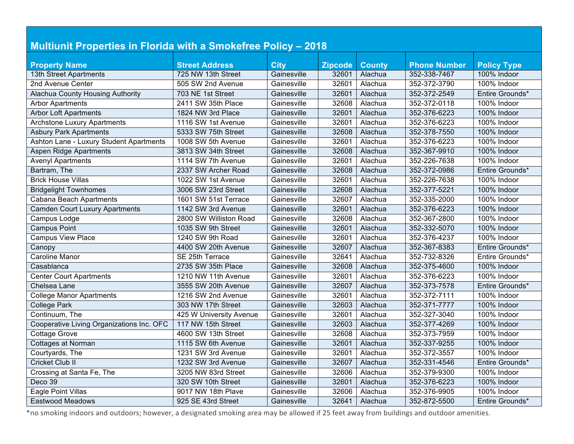| <b>Multiunit Properties in Florida with a Smokefree Policy - 2018</b> |                         |             |                |               |                     |                    |
|-----------------------------------------------------------------------|-------------------------|-------------|----------------|---------------|---------------------|--------------------|
|                                                                       |                         |             |                |               |                     |                    |
| <b>Property Name</b>                                                  | <b>Street Address</b>   | <b>City</b> | <b>Zipcode</b> | <b>County</b> | <b>Phone Number</b> | <b>Policy Type</b> |
| 13th Street Apartments                                                | 725 NW 13th Street      | Gainesville | 32601          | Alachua       | 352-338-7467        | 100% Indoor        |
| 2nd Avenue Center                                                     | 505 SW 2nd Avenue       | Gainesville | 32601          | Alachua       | 352-372-3790        | 100% Indoor        |
| Alachua County Housing Authority                                      | 703 NE 1st Street       | Gainesville | 32601          | Alachua       | 352-372-2549        | Entire Grounds*    |
| <b>Arbor Apartments</b>                                               | 2411 SW 35th Place      | Gainesville | 32608          | Alachua       | 352-372-0118        | 100% Indoor        |
| <b>Arbor Loft Apartments</b>                                          | 1824 NW 3rd Place       | Gainesville | 32601          | Alachua       | 352-376-6223        | 100% Indoor        |
| <b>Archstone Luxury Apartments</b>                                    | 1116 SW 1st Avenue      | Gainesville | 32601          | Alachua       | 352-376-6223        | 100% Indoor        |
| <b>Asbury Park Apartments</b>                                         | 5333 SW 75th Street     | Gainesville | 32608          | Alachua       | 352-378-7550        | 100% Indoor        |
| Ashton Lane - Luxury Student Apartments                               | 1008 SW 5th Avenue      | Gainesville | 32601          | Alachua       | 352-376-6223        | 100% Indoor        |
| <b>Aspen Ridge Apartments</b>                                         | 3813 SW 34th Street     | Gainesville | 32608          | Alachua       | 352-367-9910        | 100% Indoor        |
| <b>Avenyl Apartments</b>                                              | 1114 SW 7th Avenue      | Gainesville | 32601          | Alachua       | 352-226-7638        | 100% Indoor        |
| Bartram, The                                                          | 2337 SW Archer Road     | Gainesville | 32608          | Alachua       | 352-372-0986        | Entire Grounds*    |
| <b>Brick House Villas</b>                                             | 1022 SW 1st Avenue      | Gainesville | 32601          | Alachua       | 352-226-7638        | 100% Indoor        |
| <b>Bridgelight Townhomes</b>                                          | 3006 SW 23rd Street     | Gainesville | 32608          | Alachua       | 352-377-5221        | 100% Indoor        |
| <b>Cabana Beach Apartments</b>                                        | 1601 SW 51st Terrace    | Gainesville | 32607          | Alachua       | 352-335-2000        | 100% Indoor        |
| <b>Camden Court Luxury Apartments</b>                                 | 1142 SW 3rd Avenue      | Gainesville | 32601          | Alachua       | 352-376-6223        | 100% Indoor        |
| Campus Lodge                                                          | 2800 SW Williston Road  | Gainesville | 32608          | Alachua       | 352-367-2800        | 100% Indoor        |
| <b>Campus Point</b>                                                   | 1035 SW 9th Street      | Gainesville | 32601          | Alachua       | 352-332-5070        | 100% Indoor        |
| <b>Campus View Place</b>                                              | 1240 SW 9th Road        | Gainesville | 32601          | Alachua       | 352-376-4237        | 100% Indoor        |
| Canopy                                                                | 4400 SW 20th Avenue     | Gainesville | 32607          | Alachua       | 352-367-8383        | Entire Grounds*    |
| <b>Caroline Manor</b>                                                 | SE 25th Terrace         | Gainesville | 32641          | Alachua       | 352-732-8326        | Entire Grounds*    |
| Casablanca                                                            | 2735 SW 35th Place      | Gainesville | 32608          | Alachua       | 352-375-4600        | 100% Indoor        |
| <b>Center Court Apartments</b>                                        | 1210 NW 11th Avenue     | Gainesville | 32601          | Alachua       | 352-376-6223        | 100% Indoor        |
| Chelsea Lane                                                          | 3555 SW 20th Avenue     | Gainesville | 32607          | Alachua       | 352-373-7578        | Entire Grounds*    |
| <b>College Manor Apartments</b>                                       | 1216 SW 2nd Avenue      | Gainesville | 32601          | Alachua       | 352-372-7111        | 100% Indoor        |
| <b>College Park</b>                                                   | 303 NW 17th Street      | Gainesville | 32603          | Alachua       | 352-371-7777        | 100% Indoor        |
| Continuum, The                                                        | 425 W University Avenue | Gainesville | 32601          | Alachua       | 352-327-3040        | 100% Indoor        |
| Cooperative Living Organizations Inc. OFC                             | 117 NW 15th Street      | Gainesville | 32603          | Alachua       | 352-377-4269        | 100% Indoor        |
| <b>Cottage Grove</b>                                                  | 4600 SW 13th Street     | Gainesville | 32608          | Alachua       | 352-373-7959        | 100% Indoor        |
| Cottages at Norman                                                    | 1115 SW 6th Avenue      | Gainesville | 32601          | Alachua       | 352-337-9255        | 100% Indoor        |
| Courtyards, The                                                       | 1231 SW 3rd Avenue      | Gainesville | 32601          | Alachua       | 352-372-3557        | 100% Indoor        |
| <b>Cricket Club II</b>                                                | 1232 SW 3rd Avenue      | Gainesville | 32607          | Alachua       | 352-331-4546        | Entire Grounds*    |
| Crossing at Santa Fe, The                                             | 3205 NW 83rd Street     | Gainesville | 32606          | Alachua       | 352-379-9300        | 100% Indoor        |
| Deco 39                                                               | 320 SW 10th Street      | Gainesville | 32601          | Alachua       | 352-376-6223        | 100% Indoor        |
| Eagle Point Villas                                                    | 9017 NW 18th Plave      | Gainesville | 32606          | Alachua       | 352-376-9905        | 100% Indoor        |
| Eastwood Meadows                                                      | 925 SE 43rd Street      | Gainesville | 32641          | Alachua       | 352-872-5500        | Entire Grounds*    |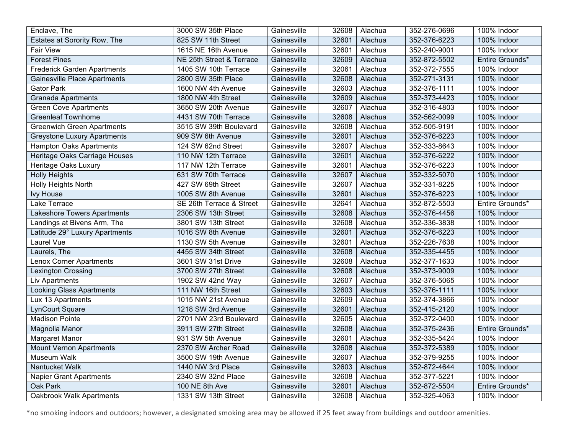| Enclave, The                        | 3000 SW 35th Place       | Gainesville | 32608 | Alachua | 352-276-0696 | 100% Indoor     |
|-------------------------------------|--------------------------|-------------|-------|---------|--------------|-----------------|
| Estates at Sorority Row, The        | 825 SW 11th Street       | Gainesville | 32601 | Alachua | 352-376-6223 | 100% Indoor     |
| <b>Fair View</b>                    | 1615 NE 16th Avenue      | Gainesville | 32601 | Alachua | 352-240-9001 | 100% Indoor     |
| <b>Forest Pines</b>                 | NE 25th Street & Terrace | Gainesville | 32609 | Alachua | 352-872-5502 | Entire Grounds* |
| <b>Frederick Garden Apartments</b>  | 1405 SW 10th Terrace     | Gainesville | 32061 | Alachua | 352-372-7555 | 100% Indoor     |
| <b>Gainesville Place Apartments</b> | 2800 SW 35th Place       | Gainesville | 32608 | Alachua | 352-271-3131 | 100% Indoor     |
| <b>Gator Park</b>                   | 1600 NW 4th Avenue       | Gainesville | 32603 | Alachua | 352-376-1111 | 100% Indoor     |
| <b>Granada Apartments</b>           | 1800 NW 4th Street       | Gainesville | 32609 | Alachua | 352-373-4423 | 100% Indoor     |
| <b>Green Cove Apartments</b>        | 3650 SW 20th Avenue      | Gainesville | 32607 | Alachua | 352-316-4803 | 100% Indoor     |
| <b>Greenleaf Townhome</b>           | 4431 SW 70th Terrace     | Gainesville | 32608 | Alachua | 352-562-0099 | 100% Indoor     |
| <b>Greenwich Green Apartments</b>   | 3515 SW 39th Boulevard   | Gainesville | 32608 | Alachua | 352-505-9191 | 100% Indoor     |
| <b>Greystone Luxury Apartments</b>  | 909 SW 6th Avenue        | Gainesville | 32601 | Alachua | 352-376-6223 | 100% Indoor     |
| <b>Hampton Oaks Apartments</b>      | 124 SW 62nd Street       | Gainesville | 32607 | Alachua | 352-333-8643 | 100% Indoor     |
| Heritage Oaks Carriage Houses       | 110 NW 12th Terrace      | Gainesville | 32601 | Alachua | 352-376-6222 | 100% Indoor     |
| Heritage Oaks Luxury                | 117 NW 12th Terrace      | Gainesville | 32601 | Alachua | 352-376-6223 | 100% Indoor     |
| <b>Holly Heights</b>                | 631 SW 70th Terrace      | Gainesville | 32607 | Alachua | 352-332-5070 | 100% Indoor     |
| <b>Holly Heights North</b>          | 427 SW 69th Street       | Gainesville | 32607 | Alachua | 352-331-8225 | 100% Indoor     |
| Ivy House                           | 1005 SW 8th Avenue       | Gainesville | 32601 | Alachua | 352-376-6223 | 100% Indoor     |
| Lake Terrace                        | SE 26th Terrace & Street | Gainesville | 32641 | Alachua | 352-872-5503 | Entire Grounds* |
| <b>Lakeshore Towers Apartments</b>  | 2306 SW 13th Street      | Gainesville | 32608 | Alachua | 352-376-4456 | 100% Indoor     |
| Landings at Bivens Arm, The         | 3801 SW 13th Street      | Gainesville | 32608 | Alachua | 352-336-3838 | 100% Indoor     |
| Latitude 29° Luxury Apartments      | 1016 SW 8th Avenue       | Gainesville | 32601 | Alachua | 352-376-6223 | 100% Indoor     |
| Laurel Vue                          | 1130 SW 5th Avenue       | Gainesville | 32601 | Alachua | 352-226-7638 | 100% Indoor     |
| Laurels, The                        | 4455 SW 34th Street      | Gainesville | 32608 | Alachua | 352-335-4455 | 100% Indoor     |
| Lenox Corner Apartments             | 3601 SW 31st Drive       | Gainesville | 32608 | Alachua | 352-377-1633 | 100% Indoor     |
| <b>Lexington Crossing</b>           | 3700 SW 27th Street      | Gainesville | 32608 | Alachua | 352-373-9009 | 100% Indoor     |
| Liv Apartments                      | 1902 SW 42nd Way         | Gainesville | 32607 | Alachua | 352-376-5065 | 100% Indoor     |
| Looking Glass Apartments            | 111 NW 16th Street       | Gainesville | 32603 | Alachua | 352-376-1111 | 100% Indoor     |
| Lux 13 Apartments                   | 1015 NW 21st Avenue      | Gainesville | 32609 | Alachua | 352-374-3866 | 100% Indoor     |
| LynCourt Square                     | 1218 SW 3rd Avenue       | Gainesville | 32601 | Alachua | 352-415-2120 | 100% Indoor     |
| <b>Madison Pointe</b>               | 2701 NW 23rd Boulevard   | Gainesville | 32605 | Alachua | 352-372-0400 | 100% Indoor     |
| Magnolia Manor                      | 3911 SW 27th Street      | Gainesville | 32608 | Alachua | 352-375-2436 | Entire Grounds* |
| Margaret Manor                      | 931 SW 5th Avenue        | Gainesville | 32601 | Alachua | 352-335-5424 | 100% Indoor     |
| <b>Mount Vernon Apartments</b>      | 2370 SW Archer Road      | Gainesville | 32608 | Alachua | 352-372-5389 | 100% Indoor     |
| <b>Museum Walk</b>                  | 3500 SW 19th Avenue      | Gainesville | 32607 | Alachua | 352-379-9255 | 100% Indoor     |
| Nantucket Walk                      | 1440 NW 3rd Place        | Gainesville | 32603 | Alachua | 352-872-4644 | 100% Indoor     |
| <b>Napier Grant Apartments</b>      | 2340 SW 32nd Place       | Gainesville | 32608 | Alachua | 352-377-5221 | 100% Indoor     |
| Oak Park                            | 100 NE 8th Ave           | Gainesville | 32601 | Alachua | 352-872-5504 | Entire Grounds* |
| <b>Oakbrook Walk Apartments</b>     | 1331 SW 13th Street      | Gainesville | 32608 | Alachua | 352-325-4063 | 100% Indoor     |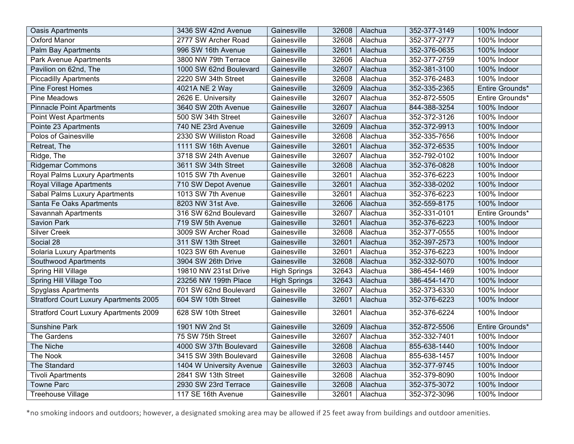| <b>Oasis Apartments</b>                       | 3436 SW 42nd Avenue      | Gainesville         | 32608 | Alachua | 352-377-3149 | 100% Indoor     |
|-----------------------------------------------|--------------------------|---------------------|-------|---------|--------------|-----------------|
| <b>Oxford Manor</b>                           | 2777 SW Archer Road      | Gainesville         | 32608 | Alachua | 352-377-2777 | 100% Indoor     |
| Palm Bay Apartments                           | 996 SW 16th Avenue       | Gainesville         | 32601 | Alachua | 352-376-0635 | 100% Indoor     |
| <b>Park Avenue Apartments</b>                 | 3800 NW 79th Terrace     | Gainesville         | 32606 | Alachua | 352-377-2759 | 100% Indoor     |
| Pavilion on 62nd, The                         | 1000 SW 62nd Boulevard   | Gainesville         | 32607 | Alachua | 352-381-3100 | 100% Indoor     |
| <b>Piccadilly Apartments</b>                  | 2220 SW 34th Street      | Gainesville         | 32608 | Alachua | 352-376-2483 | 100% Indoor     |
| <b>Pine Forest Homes</b>                      | 4021A NE 2 Way           | Gainesville         | 32609 | Alachua | 352-335-2365 | Entire Grounds* |
| <b>Pine Meadows</b>                           | 2626 E. University       | Gainesville         | 32607 | Alachua | 352-872-5505 | Entire Grounds* |
| <b>Pinnacle Point Apartments</b>              | 3640 SW 20th Avenue      | Gainesville         | 32607 | Alachua | 844-388-3254 | 100% Indoor     |
| <b>Point West Apartments</b>                  | 500 SW 34th Street       | Gainesville         | 32607 | Alachua | 352-372-3126 | 100% Indoor     |
| Pointe 23 Apartments                          | 740 NE 23rd Avenue       | Gainesville         | 32609 | Alachua | 352-372-9913 | 100% Indoor     |
| <b>Polos of Gainesville</b>                   | 2330 SW Williston Road   | Gainesville         | 32608 | Alachua | 352-335-7656 | 100% Indoor     |
| Retreat, The                                  | 1111 SW 16th Avenue      | Gainesville         | 32601 | Alachua | 352-372-6535 | 100% Indoor     |
| Ridge, The                                    | 3718 SW 24th Avenue      | Gainesville         | 32607 | Alachua | 352-792-0102 | 100% Indoor     |
| <b>Ridgemar Commons</b>                       | 3611 SW 34th Street      | Gainesville         | 32608 | Alachua | 352-376-0828 | 100% Indoor     |
| Royal Palms Luxury Apartments                 | 1015 SW 7th Avenue       | Gainesville         | 32601 | Alachua | 352-376-6223 | 100% Indoor     |
| Royal Village Apartments                      | 710 SW Depot Avenue      | Gainesville         | 32601 | Alachua | 352-338-0202 | 100% Indoor     |
| Sabal Palms Luxury Apartments                 | 1013 SW 7th Avenue       | Gainesville         | 32601 | Alachua | 352-376-6223 | 100% Indoor     |
| Santa Fe Oaks Apartments                      | 8203 NW 31st Ave.        | Gainesville         | 32606 | Alachua | 352-559-8175 | 100% Indoor     |
| Savannah Apartments                           | 316 SW 62nd Boulevard    | Gainesville         | 32607 | Alachua | 352-331-0101 | Entire Grounds* |
| Savion Park                                   | 719 SW 5th Avenue        | Gainesville         | 32601 | Alachua | 352-376-6223 | 100% Indoor     |
| <b>Silver Creek</b>                           | 3009 SW Archer Road      | Gainesville         | 32608 | Alachua | 352-377-0555 | 100% Indoor     |
| Social 28                                     | 311 SW 13th Street       | Gainesville         | 32601 | Alachua | 352-397-2573 | 100% Indoor     |
| Solaria Luxury Apartments                     | 1023 SW 6th Avenue       | Gainesville         | 32601 | Alachua | 352-376-6223 | 100% Indoor     |
| Southwood Apartments                          | 3904 SW 26th Drive       | Gainesville         | 32608 | Alachua | 352-332-5070 | 100% Indoor     |
| Spring Hill Village                           | 19810 NW 231st Drive     | <b>High Springs</b> | 32643 | Alachua | 386-454-1469 | 100% Indoor     |
| Spring Hill Village Too                       | 23256 NW 199th Place     | <b>High Springs</b> | 32643 | Alachua | 386-454-1470 | 100% Indoor     |
| <b>Spyglass Apartments</b>                    | 701 SW 62nd Boulevard    | Gainesville         | 32607 | Alachua | 352-373-6330 | 100% Indoor     |
| <b>Stratford Court Luxury Apartments 2005</b> | 604 SW 10th Street       | Gainesville         | 32601 | Alachua | 352-376-6223 | 100% Indoor     |
| <b>Stratford Court Luxury Apartments 2009</b> | 628 SW 10th Street       | Gainesville         | 32601 | Alachua | 352-376-6224 | 100% Indoor     |
| <b>Sunshine Park</b>                          | 1901 NW 2nd St           | Gainesville         | 32609 | Alachua | 352-872-5506 | Entire Grounds* |
| The Gardens                                   | 75 SW 75th Street        | Gainesville         | 32607 | Alachua | 352-332-7401 | 100% Indoor     |
| The Niche                                     | 4000 SW 37th Boulevard   | Gainesville         | 32608 | Alachua | 855-638-1440 | 100% Indoor     |
| The Nook                                      | 3415 SW 39th Boulevard   | Gainesville         | 32608 | Alachua | 855-638-1457 | 100% Indoor     |
| The Standard                                  | 1404 W University Avenue | Gainesville         | 32603 | Alachua | 352-377-9745 | 100% Indoor     |
| <b>Tivoli Apartments</b>                      | 2841 SW 13th Street      | Gainesville         | 32608 | Alachua | 352-379-8090 | 100% Indoor     |
| <b>Towne Parc</b>                             | 2930 SW 23rd Terrace     | Gainesville         | 32608 | Alachua | 352-375-3072 | 100% Indoor     |
| <b>Treehouse Village</b>                      | 117 SE 16th Avenue       | Gainesville         | 32601 | Alachua | 352-372-3096 | 100% Indoor     |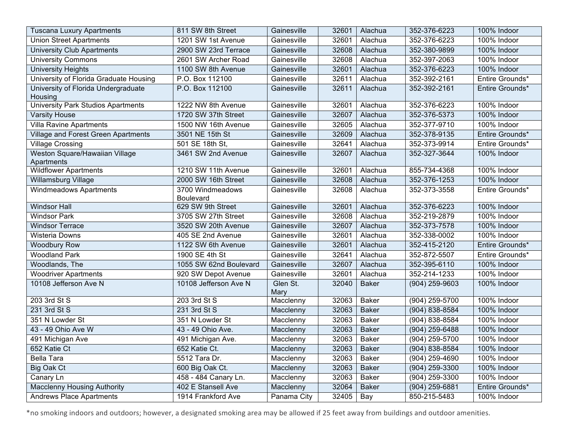| <b>Tuscana Luxury Apartments</b>       | 811 SW 8th Street                    | Gainesville | 32601 | Alachua      | 352-376-6223       | 100% Indoor     |
|----------------------------------------|--------------------------------------|-------------|-------|--------------|--------------------|-----------------|
| <b>Union Street Apartments</b>         | 1201 SW 1st Avenue                   | Gainesville | 32601 | Alachua      | 352-376-6223       | 100% Indoor     |
| <b>University Club Apartments</b>      | 2900 SW 23rd Terrace                 | Gainesville | 32608 | Alachua      | 352-380-9899       | 100% Indoor     |
| <b>University Commons</b>              | 2601 SW Archer Road                  | Gainesville | 32608 | Alachua      | 352-397-2063       | 100% Indoor     |
| <b>University Heights</b>              | 1100 SW 8th Avenue                   | Gainesville | 32601 | Alachua      | 352-376-6223       | 100% Indoor     |
| University of Florida Graduate Housing | P.O. Box 112100                      | Gainesville | 32611 | Alachua      | 352-392-2161       | Entire Grounds* |
| University of Florida Undergraduate    | P.O. Box 112100                      | Gainesville | 32611 | Alachua      | 352-392-2161       | Entire Grounds* |
| Housing                                |                                      |             |       |              |                    |                 |
| University Park Studios Apartments     | 1222 NW 8th Avenue                   | Gainesville | 32601 | Alachua      | 352-376-6223       | 100% Indoor     |
| <b>Varsity House</b>                   | 1720 SW 37th Street                  | Gainesville | 32607 | Alachua      | 352-376-5373       | 100% Indoor     |
| <b>Villa Ravine Apartments</b>         | 1500 NW 16th Avenue                  | Gainesville | 32605 | Alachua      | 352-377-9710       | 100% Indoor     |
| Village and Forest Green Apartments    | 3501 NE 15th St                      | Gainesville | 32609 | Alachua      | 352-378-9135       | Entire Grounds* |
| <b>Village Crossing</b>                | 501 SE 18th St,                      | Gainesville | 32641 | Alachua      | 352-373-9914       | Entire Grounds* |
| Weston Square/Hawaiian Village         | 3461 SW 2nd Avenue                   | Gainesville | 32607 | Alachua      | 352-327-3644       | 100% Indoor     |
| Apartments                             |                                      |             |       |              |                    |                 |
| <b>Wildflower Apartments</b>           | 1210 SW 11th Avenue                  | Gainesville | 32601 | Alachua      | 855-734-4368       | 100% Indoor     |
| <b>Willamsburg Village</b>             | 2000 SW 16th Street                  | Gainesville | 32608 | Alachua      | 352-376-1253       | 100% Indoor     |
| <b>Windmeadows Apartments</b>          | 3700 Windmeadows<br><b>Boulevard</b> | Gainesville | 32608 | Alachua      | 352-373-3558       | Entire Grounds* |
| <b>Windsor Hall</b>                    | 629 SW 9th Street                    | Gainesville | 32601 | Alachua      | 352-376-6223       | 100% Indoor     |
| <b>Windsor Park</b>                    | 3705 SW 27th Street                  | Gainesville | 32608 | Alachua      | 352-219-2879       | 100% Indoor     |
| <b>Windsor Terrace</b>                 | 3520 SW 20th Avenue                  | Gainesville | 32607 | Alachua      | 352-373-7578       | 100% Indoor     |
| <b>Wisteria Downs</b>                  | 405 SE 2nd Avenue                    | Gainesville | 32601 | Alachua      | 352-338-0002       | 100% Indoor     |
| <b>Woodbury Row</b>                    | 1122 SW 6th Avenue                   | Gainesville | 32601 | Alachua      | 352-415-2120       | Entire Grounds* |
| <b>Woodland Park</b>                   | 1900 SE 4th St                       | Gainesville | 32641 | Alachua      | 352-872-5507       | Entire Grounds* |
| Woodlands, The                         | 1055 SW 62nd Boulevard               | Gainesville | 32607 | Alachua      | 352-395-6110       | 100% Indoor     |
| <b>Woodriver Apartments</b>            | 920 SW Depot Avenue                  | Gainesville | 32601 | Alachua      | 352-214-1233       | 100% Indoor     |
| 10108 Jefferson Ave N                  | 10108 Jefferson Ave N                | Glen St.    | 32040 | <b>Baker</b> | (904) 259-9603     | 100% Indoor     |
|                                        |                                      | Mary        |       |              |                    |                 |
| 203 3rd St S                           | 203 3rd St S                         | Macclenny   | 32063 | <b>Baker</b> | $(904)$ 259-5700   | 100% Indoor     |
| 231 3rd St S                           | 231 3rd St S                         | Macclenny   | 32063 | <b>Baker</b> | $(904) 838 - 8584$ | 100% Indoor     |
| 351 N Lowder St                        | 351 N Lowder St                      | Macclenny   | 32063 | <b>Baker</b> | (904) 838-8584     | 100% Indoor     |
| 43 - 49 Ohio Ave W                     | 43 - 49 Ohio Ave.                    | Macclenny   | 32063 | <b>Baker</b> | (904) 259-6488     | 100% Indoor     |
| 491 Michigan Ave                       | 491 Michigan Ave.                    | Macclenny   | 32063 | <b>Baker</b> | (904) 259-5700     | 100% Indoor     |
| 652 Katie Ct                           | 652 Katie Ct.                        | Macclenny   | 32063 | <b>Baker</b> | (904) 838-8584     | 100% Indoor     |
| <b>Bella Tara</b>                      | 5512 Tara Dr.                        | Macclenny   | 32063 | <b>Baker</b> | $(904)$ 259-4690   | 100% Indoor     |
| <b>Big Oak Ct</b>                      | 600 Big Oak Ct.                      | Macclenny   | 32063 | <b>Baker</b> | (904) 259-3300     | 100% Indoor     |
| Canary Ln                              | 458 - 484 Canary Ln.                 | Macclenny   | 32063 | <b>Baker</b> | $(904)$ 259-3300   | 100% Indoor     |
| <b>Macclenny Housing Authority</b>     | 402 E Stansell Ave                   | Macclenny   | 32064 | <b>Baker</b> | (904) 259-6881     | Entire Grounds* |
| <b>Andrews Place Apartments</b>        | 1914 Frankford Ave                   | Panama City | 32405 | Bay          | 850-215-5483       | 100% Indoor     |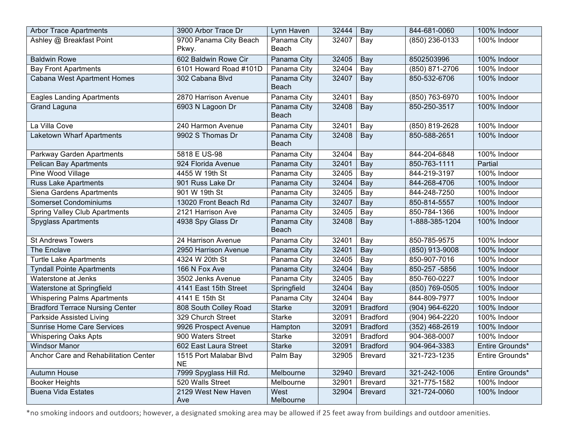| <b>Arbor Trace Apartments</b>          | 3900 Arbor Trace Dr                 | Lynn Haven                  | 32444 | Bay             | 844-681-0060     | 100% Indoor     |
|----------------------------------------|-------------------------------------|-----------------------------|-------|-----------------|------------------|-----------------|
| Ashley @ Breakfast Point               | 9700 Panama City Beach              | Panama City                 | 32407 | Bay             | $(850)$ 236-0133 | 100% Indoor     |
|                                        | Pkwy.                               | Beach                       |       |                 |                  |                 |
| <b>Baldwin Rowe</b>                    | 602 Baldwin Rowe Cir                | Panama City                 | 32405 | Bay             | 8502503996       | 100% Indoor     |
| <b>Bay Front Apartments</b>            | 6101 Howard Road #101D              | Panama City                 | 32404 | Bay             | (850) 871-2706   | 100% Indoor     |
| Cabana West Apartment Homes            | 302 Cabana Blvd                     | Panama City<br><b>Beach</b> | 32407 | Bay             | 850-532-6706     | 100% Indoor     |
| <b>Eagles Landing Apartments</b>       | 2870 Harrison Avenue                | Panama City                 | 32401 | Bay             | (850) 763-6970   | 100% Indoor     |
| <b>Grand Laguna</b>                    | 6903 N Lagoon Dr                    | Panama City<br><b>Beach</b> | 32408 | Bay             | 850-250-3517     | 100% Indoor     |
| La Villa Cove                          | 240 Harmon Avenue                   | Panama City                 | 32401 | Bay             | (850) 819-2628   | 100% Indoor     |
| Laketown Wharf Apartments              | 9902 S Thomas Dr                    | Panama City<br><b>Beach</b> | 32408 | Bay             | 850-588-2651     | 100% Indoor     |
| Parkway Garden Apartments              | 5818 E US-98                        | Panama City                 | 32404 | Bay             | 844-204-6848     | 100% Indoor     |
| <b>Pelican Bay Apartments</b>          | 924 Florida Avenue                  | Panama City                 | 32401 | Bay             | 850-763-1111     | Partial         |
| Pine Wood Village                      | 4455 W 19th St                      | Panama City                 | 32405 | Bay             | 844-219-3197     | 100% Indoor     |
| <b>Russ Lake Apartments</b>            | 901 Russ Lake Dr                    | Panama City                 | 32404 | Bay             | 844-268-4706     | 100% Indoor     |
| Siena Gardens Apartments               | 901 W 19th St                       | Panama City                 | 32405 | Bay             | 844-248-7250     | 100% Indoor     |
| Somerset Condominiums                  | 13020 Front Beach Rd                | Panama City                 | 32407 | Bay             | 850-814-5557     | 100% Indoor     |
| <b>Spring Valley Club Apartments</b>   | 2121 Harrison Ave                   | Panama City                 | 32405 | Bay             | 850-784-1366     | 100% Indoor     |
| <b>Spyglass Apartments</b>             | 4938 Spy Glass Dr                   | Panama City<br><b>Beach</b> | 32408 | Bay             | 1-888-385-1204   | 100% Indoor     |
| <b>St Andrews Towers</b>               | 24 Harrison Avenue                  | Panama City                 | 32401 | Bay             | 850-785-9575     | 100% Indoor     |
| The Enclave                            | 2950 Harrison Avenue                | Panama City                 | 32401 | Bay             | (850) 913-9008   | 100% Indoor     |
| <b>Turtle Lake Apartments</b>          | 4324 W 20th St                      | Panama City                 | 32405 | Bay             | 850-907-7016     | 100% Indoor     |
| <b>Tyndall Pointe Apartments</b>       | 166 N Fox Ave                       | Panama City                 | 32404 | Bay             | 850-257 -5856    | 100% Indoor     |
| Waterstone at Jenks                    | 3502 Jenks Avenue                   | Panama City                 | 32405 | Bay             | 850-760-0227     | 100% Indoor     |
| Waterstone at Springfield              | 4141 East 15th Street               | Springfield                 | 32404 | Bay             | (850) 769-0505   | 100% Indoor     |
| <b>Whispering Palms Apartments</b>     | 4141 E 15th St                      | Panama City                 | 32404 | Bay             | 844-809-7977     | 100% Indoor     |
| <b>Bradford Terrace Nursing Center</b> | 808 South Colley Road               | <b>Starke</b>               | 32091 | <b>Bradford</b> | (904) 964-6220   | 100% Indoor     |
| Parkside Assisted Living               | 329 Church Street                   | Starke                      | 32091 | <b>Bradford</b> | (904) 964-2220   | 100% Indoor     |
| Sunrise Home Care Services             | 9926 Prospect Avenue                | Hampton                     | 32091 | <b>Bradford</b> | $(352)$ 468-2619 | 100% Indoor     |
| <b>Whispering Oaks Apts</b>            | 900 Waters Street                   | Starke                      | 32091 | <b>Bradford</b> | 904-368-0007     | 100% Indoor     |
| <b>Windsor Manor</b>                   | 602 East Laura Street               | <b>Starke</b>               | 32091 | <b>Bradford</b> | 904-964-3383     | Entire Grounds* |
| Anchor Care and Rehabilitation Center  | 1515 Port Malabar Blvd<br><b>NE</b> | Palm Bay                    | 32905 | <b>Brevard</b>  | 321-723-1235     | Entire Grounds* |
| Autumn House                           | 7999 Spyglass Hill Rd.              | Melbourne                   | 32940 | <b>Brevard</b>  | 321-242-1006     | Entire Grounds* |
| <b>Booker Heights</b>                  | 520 Walls Street                    | Melbourne                   | 32901 | <b>Brevard</b>  | 321-775-1582     | 100% Indoor     |
| <b>Buena Vida Estates</b>              | 2129 West New Haven<br>Ave          | West<br>Melbourne           | 32904 | <b>Brevard</b>  | 321-724-0060     | 100% Indoor     |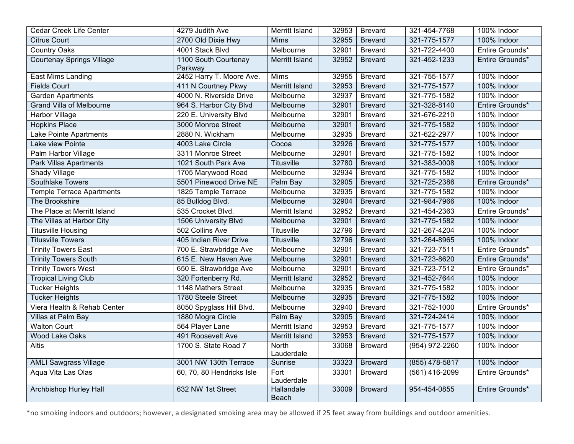| Cedar Creek Life Center          | 4279 Judith Ave                 | Merritt Island        | 32953 | <b>Brevard</b> | 321-454-7768     | 100% Indoor     |
|----------------------------------|---------------------------------|-----------------------|-------|----------------|------------------|-----------------|
| <b>Citrus Court</b>              | 2700 Old Dixie Hwy              | <b>Mims</b>           | 32955 | <b>Brevard</b> | 321-775-1577     | 100% Indoor     |
| <b>Country Oaks</b>              | 4001 Stack Blvd                 | Melbourne             | 32901 | <b>Brevard</b> | 321-722-4400     | Entire Grounds* |
| <b>Courtenay Springs Village</b> | 1100 South Courtenay<br>Parkway | Merritt Island        | 32952 | <b>Brevard</b> | 321-452-1233     | Entire Grounds* |
| East Mims Landing                | 2452 Harry T. Moore Ave.        | Mims                  | 32955 | <b>Brevard</b> | 321-755-1577     | 100% Indoor     |
| <b>Fields Court</b>              | 411 N Courtney Pkwy             | Merritt Island        | 32953 | <b>Brevard</b> | 321-775-1577     | 100% Indoor     |
| <b>Garden Apartments</b>         | 4000 N. Riverside Drive         | Melbourne             | 32937 | <b>Brevard</b> | 321-775-1582     | 100% Indoor     |
| <b>Grand Villa of Melbourne</b>  | 964 S. Harbor City Blvd         | Melbourne             | 32901 | <b>Brevard</b> | 321-328-8140     | Entire Grounds* |
| <b>Harbor Village</b>            | 220 E. University Blvd          | Melbourne             | 32901 | <b>Brevard</b> | 321-676-2210     | 100% Indoor     |
| <b>Hopkins Place</b>             | 3000 Monroe Street              | Melbourne             | 32901 | <b>Brevard</b> | 321-775-1582     | 100% Indoor     |
| Lake Pointe Apartments           | 2880 N. Wickham                 | Melbourne             | 32935 | <b>Brevard</b> | 321-622-2977     | 100% Indoor     |
| Lake view Pointe                 | 4003 Lake Circle                | Cocoa                 | 32926 | <b>Brevard</b> | 321-775-1577     | 100% Indoor     |
| Palm Harbor Village              | 3311 Monroe Street              | Melbourne             | 32901 | <b>Brevard</b> | 321-775-1582     | 100% Indoor     |
| <b>Park Villas Apartments</b>    | 1021 South Park Ave             | <b>Titusville</b>     | 32780 | <b>Brevard</b> | 321-383-0008     | 100% Indoor     |
| Shady Village                    | 1705 Marywood Road              | Melbourne             | 32934 | <b>Brevard</b> | 321-775-1582     | 100% Indoor     |
| Southlake Towers                 | 5501 Pinewood Drive NE          | Palm Bay              | 32905 | <b>Brevard</b> | 321-725-2386     | Entire Grounds* |
| <b>Temple Terrace Apartments</b> | 1825 Temple Terrace             | Melbourne             | 32935 | <b>Brevard</b> | 321-775-1582     | 100% Indoor     |
| The Brookshire                   | 85 Bulldog Blvd.                | Melbourne             | 32904 | <b>Brevard</b> | 321-984-7966     | 100% Indoor     |
| The Place at Merritt Island      | 535 Crocket Blvd.               | Merritt Island        | 32952 | <b>Brevard</b> | 321-454-2363     | Entire Grounds* |
| The Villas at Harbor City        | 1506 University Blvd            | Melbourne             | 32901 | <b>Brevard</b> | 321-775-1582     | 100% Indoor     |
| <b>Titusville Housing</b>        | 502 Collins Ave                 | <b>Titusville</b>     | 32796 | <b>Brevard</b> | 321-267-4204     | 100% Indoor     |
| <b>Titusville Towers</b>         | 405 Indian River Drive          | Titusville            | 32796 | <b>Brevard</b> | 321-264-8965     | 100% Indoor     |
| <b>Trinity Towers East</b>       | 700 E. Strawbridge Ave          | Melbourne             | 32901 | <b>Brevard</b> | 321-723-7511     | Entire Grounds* |
| <b>Trinity Towers South</b>      | 615 E. New Haven Ave            | Melbourne             | 32901 | <b>Brevard</b> | 321-723-8620     | Entire Grounds* |
| <b>Trinity Towers West</b>       | 650 E. Strawbridge Ave          | Melbourne             | 32901 | <b>Brevard</b> | 321-723-7512     | Entire Grounds* |
| <b>Tropical Living Club</b>      | 320 Fortenberry Rd.             | Merritt Island        | 32952 | <b>Brevard</b> | 321-452-7644     | 100% Indoor     |
| <b>Tucker Heights</b>            | 1148 Mathers Street             | Melbourne             | 32935 | <b>Brevard</b> | 321-775-1582     | 100% Indoor     |
| <b>Tucker Heights</b>            | 1780 Steele Street              | Melbourne             | 32935 | <b>Brevard</b> | 321-775-1582     | 100% Indoor     |
| Viera Health & Rehab Center      | 8050 Spyglass Hill Blvd.        | Melbourne             | 32940 | <b>Brevard</b> | 321-752-1000     | Entire Grounds* |
| Villas at Palm Bay               | 1880 Mogra Circle               | Palm Bay              | 32905 | <b>Brevard</b> | 321-724-2414     | 100% Indoor     |
| <b>Walton Court</b>              | 564 Player Lane                 | Merritt Island        | 32953 | <b>Brevard</b> | 321-775-1577     | 100% Indoor     |
| <b>Wood Lake Oaks</b>            | 491 Roosevelt Ave               | <b>Merritt Island</b> | 32953 | <b>Brevard</b> | 321-775-1577     | 100% Indoor     |
| <b>Altis</b>                     | 1700 S. State Road 7            | North<br>Lauderdale   | 33068 | <b>Broward</b> | $(954)$ 972-2260 | 100% Indoor     |
| <b>AMLI Sawgrass Village</b>     | 3001 NW 130th Terrace           | Sunrise               | 33323 | <b>Broward</b> | (855) 478-5817   | 100% Indoor     |
| Aqua Vita Las Olas               | 60, 70, 80 Hendricks Isle       | Fort<br>Lauderdale    | 33301 | <b>Broward</b> | (561) 416-2099   | Entire Grounds* |
| <b>Archbishop Hurley Hall</b>    | 632 NW 1st Street               | Hallandale<br>Beach   | 33009 | <b>Broward</b> | 954-454-0855     | Entire Grounds* |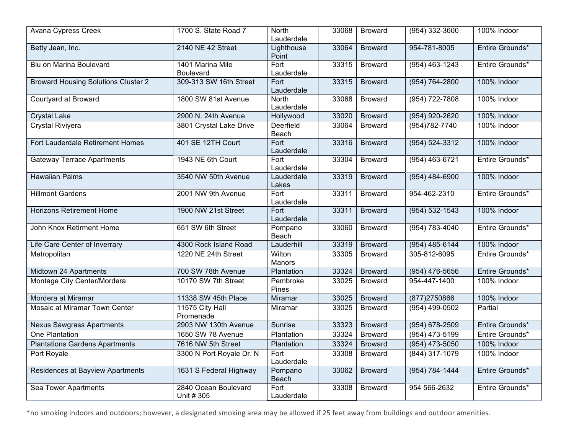| Avana Cypress Creek                        | 1700 S. State Road 7               | <b>North</b><br>Lauderdale     | 33068 | <b>Broward</b> | $(954)$ 332-3600   | 100% Indoor     |
|--------------------------------------------|------------------------------------|--------------------------------|-------|----------------|--------------------|-----------------|
| Betty Jean, Inc.                           | 2140 NE 42 Street                  | Lighthouse<br>Point            | 33064 | <b>Broward</b> | 954-781-8005       | Entire Grounds* |
| Blu on Marina Boulevard                    | 1401 Marina Mile<br>Boulevard      | Fort<br>Lauderdale             | 33315 | <b>Broward</b> | $(954)$ 463-1243   | Entire Grounds* |
| <b>Broward Housing Solutions Cluster 2</b> | 309-313 SW 16th Street             | Fort<br>Lauderdale             | 33315 | <b>Broward</b> | $(954) 764 - 2800$ | 100% Indoor     |
| Courtyard at Broward                       | 1800 SW 81st Avenue                | <b>North</b><br>Lauderdale     | 33068 | <b>Broward</b> | $(954) 722 - 7808$ | 100% Indoor     |
| <b>Crystal Lake</b>                        | 2900 N. 24th Avenue                | Hollywood                      | 33020 | <b>Broward</b> | (954) 920-2620     | 100% Indoor     |
| Crystal Riviyera                           | 3801 Crystal Lake Drive            | Deerfield<br>Beach             | 33064 | <b>Broward</b> | $(954)782 - 7740$  | 100% Indoor     |
| Fort Lauderdale Retirement Homes           | 401 SE 12TH Court                  | Fort<br>Lauderdale             | 33316 | <b>Broward</b> | $(954) 524 - 3312$ | 100% Indoor     |
| <b>Gateway Terrace Apartments</b>          | 1943 NE 6th Court                  | Fort<br>Lauderdale             | 33304 | <b>Broward</b> | $(954)$ 463-6721   | Entire Grounds* |
| <b>Hawaiian Palms</b>                      | 3540 NW 50th Avenue                | Lauderdale<br>Lakes            | 33319 | <b>Broward</b> | $(954)$ 484-6900   | 100% Indoor     |
| <b>Hillmont Gardens</b>                    | 2001 NW 9th Avenue                 | $\overline{For}$<br>Lauderdale | 33311 | <b>Broward</b> | 954-462-2310       | Entire Grounds* |
| <b>Horizons Retirement Home</b>            | 1900 NW 21st Street                | Fort<br>Lauderdale             | 33311 | <b>Broward</b> | $(954) 532 - 1543$ | 100% Indoor     |
| John Knox Retirment Home                   | 651 SW 6th Street                  | Pompano<br>Beach               | 33060 | <b>Broward</b> | $(954) 783 - 4040$ | Entire Grounds* |
| Life Care Center of Inverrary              | 4300 Rock Island Road              | Lauderhill                     | 33319 | <b>Broward</b> | $(954)$ 485-6144   | 100% Indoor     |
| Metropolitan                               | 1220 NE 24th Street                | Wilton<br>Manors               | 33305 | <b>Broward</b> | 305-812-6095       | Entire Grounds* |
| Midtown 24 Apartments                      | 700 SW 78th Avenue                 | Plantation                     | 33324 | <b>Broward</b> | $(954)$ 476-5656   | Entire Grounds* |
| Montage City Center/Mordera                | 10170 SW 7th Street                | Pembroke<br>Pines              | 33025 | <b>Broward</b> | 954-447-1400       | 100% Indoor     |
| Mordera at Miramar                         | 11338 SW 45th Place                | Miramar                        | 33025 | <b>Broward</b> | (877)2750866       | 100% Indoor     |
| Mosaic at Miramar Town Center              | 11575 City Hall<br>Promenade       | Miramar                        | 33025 | <b>Broward</b> | $(954)$ 499-0502   | Partial         |
| <b>Nexus Sawgrass Apartments</b>           | 2903 NW 130th Avenue               | Sunrise                        | 33323 | <b>Broward</b> | (954) 678-2509     | Entire Grounds* |
| <b>One Plantation</b>                      | 1650 SW 78 Avenue                  | Plantation                     | 33324 | <b>Broward</b> | $(954)$ 473-5199   | Entire Grounds* |
| <b>Plantations Gardens Apartments</b>      | 7616 NW 5th Street                 | Plantation                     | 33324 | <b>Broward</b> | $(954)$ 473-5050   | 100% Indoor     |
| Port Royale                                | 3300 N Port Royale Dr. N           | Fort<br>Lauderdale             | 33308 | <b>Broward</b> | $(844)$ 317-1079   | 100% Indoor     |
| <b>Residences at Bayview Apartments</b>    | 1631 S Federal Highway             | Pompano<br>Beach               | 33062 | <b>Broward</b> | $(954) 784 - 1444$ | Entire Grounds* |
| Sea Tower Apartments                       | 2840 Ocean Boulevard<br>Unit # 305 | Fort<br>Lauderdale             | 33308 | <b>Broward</b> | 954 566-2632       | Entire Grounds* |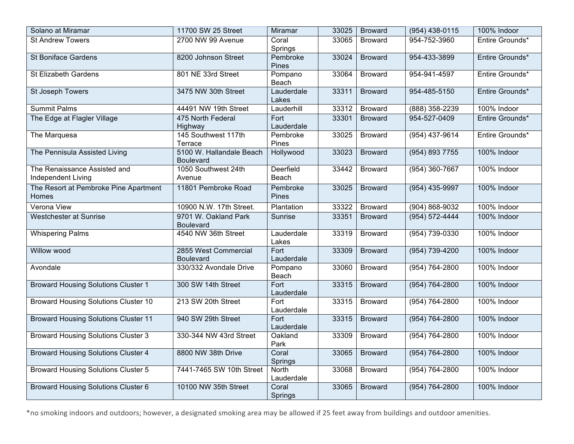| Solano at Miramar                                  | 11700 SW 25 Street                           | Miramar             | 33025 | <b>Broward</b> | $(954)$ 438-0115   | 100% Indoor     |
|----------------------------------------------------|----------------------------------------------|---------------------|-------|----------------|--------------------|-----------------|
| <b>St Andrew Towers</b>                            | 2700 NW 99 Avenue                            | Coral<br>Springs    | 33065 | <b>Broward</b> | 954-752-3960       | Entire Grounds* |
| <b>St Boniface Gardens</b>                         | 8200 Johnson Street                          | Pembroke<br>Pines   | 33024 | <b>Broward</b> | 954-433-3899       | Entire Grounds* |
| St Elizabeth Gardens                               | 801 NE 33rd Street                           | Pompano<br>Beach    | 33064 | <b>Broward</b> | 954-941-4597       | Entire Grounds* |
| <b>St Joseph Towers</b>                            | 3475 NW 30th Street                          | Lauderdale<br>Lakes | 33311 | <b>Broward</b> | 954-485-5150       | Entire Grounds* |
| <b>Summit Palms</b>                                | 44491 NW 19th Street                         | Lauderhill          | 33312 | <b>Broward</b> | (888) 358-2239     | 100% Indoor     |
| The Edge at Flagler Village                        | 475 North Federal<br>Highway                 | Fort<br>Lauderdale  | 33301 | <b>Broward</b> | 954-527-0409       | Entire Grounds* |
| The Marquesa                                       | 145 Southwest 117th<br>Terrace               | Pembroke<br>Pines   | 33025 | <b>Broward</b> | $(954)$ 437-9614   | Entire Grounds* |
| The Pennisula Assisted Living                      | 5100 W. Hallandale Beach<br><b>Boulevard</b> | Hollywood           | 33023 | <b>Broward</b> | (954) 893 7755     | 100% Indoor     |
| The Renaissance Assisted and<br>Independent Living | 1050 Southwest 24th<br>Avenue                | Deerfield<br>Beach  | 33442 | <b>Broward</b> | $(954)$ 360-7667   | 100% Indoor     |
| The Resort at Pembroke Pine Apartment<br>Homes     | 11801 Pembroke Road                          | Pembroke<br>Pines   | 33025 | <b>Broward</b> | (954) 435-9997     | 100% Indoor     |
| Verona View                                        | 10900 N.W. 17th Street.                      | Plantation          | 33322 | <b>Broward</b> | $(904) 868 - 9032$ | 100% Indoor     |
| Westchester at Sunrise                             | 9701 W. Oakland Park<br><b>Boulevard</b>     | Sunrise             | 33351 | <b>Broward</b> | $(954) 572 - 4444$ | 100% Indoor     |
| <b>Whispering Palms</b>                            | 4540 NW 36th Street                          | Lauderdale<br>Lakes | 33319 | <b>Broward</b> | $(954) 739-0330$   | 100% Indoor     |
| Willow wood                                        | 2855 West Commercial<br><b>Boulevard</b>     | Fort<br>Lauderdale  | 33309 | <b>Broward</b> | $(954) 739 - 4200$ | 100% Indoor     |
| Avondale                                           | 330/332 Avondale Drive                       | Pompano<br>Beach    | 33060 | <b>Broward</b> | $(954) 764 - 2800$ | 100% Indoor     |
| <b>Broward Housing Solutions Cluster 1</b>         | 300 SW 14th Street                           | Fort<br>Lauderdale  | 33315 | <b>Broward</b> | $(954) 764 - 2800$ | 100% Indoor     |
| <b>Broward Housing Solutions Cluster 10</b>        | 213 SW 20th Street                           | Fort<br>Lauderdale  | 33315 | <b>Broward</b> | $(954) 764 - 2800$ | 100% Indoor     |
| <b>Broward Housing Solutions Cluster 11</b>        | 940 SW 29th Street                           | Fort<br>Lauderdale  | 33315 | <b>Broward</b> | $(954) 764 - 2800$ | 100% Indoor     |
| <b>Broward Housing Solutions Cluster 3</b>         | 330-344 NW 43rd Street                       | Oakland<br>Park     | 33309 | <b>Broward</b> | $(954) 764 - 2800$ | 100% Indoor     |
| <b>Broward Housing Solutions Cluster 4</b>         | 8800 NW 38th Drive                           | Coral<br>Springs    | 33065 | <b>Broward</b> | $(954) 764 - 2800$ | 100% Indoor     |
| <b>Broward Housing Solutions Cluster 5</b>         | 7441-7465 SW 10th Street                     | North<br>Lauderdale | 33068 | <b>Broward</b> | $(954) 764 - 2800$ | 100% Indoor     |
| <b>Broward Housing Solutions Cluster 6</b>         | 10100 NW 35th Street                         | Coral<br>Springs    | 33065 | <b>Broward</b> | $(954) 764 - 2800$ | 100% Indoor     |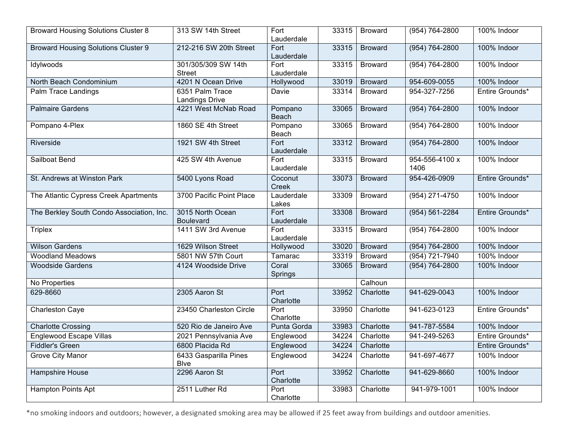| <b>Broward Housing Solutions Cluster 8</b> | 313 SW 14th Street                       | Fort<br>Lauderdale  | 33315 | <b>Broward</b> | $(954) 764 - 2800$     | 100% Indoor     |
|--------------------------------------------|------------------------------------------|---------------------|-------|----------------|------------------------|-----------------|
| <b>Broward Housing Solutions Cluster 9</b> | 212-216 SW 20th Street                   | Fort<br>Lauderdale  | 33315 | <b>Broward</b> | $(954) 764 - 2800$     | 100% Indoor     |
| Idylwoods                                  | 301/305/309 SW 14th<br><b>Street</b>     | Fort<br>Lauderdale  | 33315 | <b>Broward</b> | (954) 764-2800         | 100% Indoor     |
| North Beach Condominium                    | 4201 N Ocean Drive                       | Hollywood           | 33019 | <b>Broward</b> | 954-609-0055           | 100% Indoor     |
| Palm Trace Landings                        | 6351 Palm Trace<br><b>Landings Drive</b> | Davie               | 33314 | <b>Broward</b> | 954-327-7256           | Entire Grounds* |
| <b>Palmaire Gardens</b>                    | 4221 West McNab Road                     | Pompano<br>Beach    | 33065 | <b>Broward</b> | $(954) 764 - 2800$     | 100% Indoor     |
| Pompano 4-Plex                             | 1860 SE 4th Street                       | Pompano<br>Beach    | 33065 | <b>Broward</b> | $(954) 764 - 2800$     | 100% Indoor     |
| Riverside                                  | 1921 SW 4th Street                       | Fort<br>Lauderdale  | 33312 | <b>Broward</b> | $(954) 764 - 2800$     | 100% Indoor     |
| Sailboat Bend                              | 425 SW 4th Avenue                        | Fort<br>Lauderdale  | 33315 | <b>Broward</b> | 954-556-4100 x<br>1406 | 100% Indoor     |
| St. Andrews at Winston Park                | 5400 Lyons Road                          | Coconut<br>Creek    | 33073 | <b>Broward</b> | 954-426-0909           | Entire Grounds* |
| The Atlantic Cypress Creek Apartments      | 3700 Pacific Point Place                 | Lauderdale<br>Lakes | 33309 | <b>Broward</b> | $(954)$ 271-4750       | 100% Indoor     |
| The Berkley South Condo Association, Inc.  | 3015 North Ocean<br><b>Boulevard</b>     | Fort<br>Lauderdale  | 33308 | <b>Broward</b> | $(954) 561 - 2284$     | Entire Grounds* |
| Triplex                                    | 1411 SW 3rd Avenue                       | Fort<br>Lauderdale  | 33315 | <b>Broward</b> | $(954) 764 - 2800$     | 100% Indoor     |
| <b>Wilson Gardens</b>                      | 1629 Wilson Street                       | Hollywood           | 33020 | <b>Broward</b> | (954) 764-2800         | 100% Indoor     |
| <b>Woodland Meadows</b>                    | 5801 NW 57th Court                       | Tamarac             | 33319 | <b>Broward</b> | $(954) 721 - 7940$     | 100% Indoor     |
| <b>Woodside Gardens</b>                    | 4124 Woodside Drive                      | Coral<br>Springs    | 33065 | <b>Broward</b> | $(954) 764 - 2800$     | 100% Indoor     |
| No Properties                              |                                          |                     |       | Calhoun        |                        |                 |
| 629-8660                                   | 2305 Aaron St                            | Port<br>Charlotte   | 33952 | Charlotte      | 941-629-0043           | 100% Indoor     |
| Charleston Caye                            | 23450 Charleston Circle                  | Port<br>Charlotte   | 33950 | Charlotte      | 941-623-0123           | Entire Grounds* |
| <b>Charlotte Crossing</b>                  | 520 Rio de Janeiro Ave                   | Punta Gorda         | 33983 | Charlotte      | 941-787-5584           | 100% Indoor     |
| <b>Englewood Escape Villas</b>             | 2021 Pennsylvania Ave                    | Englewood           | 34224 | Charlotte      | 941-249-5263           | Entire Grounds* |
| <b>Fiddler's Green</b>                     | 6800 Placida Rd                          | Englewood           | 34224 | Charlotte      |                        | Entire Grounds* |
| <b>Grove City Manor</b>                    | 6433 Gasparilla Pines<br><b>B</b> lve    | Englewood           | 34224 | Charlotte      | 941-697-4677           | 100% Indoor     |
| <b>Hampshire House</b>                     | 2296 Aaron St                            | Port<br>Charlotte   | 33952 | Charlotte      | 941-629-8660           | 100% Indoor     |
| Hampton Points Apt                         | 2511 Luther Rd                           | Port<br>Charlotte   | 33983 | Charlotte      | 941-979-1001           | 100% Indoor     |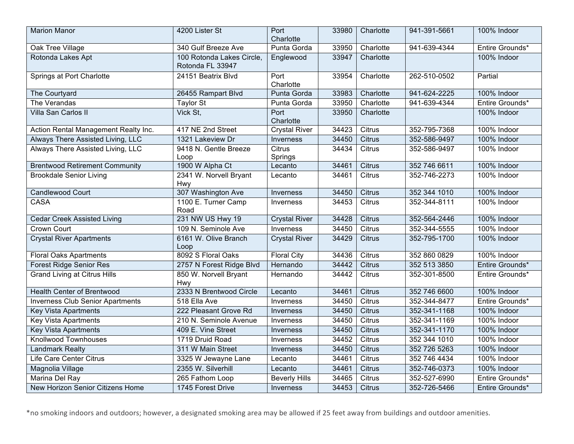| <b>Marion Manor</b>                     | 4200 Lister St                                | Port<br>Charlotte        | 33980 | Charlotte     | 941-391-5661 | 100% Indoor     |
|-----------------------------------------|-----------------------------------------------|--------------------------|-------|---------------|--------------|-----------------|
| Oak Tree Village                        | 340 Gulf Breeze Ave                           | Punta Gorda              | 33950 | Charlotte     | 941-639-4344 | Entire Grounds* |
| Rotonda Lakes Apt                       | 100 Rotonda Lakes Circle,<br>Rotonda FL 33947 | Englewood                | 33947 | Charlotte     |              | 100% Indoor     |
| Springs at Port Charlotte               | 24151 Beatrix Blvd                            | Port<br>Charlotte        | 33954 | Charlotte     | 262-510-0502 | Partial         |
| The Courtyard                           | 26455 Rampart Blvd                            | Punta Gorda              | 33983 | Charlotte     | 941-624-2225 | 100% Indoor     |
| The Verandas                            | Taylor St                                     | Punta Gorda              | 33950 | Charlotte     | 941-639-4344 | Entire Grounds* |
| Villa San Carlos II                     | Vick St,                                      | Port<br>Charlotte        | 33950 | Charlotte     |              | 100% Indoor     |
| Action Rental Management Realty Inc.    | 417 NE 2nd Street                             | <b>Crystal River</b>     | 34423 | Citrus        | 352-795-7368 | 100% Indoor     |
| Always There Assisted Living, LLC       | 1321 Lakeview Dr                              | Inverness                | 34450 | <b>Citrus</b> | 352-586-9497 | 100% Indoor     |
| Always There Assisted Living, LLC       | 9418 N. Gentle Breeze<br>Loop                 | <b>Citrus</b><br>Springs | 34434 | Citrus        | 352-586-9497 | 100% Indoor     |
| <b>Brentwood Retirement Community</b>   | 1900 W Alpha Ct                               | Lecanto                  | 34461 | Citrus        | 352 746 6611 | 100% Indoor     |
| <b>Brookdale Senior Living</b>          | 2341 W. Norvell Bryant<br>Hwy                 | Lecanto                  | 34461 | Citrus        | 352-746-2273 | 100% Indoor     |
| <b>Candlewood Court</b>                 | 307 Washington Ave                            | Inverness                | 34450 | Citrus        | 352 344 1010 | 100% Indoor     |
| <b>CASA</b>                             | 1100 E. Turner Camp<br>Road                   | Inverness                | 34453 | Citrus        | 352-344-8111 | 100% Indoor     |
| <b>Cedar Creek Assisted Living</b>      | 231 NW US Hwy 19                              | <b>Crystal River</b>     | 34428 | <b>Citrus</b> | 352-564-2446 | 100% Indoor     |
| <b>Crown Court</b>                      | 109 N. Seminole Ave                           | Inverness                | 34450 | Citrus        | 352-344-5555 | 100% Indoor     |
| <b>Crystal River Apartments</b>         | 6161 W. Olive Branch<br>Loop                  | <b>Crystal River</b>     | 34429 | <b>Citrus</b> | 352-795-1700 | 100% Indoor     |
| <b>Floral Oaks Apartments</b>           | 8092 S Floral Oaks                            | <b>Floral City</b>       | 34436 | Citrus        | 352 860 0829 | 100% Indoor     |
| <b>Forest Ridge Senior Res</b>          | 2757 N Forest Ridge Blvd                      | Hernando                 | 34442 | Citrus        | 352 513 3850 | Entire Grounds* |
| <b>Grand Living at Citrus Hills</b>     | 850 W. Norvell Bryant<br>Hwy                  | Hernando                 | 34442 | Citrus        | 352-301-8500 | Entire Grounds* |
| <b>Health Center of Brentwood</b>       | 2333 N Brentwood Circle                       | Lecanto                  | 34461 | <b>Citrus</b> | 352 746 6600 | 100% Indoor     |
| <b>Inverness Club Senior Apartments</b> | 518 Ella Ave                                  | Inverness                | 34450 | Citrus        | 352-344-8477 | Entire Grounds* |
| <b>Key Vista Apartments</b>             | 222 Pleasant Grove Rd                         | Inverness                | 34450 | <b>Citrus</b> | 352-341-1168 | 100% Indoor     |
| <b>Key Vista Apartments</b>             | 210 N. Seminole Avenue                        | Inverness                | 34450 | Citrus        | 352-341-1169 | 100% Indoor     |
| <b>Key Vista Apartments</b>             | 409 E. Vine Street                            | Inverness                | 34450 | <b>Citrus</b> | 352-341-1170 | 100% Indoor     |
| <b>Knollwood Townhouses</b>             | 1719 Druid Road                               | Inverness                | 34452 | Citrus        | 352 344 1010 | 100% Indoor     |
| <b>Landmark Realty</b>                  | 311 W Main Street                             | Inverness                | 34450 | <b>Citrus</b> | 352 726 5263 | 100% Indoor     |
| Life Care Center Citrus                 | 3325 W Jewayne Lane                           | Lecanto                  | 34461 | Citrus        | 352 746 4434 | 100% Indoor     |
| Magnolia Village                        | 2355 W. Silverhill                            | Lecanto                  | 34461 | <b>Citrus</b> | 352-746-0373 | 100% Indoor     |
| Marina Del Ray                          | 265 Fathom Loop                               | <b>Beverly Hills</b>     | 34465 | Citrus        | 352-527-6990 | Entire Grounds* |
| New Horizon Senior Citizens Home        | 1745 Forest Drive                             | <b>Inverness</b>         | 34453 | <b>Citrus</b> | 352-726-5466 | Entire Grounds* |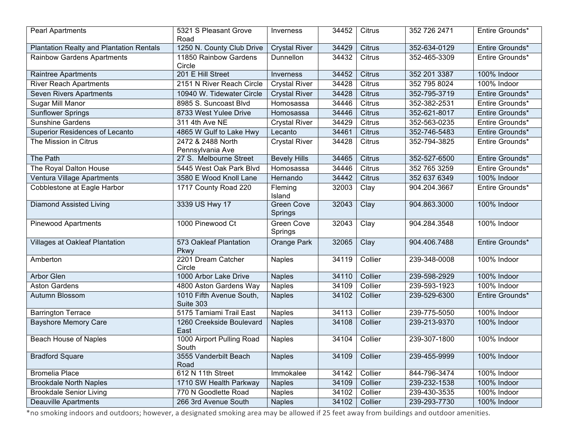| <b>Pearl Apartments</b>                         | 5321 S Pleasant Grove<br>Road         | Inverness                    | 34452 | Citrus        | 352 726 2471 | Entire Grounds* |
|-------------------------------------------------|---------------------------------------|------------------------------|-------|---------------|--------------|-----------------|
| <b>Plantation Realty and Plantation Rentals</b> | 1250 N. County Club Drive             | <b>Crystal River</b>         | 34429 | <b>Citrus</b> | 352-634-0129 | Entire Grounds* |
| <b>Rainbow Gardens Apartments</b>               | 11850 Rainbow Gardens<br>Circle       | Dunnellon                    | 34432 | Citrus        | 352-465-3309 | Entire Grounds* |
| <b>Raintree Apartments</b>                      | 201 E Hill Street                     | Inverness                    | 34452 | <b>Citrus</b> | 352 201 3387 | 100% Indoor     |
| <b>River Reach Apartments</b>                   | 2151 N River Reach Circle             | <b>Crystal River</b>         | 34428 | Citrus        | 352 795 8024 | 100% Indoor     |
| <b>Seven Rivers Apartments</b>                  | 10940 W. Tidewater Circle             | <b>Crystal River</b>         | 34428 | <b>Citrus</b> | 352-795-3719 | Entire Grounds* |
| Sugar Mill Manor                                | 8985 S. Suncoast Blvd                 | Homosassa                    | 34446 | Citrus        | 352-382-2531 | Entire Grounds* |
| Sunflower Springs                               | 8733 West Yulee Drive                 | Homosassa                    | 34446 | Citrus        | 352-621-8017 | Entire Grounds* |
| <b>Sunshine Gardens</b>                         | 311 4th Ave NE                        | <b>Crystal River</b>         | 34429 | Citrus        | 352-563-0235 | Entire Grounds* |
| Superior Residences of Lecanto                  | 4865 W Gulf to Lake Hwy               | Lecanto                      | 34461 | <b>Citrus</b> | 352-746-5483 | Entire Grounds* |
| The Mission in Citrus                           | 2472 & 2488 North<br>Pennsylvania Ave | <b>Crystal River</b>         | 34428 | Citrus        | 352-794-3825 | Entire Grounds* |
| The Path                                        | 27 S. Melbourne Street                | <b>Bevely Hills</b>          | 34465 | Citrus        | 352-527-6500 | Entire Grounds* |
| The Royal Dalton House                          | 5445 West Oak Park Blvd               | Homosassa                    | 34446 | Citrus        | 352 765 3259 | Entire Grounds* |
| Ventura Village Apartments                      | 3580 E Wood Knoll Lane                | Hernando                     | 34442 | <b>Citrus</b> | 352 637 6349 | 100% Indoor     |
| Cobblestone at Eagle Harbor                     | 1717 County Road 220                  | Fleming<br>Island            | 32003 | Clay          | 904.204.3667 | Entire Grounds* |
| <b>Diamond Assisted Living</b>                  | 3339 US Hwy 17                        | <b>Green Cove</b><br>Springs | 32043 | Clay          | 904.863.3000 | 100% Indoor     |
| <b>Pinewood Apartments</b>                      | 1000 Pinewood Ct                      | Green Cove<br>Springs        | 32043 | Clay          | 904.284.3548 | 100% Indoor     |
| <b>Villages at Oakleaf Plantation</b>           | 573 Oakleaf Plantation<br>Pkwy        | Orange Park                  | 32065 | Clay          | 904.406.7488 | Entire Grounds* |
| Amberton                                        | 2201 Dream Catcher<br>Circle          | <b>Naples</b>                | 34119 | Collier       | 239-348-0008 | 100% Indoor     |
| Arbor Glen                                      | 1000 Arbor Lake Drive                 | <b>Naples</b>                | 34110 | Collier       | 239-598-2929 | 100% Indoor     |
| <b>Aston Gardens</b>                            | 4800 Aston Gardens Way                | <b>Naples</b>                | 34109 | Collier       | 239-593-1923 | 100% Indoor     |
| Autumn Blossom                                  | 1010 Fifth Avenue South,<br>Suite 303 | <b>Naples</b>                | 34102 | Collier       | 239-529-6300 | Entire Grounds* |
| <b>Barrington Terrace</b>                       | 5175 Tamiami Trail East               | <b>Naples</b>                | 34113 | Collier       | 239-775-5050 | 100% Indoor     |
| <b>Bayshore Memory Care</b>                     | 1260 Creekside Boulevard<br>East      | <b>Naples</b>                | 34108 | Collier       | 239-213-9370 | 100% Indoor     |
| <b>Beach House of Naples</b>                    | 1000 Airport Pulling Road<br>South    | <b>Naples</b>                | 34104 | Collier       | 239-307-1800 | 100% Indoor     |
| <b>Bradford Square</b>                          | 3555 Vanderbilt Beach<br>Road         | <b>Naples</b>                | 34109 | Collier       | 239-455-9999 | 100% Indoor     |
| <b>Bromelia Place</b>                           | 612 N 11th Street                     | Immokalee                    | 34142 | Collier       | 844-796-3474 | 100% Indoor     |
| <b>Brookdale North Naples</b>                   | 1710 SW Health Parkway                | <b>Naples</b>                | 34109 | Collier       | 239-232-1538 | 100% Indoor     |
| <b>Brookdale Senior Living</b>                  | 770 N Goodlette Road                  | <b>Naples</b>                | 34102 | Collier       | 239-430-3535 | 100% Indoor     |
| <b>Deauville Apartments</b>                     | 266 3rd Avenue South                  | <b>Naples</b>                | 34102 | Collier       | 239-293-7730 | 100% Indoor     |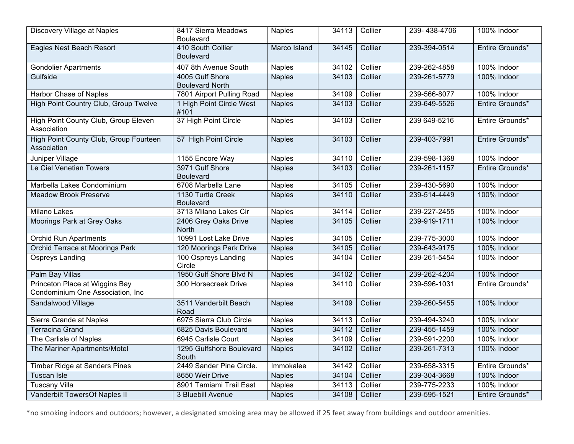| Discovery Village at Naples                                        | 8417 Sierra Meadows<br><b>Boulevard</b>   | <b>Naples</b> | 34113 | Collier | 239-438-4706 | 100% Indoor     |
|--------------------------------------------------------------------|-------------------------------------------|---------------|-------|---------|--------------|-----------------|
| <b>Eagles Nest Beach Resort</b>                                    | 410 South Collier<br><b>Boulevard</b>     | Marco Island  | 34145 | Collier | 239-394-0514 | Entire Grounds* |
| <b>Gondolier Apartments</b>                                        | 407 8th Avenue South                      | <b>Naples</b> | 34102 | Collier | 239-262-4858 | 100% Indoor     |
| Gulfside                                                           | 4005 Gulf Shore<br><b>Boulevard North</b> | <b>Naples</b> | 34103 | Collier | 239-261-5779 | 100% Indoor     |
| <b>Harbor Chase of Naples</b>                                      | 7801 Airport Pulling Road                 | <b>Naples</b> | 34109 | Collier | 239-566-8077 | 100% Indoor     |
| High Point Country Club, Group Twelve                              | 1 High Point Circle West<br>#101          | <b>Naples</b> | 34103 | Collier | 239-649-5526 | Entire Grounds* |
| <b>High Point County Club, Group Eleven</b><br>Association         | 37 High Point Circle                      | <b>Naples</b> | 34103 | Collier | 239 649-5216 | Entire Grounds* |
| High Point County Club, Group Fourteen<br>Association              | 57 High Point Circle                      | <b>Naples</b> | 34103 | Collier | 239-403-7991 | Entire Grounds* |
| Juniper Village                                                    | 1155 Encore Way                           | <b>Naples</b> | 34110 | Collier | 239-598-1368 | 100% Indoor     |
| Le Ciel Venetian Towers                                            | 3971 Gulf Shore<br><b>Boulevard</b>       | <b>Naples</b> | 34103 | Collier | 239-261-1157 | Entire Grounds* |
| Marbella Lakes Condominium                                         | 6708 Marbella Lane                        | <b>Naples</b> | 34105 | Collier | 239-430-5690 | 100% Indoor     |
| <b>Meadow Brook Preserve</b>                                       | 1130 Turtle Creek<br><b>Boulevard</b>     | <b>Naples</b> | 34110 | Collier | 239-514-4449 | 100% Indoor     |
| <b>Milano Lakes</b>                                                | 3713 Milano Lakes Cir                     | <b>Naples</b> | 34114 | Collier | 239-227-2455 | 100% Indoor     |
| Moorings Park at Grey Oaks                                         | 2406 Grey Oaks Drive<br><b>North</b>      | <b>Naples</b> | 34105 | Collier | 239-919-1711 | 100% Indoor     |
| <b>Orchid Run Apartments</b>                                       | 10991 Lost Lake Drive                     | <b>Naples</b> | 34105 | Collier | 239-775-3000 | 100% Indoor     |
| Orchid Terrace at Moorings Park                                    | 120 Moorings Park Drive                   | <b>Naples</b> | 34105 | Collier | 239-643-9175 | 100% Indoor     |
| Ospreys Landing                                                    | 100 Ospreys Landing<br>Circle             | <b>Naples</b> | 34104 | Collier | 239-261-5454 | 100% Indoor     |
| <b>Palm Bay Villas</b>                                             | 1950 Gulf Shore Blvd N                    | <b>Naples</b> | 34102 | Collier | 239-262-4204 | 100% Indoor     |
| Princeton Place at Wiggins Bay<br>Condominium One Association, Inc | 300 Horsecreek Drive                      | <b>Naples</b> | 34110 | Collier | 239-596-1031 | Entire Grounds* |
| Sandalwood Village                                                 | 3511 Vanderbilt Beach<br>Road             | <b>Naples</b> | 34109 | Collier | 239-260-5455 | 100% Indoor     |
| Sierra Grande at Naples                                            | 6975 Sierra Club Circle                   | <b>Naples</b> | 34113 | Collier | 239-494-3240 | 100% Indoor     |
| <b>Terracina Grand</b>                                             | 6825 Davis Boulevard                      | <b>Naples</b> | 34112 | Collier | 239-455-1459 | 100% Indoor     |
| The Carlisle of Naples                                             | 6945 Carlisle Court                       | <b>Naples</b> | 34109 | Collier | 239-591-2200 | 100% Indoor     |
| The Mariner Apartments/Motel                                       | 1295 Gulfshore Boulevard<br>South         | <b>Naples</b> | 34102 | Collier | 239-261-7313 | 100% Indoor     |
| <b>Timber Ridge at Sanders Pines</b>                               | 2449 Sander Pine Circle.                  | Immokalee     | 34142 | Collier | 239-658-3315 | Entire Grounds* |
| Tuscan Isle                                                        | 8650 Weir Drive                           | <b>Naples</b> | 34104 | Collier | 239-304-3668 | 100% Indoor     |
| <b>Tuscany Villa</b>                                               | 8901 Tamiami Trail East                   | <b>Naples</b> | 34113 | Collier | 239-775-2233 | 100% Indoor     |
| Vanderbilt TowersOf Naples II                                      | 3 Bluebill Avenue                         | <b>Naples</b> | 34108 | Collier | 239-595-1521 | Entire Grounds* |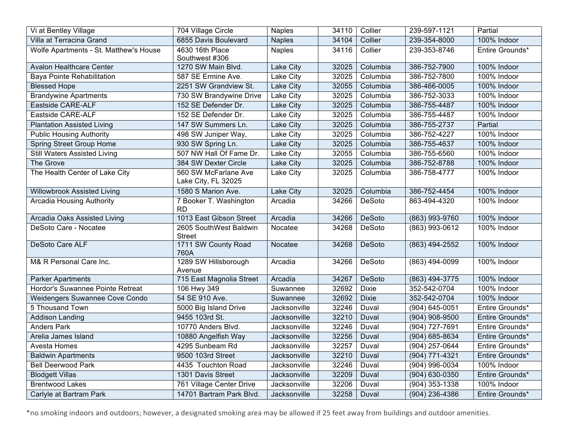| Vi at Bentley Village                  | 704 Village Circle                          | <b>Naples</b>    | 34110 | Collier       | 239-597-1121       | Partial         |
|----------------------------------------|---------------------------------------------|------------------|-------|---------------|--------------------|-----------------|
| Villa at Terracina Grand               | 6855 Davis Boulevard                        | <b>Naples</b>    | 34104 | Collier       | 239-354-8000       | 100% Indoor     |
| Wolfe Apartments - St. Matthew's House | 4630 16th Place<br>Southwest #306           | <b>Naples</b>    | 34116 | Collier       | 239-353-8746       | Entire Grounds* |
| <b>Avalon Healthcare Center</b>        | 1270 SW Main Blvd.                          | Lake City        | 32025 | Columbia      | 386-752-7900       | 100% Indoor     |
| Baya Pointe Rehabilitation             | 587 SE Ermine Ave.                          | Lake City        | 32025 | Columbia      | 386-752-7800       | 100% Indoor     |
| <b>Blessed Hope</b>                    | 2251 SW Grandview St.                       | Lake City        | 32055 | Columbia      | 386-466-0005       | 100% Indoor     |
| <b>Brandywine Apartments</b>           | 730 SW Brandywine Drive                     | Lake City        | 32025 | Columbia      | 386-752-3033       | 100% Indoor     |
| Eastside CARE-ALF                      | 152 SE Defender Dr.                         | Lake City        | 32025 | Columbia      | 386-755-4487       | 100% Indoor     |
| Eastside CARE-ALF                      | 152 SE Defender Dr.                         | Lake City        | 32025 | Columbia      | 386-755-4487       | 100% Indoor     |
| <b>Plantation Assisted Living</b>      | 147 SW Summers Ln.                          | Lake City        | 32025 | Columbia      | 386-755-2737       | Partial         |
| <b>Public Housing Authority</b>        | 498 SW Juniper Way,                         | Lake City        | 32025 | Columbia      | 386-752-4227       | 100% Indoor     |
| <b>Spring Street Group Home</b>        | 930 SW Spring Ln.                           | Lake City        | 32025 | Columbia      | 386-755-4637       | 100% Indoor     |
| <b>Still Waters Assisted Living</b>    | 507 NW Hall Of Fame Dr.                     | Lake City        | 32055 | Columbia      | 386-755-6560       | 100% Indoor     |
| The Grove                              | 384 SW Dexter Circle                        | Lake City        | 32025 | Columbia      | 386-752-8788       | 100% Indoor     |
| The Health Center of Lake City         | 560 SW McFarlane Ave<br>Lake City, FL 32025 | Lake City        | 32025 | Columbia      | 386-758-4777       | 100% Indoor     |
| Willowbrook Assisted Living            | 1580 S Marion Ave.                          | <b>Lake City</b> | 32025 | Columbia      | 386-752-4454       | 100% Indoor     |
| <b>Arcadia Housing Authority</b>       | 7 Booker T. Washington<br><b>RD</b>         | Arcadia          | 34266 | DeSoto        | 863-494-4320       | 100% Indoor     |
| Arcadia Oaks Assisted Living           | 1013 East Gibson Street                     | Arcadia          | 34266 | <b>DeSoto</b> | (863) 993-9760     | 100% Indoor     |
| DeSoto Care - Nocatee                  | 2605 SouthWest Baldwin<br><b>Street</b>     | Nocatee          | 34268 | DeSoto        | (863) 993-0612     | 100% Indoor     |
| DeSoto Care ALF                        | 1711 SW County Road<br>760A                 | Nocatee          | 34268 | <b>DeSoto</b> | (863) 494-2552     | 100% Indoor     |
| M& R Personal Care Inc.                | 1289 SW Hillsborough<br>Avenue              | Arcadia          | 34266 | <b>DeSoto</b> | $(863)$ 494-0099   | 100% Indoor     |
| <b>Parker Apartments</b>               | 715 East Magnolia Street                    | Arcadia          | 34267 | DeSoto        | (863) 494-3775     | 100% Indoor     |
| Hordor's Suwannee Pointe Retreat       | 106 Hwy 349                                 | Suwannee         | 32692 | <b>Dixie</b>  | 352-542-0704       | 100% Indoor     |
| Weidengers Suwannee Cove Condo         | 54 SE 910 Ave.                              | Suwannee         | 32692 | <b>Dixie</b>  | 352-542-0704       | 100% Indoor     |
| 5 Thousand Town                        | 5000 Big Island Drive                       | Jacksonville     | 32246 | Duval         | (904) 645-0051     | Entire Grounds* |
| <b>Addison Landing</b>                 | 9455 103rd St.                              | Jacksonville     | 32210 | Duval         | (904) 908-9500     | Entire Grounds* |
| <b>Anders Park</b>                     | 10770 Anders Blvd.                          | Jacksonville     | 32246 | Duval         | (904) 727-7691     | Entire Grounds* |
| Arelia James Island                    | 10880 Angelfish Way                         | Jacksonville     | 32256 | Duval         | (904) 685-8634     | Entire Grounds* |
| Avesta Homes                           | 4295 Sunbeam Rd                             | Jacksonville     | 32257 | Duval         | (904) 257-0644     | Entire Grounds* |
| <b>Baldwin Apartments</b>              | 9500 103rd Street                           | Jacksonville     | 32210 | Duval         | (904) 771-4321     | Entire Grounds* |
| <b>Bell Deerwood Park</b>              | 4435 Touchton Road                          | Jacksonville     | 32246 | Duval         | (904) 996-0034     | 100% Indoor     |
| <b>Blodgett Villas</b>                 | 1301 Davis Street                           | Jacksonville     | 32209 | Duval         | $(904) 630 - 0350$ | Entire Grounds* |
| <b>Brentwood Lakes</b>                 | 761 Village Center Drive                    | Jacksonville     | 32206 | Duval         | $(904)$ 353-1338   | 100% Indoor     |
| Carlyle at Bartram Park                | 14701 Bartram Park Blvd.                    | Jacksonville     | 32258 | Duval         | (904) 236-4386     | Entire Grounds* |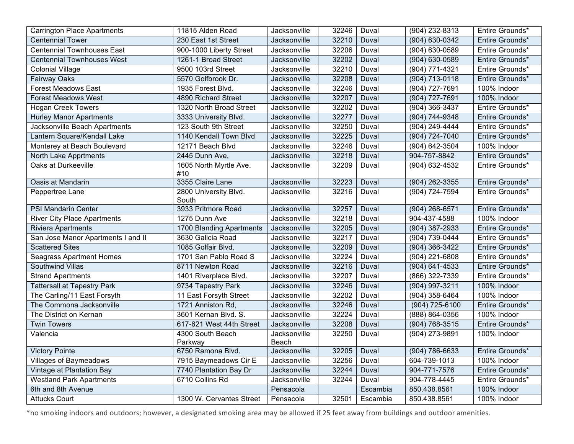| <b>Carrington Place Apartments</b> | 11815 Alden Road         | Jacksonville | 32246 | Duval    | (904) 232-8313     | Entire Grounds* |
|------------------------------------|--------------------------|--------------|-------|----------|--------------------|-----------------|
| <b>Centennial Tower</b>            | 230 East 1st Street      | Jacksonville | 32210 | Duval    | (904) 630-0342     | Entire Grounds* |
| <b>Centennial Townhouses East</b>  | 900-1000 Liberty Street  | Jacksonville | 32206 | Duval    | (904) 630-0589     | Entire Grounds* |
| <b>Centennial Townhouses West</b>  | 1261-1 Broad Street      | Jacksonville | 32202 | Duval    | (904) 630-0589     | Entire Grounds* |
| <b>Colonial Village</b>            | 9500 103rd Street        | Jacksonville | 32210 | Duval    | $(904) 771 - 4321$ | Entire Grounds* |
| <b>Fairway Oaks</b>                | 5570 Golfbrook Dr.       | Jacksonville | 32208 | Duval    | (904) 713-0118     | Entire Grounds* |
| <b>Forest Meadows East</b>         | 1935 Forest Blvd.        | Jacksonville | 32246 | Duval    | (904) 727-7691     | 100% Indoor     |
| <b>Forest Meadows West</b>         | 4890 Richard Street      | Jacksonville | 32207 | Duval    | (904) 727-7691     | 100% Indoor     |
| <b>Hogan Creek Towers</b>          | 1320 North Broad Street  | Jacksonville | 32202 | Duval    | (904) 366-3437     | Entire Grounds* |
| <b>Hurley Manor Apartments</b>     | 3333 University Blvd.    | Jacksonville | 32277 | Duval    | (904) 744-9348     | Entire Grounds* |
| Jacksonville Beach Apartments      | 123 South 9th Street     | Jacksonville | 32250 | Duval    | (904) 249-4444     | Entire Grounds* |
| Lantern Square/Kendall Lake        | 1140 Kendall Town Blvd   | Jacksonville | 32225 | Duval    | (904) 724-7040     | Entire Grounds* |
| Monterey at Beach Boulevard        | 12171 Beach Blvd         | Jacksonville | 32246 | Duval    | (904) 642-3504     | 100% Indoor     |
| North Lake Apprtments              | 2445 Dunn Ave.           | Jacksonville | 32218 | Duval    | 904-757-8842       | Entire Grounds* |
| Oaks at Durkeeville                | 1605 North Myrtle Ave.   | Jacksonville | 32209 | Duval    | (904) 632-4532     | Entire Grounds* |
| Oasis at Mandarin                  | #10<br>3355 Claire Lane  | Jacksonville | 32223 | Duval    | (904) 262-3355     | Entire Grounds* |
| Peppertree Lane                    | 2800 University Blvd.    | Jacksonville | 32216 | Duval    | $(904) 724 - 7594$ | Entire Grounds* |
|                                    | South                    |              |       |          |                    |                 |
| <b>PSI Mandarin Center</b>         | 3933 Pritmore Road       | Jacksonville | 32257 | Duval    | (904) 268-6571     | Entire Grounds* |
| <b>River City Place Apartments</b> | 1275 Dunn Ave            | Jacksonville | 32218 | Duval    | 904-437-4588       | 100% Indoor     |
| <b>Riviera Apartments</b>          | 1700 Blanding Apartments | Jacksonville | 32205 | Duval    | $(904)$ 387-2933   | Entire Grounds* |
| San Jose Manor Apartments I and II | 3630 Galicia Road        | Jacksonville | 32217 | Duval    | (904) 739-0444     | Entire Grounds* |
| <b>Scattered Sites</b>             | 1085 Golfair Blvd.       | Jacksonville | 32209 | Duval    | (904) 366-3422     | Entire Grounds* |
| <b>Seagrass Apartment Homes</b>    | 1701 San Pablo Road S    | Jacksonville | 32224 | Duval    | (904) 221-6808     | Entire Grounds* |
| <b>Southwind Villas</b>            | 8711 Newton Road         | Jacksonville | 32216 | Duval    | $(904) 641 - 4533$ | Entire Grounds* |
| <b>Strand Apartments</b>           | 1401 Riverplace Blvd.    | Jacksonville | 32207 | Duval    | (866) 322-7339     | Entire Grounds* |
| <b>Tattersall at Tapestry Park</b> | 9734 Tapestry Park       | Jacksonville | 32246 | Duval    | (904) 997-3211     | 100% Indoor     |
| The Carling/11 East Forsyth        | 11 East Forsyth Street   | Jacksonville | 32202 | Duval    | (904) 358-6464     | 100% Indoor     |
| The Commona Jacksonville           | 1721 Anniston Rd,        | Jacksonville | 32246 | Duval    | (904) 725-6100     | Entire Grounds* |
| The District on Kernan             | 3601 Kernan Blvd. S.     | Jacksonville | 32224 | Duval    | (888) 864-0356     | 100% Indoor     |
| <b>Twin Towers</b>                 | 617-621 West 44th Street | Jacksonville | 32208 | Duval    | (904) 768-3515     | Entire Grounds* |
| Valencia                           | 4300 South Beach         | Jacksonville | 32250 | Duval    | $(904)$ 273-9891   | 100% Indoor     |
|                                    | Parkway                  | Beach        |       |          |                    |                 |
| <b>Victory Pointe</b>              | 6750 Ramona Blvd.        | Jacksonville | 32205 | Duval    | (904) 786-6633     | Entire Grounds* |
| <b>Villages of Baymeadows</b>      | 7915 Baymeadows Cir E    | Jacksonville | 32256 | Duval    | 604-739-1013       | 100% Indoor     |
| Vintage at Plantation Bay          | 7740 Plantation Bay Dr   | Jacksonville | 32244 | Duval    | 904-771-7576       | Entire Grounds* |
| <b>Westland Park Apartments</b>    | 6710 Collins Rd          | Jacksonville | 32244 | Duval    | 904-778-4445       | Entire Grounds* |
| 6th and 8th Avenue                 |                          | Pensacola    |       | Escambia | 850.438.8561       | 100% Indoor     |
| <b>Attucks Court</b>               | 1300 W. Cervantes Street | Pensacola    | 32501 | Escambia | 850.438.8561       | 100% Indoor     |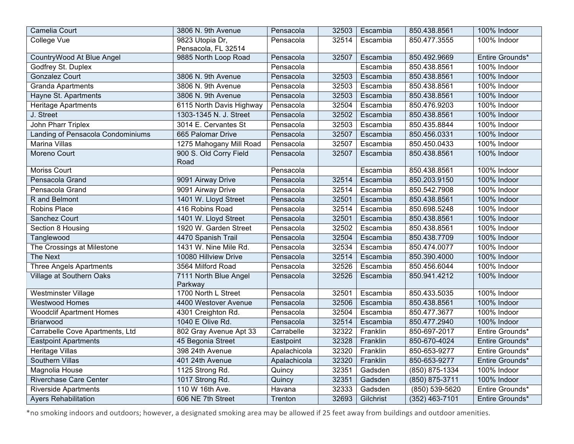| Camelia Court                     | 3806 N. 9th Avenue       | Pensacola    | 32503 | Escambia  | 850.438.8561       | 100% Indoor     |
|-----------------------------------|--------------------------|--------------|-------|-----------|--------------------|-----------------|
| College Vue                       | 9823 Utopia Dr,          | Pensacola    | 32514 | Escambia  | 850.477.3555       | 100% Indoor     |
|                                   | Pensacola, FL 32514      |              |       |           |                    |                 |
| CountryWood At Blue Angel         | 9885 North Loop Road     | Pensacola    | 32507 | Escambia  | 850.492.9669       | Entire Grounds* |
| Godfrey St. Duplex                |                          | Pensacola    |       | Escambia  | 850.438.8561       | 100% Indoor     |
| <b>Gonzalez Court</b>             | 3806 N. 9th Avenue       | Pensacola    | 32503 | Escambia  | 850.438.8561       | 100% Indoor     |
| <b>Granda Apartments</b>          | 3806 N. 9th Avenue       | Pensacola    | 32503 | Escambia  | 850.438.8561       | 100% Indoor     |
| Hayne St. Apartments              | 3806 N. 9th Avenue       | Pensacola    | 32503 | Escambia  | 850.438.8561       | 100% Indoor     |
| Heritage Apartments               | 6115 North Davis Highway | Pensacola    | 32504 | Escambia  | 850.476.9203       | 100% Indoor     |
| J. Street                         | 1303-1345 N. J. Street   | Pensacola    | 32502 | Escambia  | 850.438.8561       | 100% Indoor     |
| John Pharr Triplex                | 3014 E. Cervantes St     | Pensacola    | 32503 | Escambia  | 850.435.8844       | 100% Indoor     |
| Landing of Pensacola Condominiums | 665 Palomar Drive        | Pensacola    | 32507 | Escambia  | 850.456.0331       | 100% Indoor     |
| <b>Marina Villas</b>              | 1275 Mahogany Mill Road  | Pensacola    | 32507 | Escambia  | 850.450.0433       | 100% Indoor     |
| Moreno Court                      | 900 S. Old Corry Field   | Pensacola    | 32507 | Escambia  | 850.438.8561       | 100% Indoor     |
|                                   | Road                     |              |       |           |                    |                 |
| <b>Moriss Court</b>               |                          | Pensacola    |       | Escambia  | 850.438.8561       | 100% Indoor     |
| Pensacola Grand                   | 9091 Airway Drive        | Pensacola    | 32514 | Escambia  | 850.203.9150       | 100% Indoor     |
| Pensacola Grand                   | 9091 Airway Drive        | Pensacola    | 32514 | Escambia  | 850.542.7908       | 100% Indoor     |
| R and Belmont                     | 1401 W. Lloyd Street     | Pensacola    | 32501 | Escambia  | 850.438.8561       | 100% Indoor     |
| <b>Robins Place</b>               | 416 Robins Road          | Pensacola    | 32514 | Escambia  | 850.698.5248       | 100% Indoor     |
| Sanchez Court                     | 1401 W. Lloyd Street     | Pensacola    | 32501 | Escambia  | 850.438.8561       | 100% Indoor     |
| Section 8 Housing                 | 1920 W. Garden Street    | Pensacola    | 32502 | Escambia  | 850.438.8561       | 100% Indoor     |
| Tanglewood                        | 4470 Spanish Trail       | Pensacola    | 32504 | Escambia  | 850.438.7709       | 100% Indoor     |
| The Crossings at Milestone        | 1431 W. Nine Mile Rd.    | Pensacola    | 32534 | Escambia  | 850.474.0077       | 100% Indoor     |
| The Next                          | 10080 Hillview Drive     | Pensacola    | 32514 | Escambia  | 850.390.4000       | 100% Indoor     |
| <b>Three Angels Apartments</b>    | 3564 Milford Road        | Pensacola    | 32526 | Escambia  | 850.456.6044       | 100% Indoor     |
| Village at Southern Oaks          | 7111 North Blue Angel    | Pensacola    | 32526 | Escambia  | 850.941.4212       | 100% Indoor     |
|                                   | Parkway                  |              |       |           |                    |                 |
| <b>Westminster Village</b>        | 1700 North L Street      | Pensacola    | 32501 | Escambia  | 850.433.5035       | 100% Indoor     |
| <b>Westwood Homes</b>             | 4400 Westover Avenue     | Pensacola    | 32506 | Escambia  | 850.438.8561       | 100% Indoor     |
| <b>Woodclif Apartment Homes</b>   | 4301 Creighton Rd.       | Pensacola    | 32504 | Escambia  | 850.477.3677       | 100% Indoor     |
| <b>Briarwood</b>                  | 1040 E Olive Rd.         | Pensacola    | 32514 | Escambia  | 850.477.2940       | 100% Indoor     |
| Carrabelle Cove Apartments, Ltd   | 802 Gray Avenue Apt 33   | Carrabelle   | 32322 | Franklin  | 850-697-2017       | Entire Grounds* |
| <b>Eastpoint Apartments</b>       | 45 Begonia Street        | Eastpoint    | 32328 | Franklin  | 850-670-4024       | Entire Grounds* |
| <b>Heritage Villas</b>            | 398 24th Avenue          | Apalachicola | 32320 | Franklin  | 850-653-9277       | Entire Grounds* |
| <b>Southern Villas</b>            | 401 24th Avenue          | Apalachicola | 32320 | Franklin  | 850-653-9277       | Entire Grounds* |
| Magnolia House                    | 1125 Strong Rd.          | Quincy       | 32351 | Gadsden   | (850) 875-1334     | 100% Indoor     |
| <b>Riverchase Care Center</b>     | 1017 Strong Rd.          | Quincy       | 32351 | Gadsden   | (850) 875-3711     | 100% Indoor     |
| <b>Riverside Apartments</b>       | 110 W 16th Ave.          | Havana       | 32333 | Gadsden   | $(850) 539 - 5620$ | Entire Grounds* |
| <b>Ayers Rehabilitation</b>       | 606 NE 7th Street        | Trenton      | 32693 | Gilchrist | (352) 463-7101     | Entire Grounds* |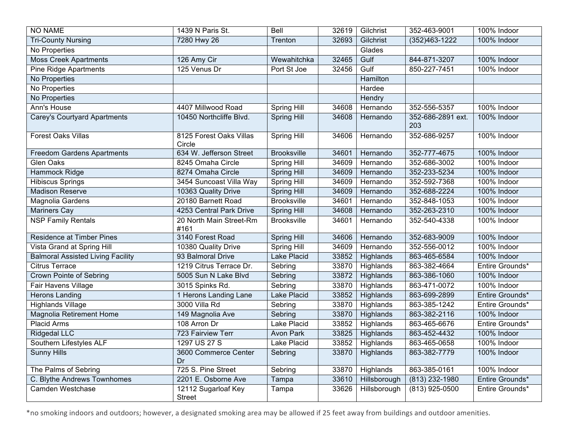| <b>NO NAME</b>                           | 1439 N Paris St.                     | Bell               | 32619 | Gilchrist        | 352-463-9001             | 100% Indoor     |
|------------------------------------------|--------------------------------------|--------------------|-------|------------------|--------------------------|-----------------|
| <b>Tri-County Nursing</b>                | 7280 Hwy 26                          | Trenton            | 32693 | Gilchrist        | (352)463-1222            | 100% Indoor     |
| No Properties                            |                                      |                    |       | Glades           |                          |                 |
| <b>Moss Creek Apartments</b>             | 126 Amy Cir                          | Wewahitchka        | 32465 | Gulf             | 844-871-3207             | 100% Indoor     |
| <b>Pine Ridge Apartments</b>             | 125 Venus Dr                         | Port St Joe        | 32456 | Gulf             | 850-227-7451             | 100% Indoor     |
| No Properties                            |                                      |                    |       | Hamilton         |                          |                 |
| No Properties                            |                                      |                    |       | Hardee           |                          |                 |
| No Properties                            |                                      |                    |       | Hendry           |                          |                 |
| Ann's House                              | 4407 Millwood Road                   | <b>Spring Hill</b> | 34608 | Hernando         | 352-556-5357             | 100% Indoor     |
| <b>Carey's Courtyard Apartments</b>      | 10450 Northcliffe Blvd.              | <b>Spring Hill</b> | 34608 | Hernando         | 352-686-2891 ext.<br>203 | 100% Indoor     |
| <b>Forest Oaks Villas</b>                | 8125 Forest Oaks Villas<br>Circle    | <b>Spring Hill</b> | 34606 | Hernando         | 352-686-9257             | 100% Indoor     |
| <b>Freedom Gardens Apartments</b>        | 634 W. Jefferson Street              | <b>Brooksville</b> | 34601 | Hernando         | 352-777-4675             | 100% Indoor     |
| <b>Glen Oaks</b>                         | 8245 Omaha Circle                    | <b>Spring Hill</b> | 34609 | Hernando         | 352-686-3002             | 100% Indoor     |
| <b>Hammock Ridge</b>                     | 8274 Omaha Circle                    | <b>Spring Hill</b> | 34609 | Hernando         | 352-233-5234             | 100% Indoor     |
| <b>Hibiscus Springs</b>                  | 3454 Suncoast Villa Way              | <b>Spring Hill</b> | 34609 | Hernando         | 352-592-7368             | 100% Indoor     |
| <b>Madison Reserve</b>                   | 10363 Quality Drive                  | <b>Spring Hill</b> | 34609 | Hernando         | 352-688-2224             | 100% Indoor     |
| Magnolia Gardens                         | 20180 Barnett Road                   | <b>Brooksville</b> | 34601 | Hernando         | 352-848-1053             | 100% Indoor     |
| <b>Mariners Cay</b>                      | 4253 Central Park Drive              | <b>Spring Hill</b> | 34608 | Hernando         | 352-263-2310             | 100% Indoor     |
| <b>NSP Family Rentals</b>                | 20 North Main Street-Rm<br>#161      | <b>Brooksville</b> | 34601 | Hernando         | 352-540-4338             | 100% Indoor     |
| <b>Residence at Timber Pines</b>         | 3140 Forest Road                     | Spring Hill        | 34606 | Hernando         | 352-683-9009             | 100% Indoor     |
| Vista Grand at Spring Hill               | 10380 Quality Drive                  | Spring Hill        | 34609 | Hernando         | 352-556-0012             | 100% Indoor     |
| <b>Balmoral Assisted Living Facility</b> | 93 Balmoral Drive                    | <b>Lake Placid</b> | 33852 | Highlands        | 863-465-6584             | 100% Indoor     |
| <b>Citrus Terrace</b>                    | 1219 Citrus Terrace Dr.              | Sebring            | 33870 | Highlands        | 863-382-4664             | Entire Grounds* |
| <b>Crown Pointe of Sebring</b>           | 5005 Sun N Lake Blvd                 | Sebring            | 33872 | <b>Highlands</b> | 863-386-1060             | 100% Indoor     |
| Fair Havens Village                      | 3015 Spinks Rd.                      | Sebring            | 33870 | Highlands        | 863-471-0072             | 100% Indoor     |
| <b>Herons Landing</b>                    | 1 Herons Landing Lane                | Lake Placid        | 33852 | Highlands        | 863-699-2899             | Entire Grounds* |
| <b>Highlands Village</b>                 | 3000 Villa Rd                        | Sebring            | 33870 | Highlands        | 863-385-1242             | Entire Grounds* |
| <b>Magnolia Retirement Home</b>          | 149 Magnolia Ave                     | Sebring            | 33870 | Highlands        | 863-382-2116             | 100% Indoor     |
| <b>Placid Arms</b>                       | 108 Arron Dr                         | Lake Placid        | 33852 | Highlands        | 863-465-6676             | Entire Grounds* |
| <b>Ridgedal LLC</b>                      | 723 Fairview Terr                    | <b>Avon Park</b>   | 33825 | Highlands        | 863-452-4432             | 100% Indoor     |
| Southern Lifestyles ALF                  | 1297 US 27 S                         | Lake Placid        | 33852 | Highlands        | 863-465-0658             | 100% Indoor     |
| <b>Sunny Hills</b>                       | 3600 Commerce Center<br>Dr           | Sebring            | 33870 | Highlands        | 863-382-7779             | 100% Indoor     |
| The Palms of Sebring                     | 725 S. Pine Street                   | Sebring            | 33870 | Highlands        | 863-385-0161             | 100% Indoor     |
| C. Blythe Andrews Townhomes              | 2201 E. Osborne Ave                  | Tampa              | 33610 | Hillsborough     | $(813)$ 232-1980         | Entire Grounds* |
| <b>Camden Westchase</b>                  | 12112 Sugarloaf Key<br><b>Street</b> | Tampa              | 33626 | Hillsborough     | $(813)$ 925-0500         | Entire Grounds* |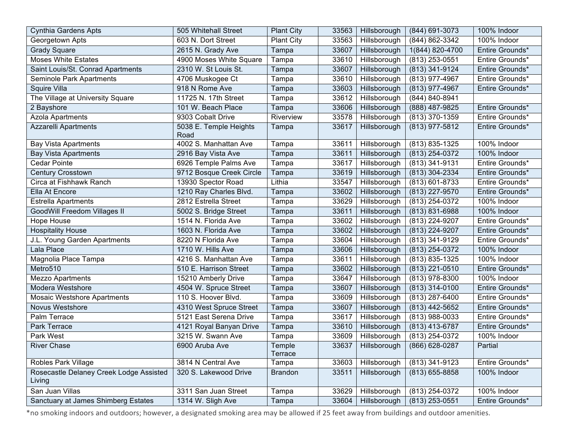| <b>Cynthia Gardens Apts</b>                       | 505 Whitehall Street           | <b>Plant City</b> | 33563 | Hillsborough | (844) 691-3073   | 100% Indoor     |
|---------------------------------------------------|--------------------------------|-------------------|-------|--------------|------------------|-----------------|
| Georgetown Apts                                   | 603 N. Dort Street             | <b>Plant City</b> | 33563 | Hillsborough | (844) 862-3342   | 100% Indoor     |
| <b>Grady Square</b>                               | 2615 N. Grady Ave              | Tampa             | 33607 | Hillsborough | 1(844) 820-4700  | Entire Grounds* |
| <b>Moses White Estates</b>                        | 4900 Moses White Square        | Tampa             | 33610 | Hillsborough | (813) 253-0551   | Entire Grounds* |
| Saint Louis/St. Conrad Apartments                 | 2310 W. St Louis St.           | Tampa             | 33607 | Hillsborough | (813) 341-9124   | Entire Grounds* |
| Seminole Park Apartments                          | 4706 Muskogee Ct               | Tampa             | 33610 | Hillsborough | (813) 977-4967   | Entire Grounds* |
| Squire Villa                                      | 918 N Rome Ave                 | Tampa             | 33603 | Hillsborough | (813) 977-4967   | Entire Grounds* |
| The Village at University Square                  | 11725 N. 17th Street           | Tampa             | 33612 | Hillsborough | (844) 840-8941   |                 |
| 2 Bayshore                                        | 101 W. Beach Place             | Tampa             | 33606 | Hillsborough | (888) 487-9825   | Entire Grounds* |
| Azola Apartments                                  | 9303 Cobalt Drive              | Riverview         | 33578 | Hillsborough | (813) 370-1359   | Entire Grounds* |
| <b>Azzarelli Apartments</b>                       | 5038 E. Temple Heights<br>Road | Tampa             | 33617 | Hillsborough | (813) 977-5812   | Entire Grounds* |
| <b>Bay Vista Apartments</b>                       | 4002 S. Manhattan Ave          | Tampa             | 33611 | Hillsborough | (813) 835-1325   | 100% Indoor     |
| <b>Bay Vista Apartments</b>                       | 2916 Bay Vista Ave             | Tampa             | 33611 | Hillsborough | (813) 254-0372   | 100% Indoor     |
| <b>Cedar Pointe</b>                               | 6926 Temple Palms Ave          | Tampa             | 33617 | Hillsborough | (813) 341-9131   | Entire Grounds* |
| Century Crosstown                                 | 9712 Bosque Creek Circle       | Tampa             | 33619 | Hillsborough | (813) 304-2334   | Entire Grounds* |
| Circa at Fishhawk Ranch                           | 13930 Spector Road             | Lithia            | 33547 | Hillsborough | (813) 601-8733   | Entire Grounds* |
| Ella At Encore                                    | 1210 Ray Charles Blvd.         | Tampa             | 33602 | Hillsborough | (813) 227-9570   | Entire Grounds* |
| <b>Estrella Apartments</b>                        | 2812 Estrella Street           | Tampa             | 33629 | Hillsborough | (813) 254-0372   | 100% Indoor     |
| GoodWill Freedom Villages II                      | 5002 S. Bridge Street          | Tampa             | 33611 | Hillsborough | (813) 831-6988   | 100% Indoor     |
| Hope House                                        | 1514 N. Florida Ave            | Tampa             | 33602 | Hillsborough | (813) 224-9207   | Entire Grounds* |
| <b>Hospitality House</b>                          | 1603 N. Florida Ave            | Tampa             | 33602 | Hillsborough | (813) 224-9207   | Entire Grounds* |
| J.L. Young Garden Apartments                      | 8220 N Florida Ave             | Tampa             | 33604 | Hillsborough | (813) 341-9129   | Entire Grounds* |
| Lala Place                                        | 1710 W. Hills Ave              | Tampa             | 33606 | Hillsborough | (813) 254-0372   | 100% Indoor     |
| Magnolia Place Tampa                              | 4216 S. Manhattan Ave          | Tampa             | 33611 | Hillsborough | (813) 835-1325   | 100% Indoor     |
| Metro510                                          | 510 E. Harrison Street         | Tampa             | 33602 | Hillsborough | (813) 221-0510   | Entire Grounds* |
| Mezzo Apartments                                  | 15210 Amberly Drive            | Tampa             | 33647 | Hillsborough | (813) 978-8300   | 100% Indoor     |
| Modera Westshore                                  | 4504 W. Spruce Street          | Tampa             | 33607 | Hillsborough | $(813)$ 314-0100 | Entire Grounds* |
| <b>Mosaic Westshore Apartments</b>                | 110 S. Hoover Blvd.            | Tampa             | 33609 | Hillsborough | $(813)$ 287-6400 | Entire Grounds* |
| Novus Westshore                                   | 4310 West Spruce Street        | Tampa             | 33607 | Hillsborough | (813) 442-5652   | Entire Grounds* |
| Palm Terrace                                      | 5121 East Serena Drive         | Tampa             | 33617 | Hillsborough | (813) 988-0033   | Entire Grounds* |
| Park Terrace                                      | 4121 Royal Banyan Drive        | Tampa             | 33610 | Hillsborough | (813) 413-6787   | Entire Grounds* |
| Park West                                         | 3215 W. Swann Ave              | Tampa             | 33609 | Hillsborough | (813) 254-0372   | 100% Indoor     |
| <b>River Chase</b>                                | 6900 Aruba Ave                 | Temple<br>Terrace | 33637 | Hillsborough | (866) 628-0287   | Partial         |
| Robles Park Village                               | 3814 N Central Ave             | Tampa             | 33603 | Hillsborough | (813) 341-9123   | Entire Grounds* |
| Rosecastle Delaney Creek Lodge Assisted<br>Living | 320 S. Lakewood Drive          | <b>Brandon</b>    | 33511 | Hillsborough | (813) 655-8858   | 100% Indoor     |
| San Juan Villas                                   | 3311 San Juan Street           | Tampa             | 33629 | Hillsborough | (813) 254-0372   | 100% Indoor     |
| Sanctuary at James Shimberg Estates               | 1314 W. Sligh Ave              | Tampa             | 33604 | Hillsborough | $(813)$ 253-0551 | Entire Grounds* |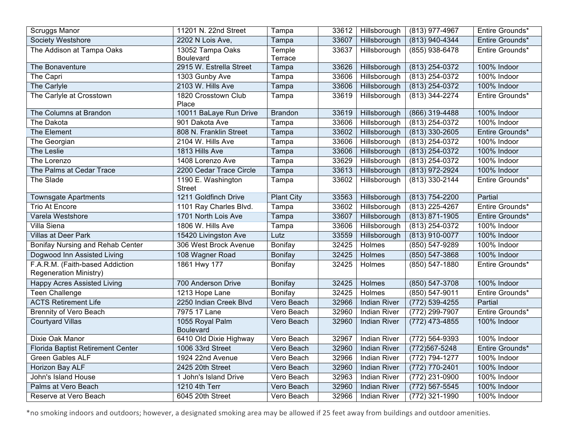| Scruggs Manor                                                    | 11201 N. 22nd Street                | Tampa             | 33612 | Hillsborough        | (813) 977-4967     | Entire Grounds* |
|------------------------------------------------------------------|-------------------------------------|-------------------|-------|---------------------|--------------------|-----------------|
| <b>Society Westshore</b>                                         | 2202 N Lois Ave,                    | Tampa             | 33607 | Hillsborough        | (813) 940-4344     | Entire Grounds* |
| The Addison at Tampa Oaks                                        | 13052 Tampa Oaks                    | Temple            | 33637 | Hillsborough        | (855) 938-6478     | Entire Grounds* |
|                                                                  | <b>Boulevard</b>                    | Terrace           |       |                     |                    |                 |
| The Bonaventure                                                  | 2915 W. Estrella Street             | Tampa             | 33626 | Hillsborough        | (813) 254-0372     | 100% Indoor     |
| The Capri                                                        | 1303 Gunby Ave                      | Tampa             | 33606 | Hillsborough        | (813) 254-0372     | 100% Indoor     |
| The Carlyle                                                      | 2103 W. Hills Ave                   | Tampa             | 33606 | Hillsborough        | (813) 254-0372     | 100% Indoor     |
| The Carlyle at Crosstown                                         | 1820 Crosstown Club<br>Place        | Tampa             | 33619 | Hillsborough        | (813) 344-2274     | Entire Grounds* |
| The Columns at Brandon                                           | 10011 BaLaye Run Drive              | <b>Brandon</b>    | 33619 | Hillsborough        | (866) 319-4488     | 100% Indoor     |
| The Dakota                                                       | 901 Dakota Ave                      | Tampa             | 33606 | Hillsborough        | (813) 254-0372     | 100% Indoor     |
| The Element                                                      | 808 N. Franklin Street              | Tampa             | 33602 | Hillsborough        | $(813)$ 330-2605   | Entire Grounds* |
| The Georgian                                                     | 2104 W. Hills Ave                   | Tampa             | 33606 | Hillsborough        | (813) 254-0372     | 100% Indoor     |
| The Leslie                                                       | 1813 Hills Ave                      | Tampa             | 33606 | Hillsborough        | (813) 254-0372     | 100% Indoor     |
| The Lorenzo                                                      | 1408 Lorenzo Ave                    | Tampa             | 33629 | Hillsborough        | (813) 254-0372     | 100% Indoor     |
| The Palms at Cedar Trace                                         | 2200 Cedar Trace Circle             | Tampa             | 33613 | Hillsborough        | (813) 972-2924     | 100% Indoor     |
| The Slade                                                        | 1190 E. Washington<br><b>Street</b> | Tampa             | 33602 | Hillsborough        | $(813)$ 330-2144   | Entire Grounds* |
| <b>Townsgate Apartments</b>                                      | 1211 Goldfinch Drive                | <b>Plant City</b> | 33563 | Hillsborough        | (813) 754-2200     | Partial         |
| Trio At Encore                                                   | 1101 Ray Charles Blvd.              | Tampa             | 33602 | Hillsborough        | (813) 225-4267     | Entire Grounds* |
| Varela Westshore                                                 | 1701 North Lois Ave                 | Tampa             | 33607 | Hillsborough        | (813) 871-1905     | Entire Grounds* |
| Villa Siena                                                      | 1806 W. Hills Ave                   | Tampa             | 33606 | Hillsborough        | $(813)$ 254-0372   | 100% Indoor     |
| <b>Villas at Deer Park</b>                                       | 15420 Livingston Ave                | Lutz              | 33559 | Hillsborough        | (813) 910-0077     | 100% Indoor     |
| Bonifay Nursing and Rehab Center                                 | 306 West Brock Avenue               | Bonifay           | 32425 | Holmes              | (850) 547-9289     | 100% Indoor     |
| Dogwood Inn Assisted Living                                      | 108 Wagner Road                     | <b>Bonifay</b>    | 32425 | Holmes              | (850) 547-3868     | 100% Indoor     |
| F.A.R.M. (Faith-based Addiction<br><b>Regeneration Ministry)</b> | 1861 Hwy 177                        | Bonifay           | 32425 | Holmes              | $(850) 547 - 1880$ | Entire Grounds* |
| <b>Happy Acres Assisted Living</b>                               | 700 Anderson Drive                  | Bonifay           | 32425 | <b>Holmes</b>       | (850) 547-3708     | 100% Indoor     |
| <b>Teen Challenge</b>                                            | 1213 Hope Lane                      | Bonifay           | 32425 | <b>Holmes</b>       | $(850) 547 - 9011$ | Entire Grounds* |
| <b>ACTS Retirement Life</b>                                      | 2250 Indian Creek Blvd              | Vero Beach        | 32966 | <b>Indian River</b> | (772) 539-4255     | Partial         |
| <b>Brennity of Vero Beach</b>                                    | 7975 17 Lane                        | Vero Beach        | 32960 | <b>Indian River</b> | (772) 299-7907     | Entire Grounds* |
| <b>Courtyard Villas</b>                                          | 1055 Royal Palm<br><b>Boulevard</b> | Vero Beach        | 32960 | <b>Indian River</b> | $(772)$ 473-4855   | 100% Indoor     |
| Dixie Oak Manor                                                  | 6410 Old Dixie Highway              | Vero Beach        | 32967 | <b>Indian River</b> | (772) 564-9393     | 100% Indoor     |
| Florida Baptist Retirement Center                                | 1006 33rd Street                    | Vero Beach        | 32960 | <b>Indian River</b> | (772) 567-5248     | Entire Grounds* |
| <b>Green Gables ALF</b>                                          | 1924 22nd Avenue                    | Vero Beach        | 32966 | <b>Indian River</b> | $(772) 794 - 1277$ | 100% Indoor     |
| <b>Horizon Bay ALF</b>                                           | 2425 20th Street                    | Vero Beach        | 32960 | <b>Indian River</b> | (772) 770-2401     | 100% Indoor     |
| John's Island House                                              | 1 John's Island Drive               | Vero Beach        | 32963 | Indian River        | (772) 231-0900     | 100% Indoor     |
| Palms at Vero Beach                                              | 1210 4th Terr                       | Vero Beach        | 32960 | <b>Indian River</b> | (772) 567-5545     | 100% Indoor     |
| Reserve at Vero Beach                                            | 6045 20th Street                    | Vero Beach        | 32966 | <b>Indian River</b> | (772) 321-1990     | 100% Indoor     |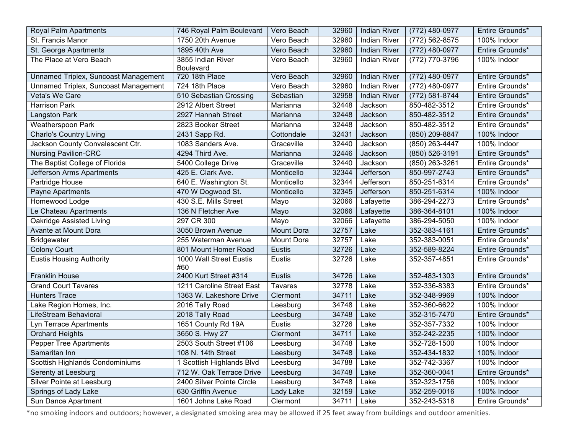| Royal Palm Apartments                | 746 Royal Palm Boulevard              | Vero Beach        | 32960 | <b>Indian River</b> | (772) 480-0977 | Entire Grounds* |
|--------------------------------------|---------------------------------------|-------------------|-------|---------------------|----------------|-----------------|
| St. Francis Manor                    | 1750 20th Avenue                      | Vero Beach        | 32960 | <b>Indian River</b> | (772) 562-8575 | 100% Indoor     |
| St. George Apartments                | 1895 40th Ave                         | Vero Beach        | 32960 | <b>Indian River</b> | (772) 480-0977 | Entire Grounds* |
| The Place at Vero Beach              | 3855 Indian River<br><b>Boulevard</b> | Vero Beach        | 32960 | <b>Indian River</b> | (772) 770-3796 | 100% Indoor     |
| Unnamed Triplex, Suncoast Management | 720 18th Place                        | Vero Beach        | 32960 | <b>Indian River</b> | (772) 480-0977 | Entire Grounds* |
| Unnamed Triplex, Suncoast Management | 724 18th Place                        | Vero Beach        | 32960 | <b>Indian River</b> | (772) 480-0977 | Entire Grounds* |
| Veta's We Care                       | 510 Sebastian Crossing                | Sebastian         | 32958 | <b>Indian River</b> | (772) 581-8744 | Entire Grounds* |
| <b>Harrison Park</b>                 | 2912 Albert Street                    | Marianna          | 32448 | Jackson             | 850-482-3512   | Entire Grounds* |
| Langston Park                        | 2927 Hannah Street                    | Marianna          | 32448 | Jackson             | 850-482-3512   | Entire Grounds* |
| <b>Weatherspoon Park</b>             | 2823 Booker Street                    | Marianna          | 32448 | Jackson             | 850-482-3512   | Entire Grounds* |
| <b>Charlo's Country Living</b>       | 2431 Sapp Rd.                         | Cottondale        | 32431 | Jackson             | (850) 209-8847 | 100% Indoor     |
| Jackson County Convalescent Ctr.     | 1083 Sanders Ave.                     | Graceville        | 32440 | Jackson             | (850) 263-4447 | 100% Indoor     |
| <b>Nursing Pavilion-CRC</b>          | 4294 Third Ave.                       | Marianna          | 32446 | Jackson             | (850) 526-3191 | Entire Grounds* |
| The Baptist College of Florida       | 5400 College Drive                    | Graceville        | 32440 | Jackson             | (850) 263-3261 | Entire Grounds* |
| Jefferson Arms Apartments            | 425 E. Clark Ave.                     | Monticello        | 32344 | Jefferson           | 850-997-2743   | Entire Grounds* |
| Partridge House                      | 640 E. Washington St.                 | Monticello        | 32344 | Jefferson           | 850-251-6314   | Entire Grounds* |
| Payne Apartments                     | 470 W Dogwood St.                     | Monticello        | 32345 | Jefferson           | 850-251-6314   | 100% Indoor     |
| Homewood Lodge                       | 430 S.E. Mills Street                 | Mayo              | 32066 | Lafayette           | 386-294-2273   | Entire Grounds* |
| Le Chateau Apartments                | 136 N Fletcher Ave                    | Mayo              | 32066 | Lafayette           | 386-364-8101   | 100% Indoor     |
| Oakridge Assisted Living             | 297 CR 300                            | Mayo              | 32066 | Lafayette           | 386-294-5050   | 100% Indoor     |
| Avante at Mount Dora                 | 3050 Brown Avenue                     | <b>Mount Dora</b> | 32757 | Lake                | 352-383-4161   | Entire Grounds* |
| <b>Bridgewater</b>                   | 255 Waterman Avenue                   | Mount Dora        | 32757 | Lake                | 352-383-0051   | Entire Grounds* |
| <b>Colony Court</b>                  | 801 Mount Homer Road                  | Eustis            | 32726 | Lake                | 352-589-8224   | Entire Grounds* |
| <b>Eustis Housing Authority</b>      | 1000 Wall Street Eustis<br>#60        | Eustis            | 32726 | Lake                | 352-357-4851   | Entire Grounds* |
| <b>Franklin House</b>                | 2400 Kurt Street #314                 | Eustis            | 34726 | Lake                | 352-483-1303   | Entire Grounds* |
| <b>Grand Court Tavares</b>           | 1211 Caroline Street East             | <b>Tavares</b>    | 32778 | Lake                | 352-336-8383   | Entire Grounds* |
| <b>Hunters Trace</b>                 | 1363 W. Lakeshore Drive               | Clermont          | 34711 | Lake                | 352-348-9969   | 100% Indoor     |
| Lake Region Homes, Inc.              | 2016 Tally Road                       | Leesburg          | 34748 | Lake                | 352-360-6622   | 100% Indoor     |
| LifeStream Behavioral                | 2018 Tally Road                       | Leesburg          | 34748 | Lake                | 352-315-7470   | Entire Grounds* |
| Lyn Terrace Apartments               | 1651 County Rd 19A                    | Eustis            | 32726 | Lake                | 352-357-7332   | 100% Indoor     |
| <b>Orchard Heights</b>               | 3650 S. Hwy 27                        | Clermont          | 34711 | Lake                | 352-242-2235   | 100% Indoor     |
| <b>Pepper Tree Apartments</b>        | 2503 South Street #106                | Leesburg          | 34748 | Lake                | 352-728-1500   | 100% Indoor     |
| Samaritan Inn                        | 108 N. 14th Street                    | Leesburg          | 34748 | Lake                | 352-434-1832   | 100% Indoor     |
| Scottish Highlands Condominiums      | 1 Scottish Highlands Blvd             | Leesburg          | 34788 | Lake                | 352-742-3367   | 100% Indoor     |
| Serenty at Leesburg                  | 712 W. Oak Terrace Drive              | Leesburg          | 34748 | Lake                | 352-360-0041   | Entire Grounds* |
| Silver Pointe at Leesburg            | 2400 Silver Pointe Circle             | Leesburg          | 34748 | Lake                | 352-323-1756   | 100% Indoor     |
| Springs of Lady Lake                 | 630 Griffin Avenue                    | Lady Lake         | 32159 | Lake                | 352-259-0016   | 100% Indoor     |
| Sun Dance Apartment                  | 1601 Johns Lake Road                  | Clermont          | 34711 | Lake                | 352-243-5318   | Entire Grounds* |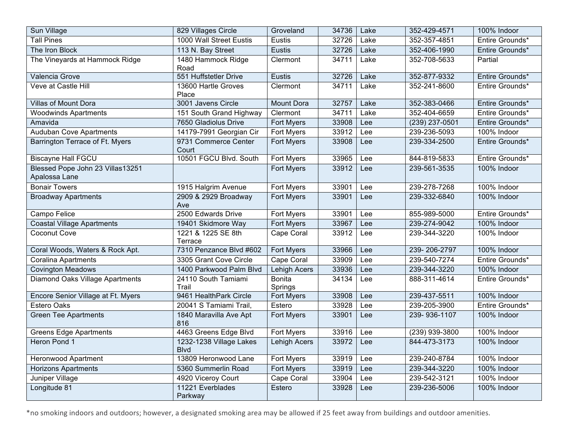| Sun Village                                       | 829 Villages Circle                    | Groveland                | 34736 | Lake | 352-429-4571     | 100% Indoor     |
|---------------------------------------------------|----------------------------------------|--------------------------|-------|------|------------------|-----------------|
| <b>Tall Pines</b>                                 | 1000 Wall Street Eustis                | Eustis                   | 32726 | Lake | 352-357-4851     | Entire Grounds* |
| The Iron Block                                    | 113 N. Bay Street                      | Eustis                   | 32726 | Lake | 352-406-1990     | Entire Grounds* |
| The Vineyards at Hammock Ridge                    | 1480 Hammock Ridge<br>Road             | Clermont                 | 34711 | Lake | 352-708-5633     | Partial         |
| Valencia Grove                                    | 551 Huffstetler Drive                  | Eustis                   | 32726 | Lake | 352-877-9332     | Entire Grounds* |
| Veve at Castle Hill                               | 13600 Hartle Groves<br>Place           | Clermont                 | 34711 | Lake | 352-241-8600     | Entire Grounds* |
| <b>Villas of Mount Dora</b>                       | 3001 Javens Circle                     | <b>Mount Dora</b>        | 32757 | Lake | 352-383-0466     | Entire Grounds* |
| <b>Woodwinds Apartments</b>                       | 151 South Grand Highway                | Clermont                 | 34711 | Lake | 352-404-6659     | Entire Grounds* |
| Amavida                                           | 7650 Gladiolus Drive                   | <b>Fort Myers</b>        | 33908 | Lee  | $(239)$ 237-0501 | Entire Grounds* |
| <b>Auduban Cove Apartments</b>                    | 14179-7991 Georgian Cir                | <b>Fort Myers</b>        | 33912 | Lee  | 239-236-5093     | 100% Indoor     |
| Barrington Terrace of Ft. Myers                   | 9731 Commerce Center<br>Court          | Fort Myers               | 33908 | Lee  | 239-334-2500     | Entire Grounds* |
| <b>Biscayne Hall FGCU</b>                         | 10501 FGCU Blvd. South                 | <b>Fort Myers</b>        | 33965 | Lee  | 844-819-5833     | Entire Grounds* |
| Blessed Pope John 23 Villas13251<br>Apalossa Lane |                                        | <b>Fort Myers</b>        | 33912 | Lee  | 239-561-3535     | 100% Indoor     |
| <b>Bonair Towers</b>                              | 1915 Halgrim Avenue                    | Fort Myers               | 33901 | Lee  | 239-278-7268     | 100% Indoor     |
| <b>Broadway Apartments</b>                        | 2909 & 2929 Broadway<br>Ave            | Fort Myers               | 33901 | Lee  | 239-332-6840     | 100% Indoor     |
| Campo Felice                                      | 2500 Edwards Drive                     | <b>Fort Myers</b>        | 33901 | Lee  | 855-989-5000     | Entire Grounds* |
| <b>Coastal Village Apartments</b>                 | 19401 Skidmore Way                     | Fort Myers               | 33967 | Lee  | 239-274-9042     | 100% Indoor     |
| Coconut Cove                                      | 1221 & 1225 SE 8th<br>Terrace          | Cape Coral               | 33912 | Lee  | 239-344-3220     | 100% Indoor     |
| Coral Woods, Waters & Rock Apt.                   | 7310 Penzance Blvd #602                | <b>Fort Myers</b>        | 33966 | Lee  | 239-206-2797     | 100% Indoor     |
| <b>Coralina Apartments</b>                        | 3305 Grant Cove Circle                 | Cape Coral               | 33909 | Lee  | 239-540-7274     | Entire Grounds* |
| <b>Covington Meadows</b>                          | 1400 Parkwood Palm Blvd                | <b>Lehigh Acers</b>      | 33936 | Lee  | 239-344-3220     | 100% Indoor     |
| <b>Diamond Oaks Village Apartments</b>            | 24110 South Tamiami<br>Trail           | <b>Bonita</b><br>Springs | 34134 | Lee  | 888-311-4614     | Entire Grounds* |
| Encore Senior Village at Ft. Myers                | 9461 HealthPark Circle                 | Fort Myers               | 33908 | Lee  | 239-437-5511     | 100% Indoor     |
| <b>Estero Oaks</b>                                | 20041 S Tamiami Trail,                 | Estero                   | 33928 | Lee  | 239-205-3900     | Entire Grounds* |
| <b>Green Tee Apartments</b>                       | 1840 Maravilla Ave Apt<br>816          | Fort Myers               | 33901 | Lee  | 239-936-1107     | 100% Indoor     |
| <b>Greens Edge Apartments</b>                     | 4463 Greens Edge Blvd                  | <b>Fort Myers</b>        | 33916 | Lee  | $(239)$ 939-3800 | 100% Indoor     |
| Heron Pond 1                                      | 1232-1238 Village Lakes<br><b>Blvd</b> | <b>Lehigh Acers</b>      | 33972 | Lee  | 844-473-3173     | 100% Indoor     |
| <b>Heronwood Apartment</b>                        | 13809 Heronwood Lane                   | Fort Myers               | 33919 | Lee  | 239-240-8784     | 100% Indoor     |
| <b>Horizons Apartments</b>                        | 5360 Summerlin Road                    | Fort Myers               | 33919 | Lee  | 239-344-3220     | 100% Indoor     |
| Juniper Village                                   | 4920 Viceroy Court                     | Cape Coral               | 33904 | Lee  | 239-542-3121     | 100% Indoor     |
| Longitude 81                                      | 11221 Everblades<br>Parkway            | Estero                   | 33928 | Lee  | 239-236-5006     | 100% Indoor     |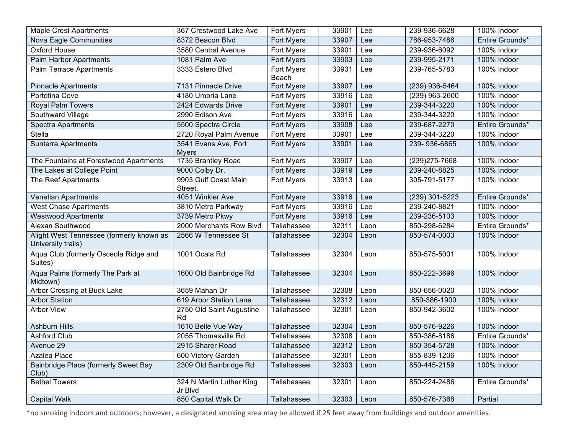| <b>Maple Crest Apartments</b>                                  | 367 Crestwood Lake Ave               | <b>Fort Myers</b> | 33901 | Lee  | 239-936-6628   | 100% Indoor     |
|----------------------------------------------------------------|--------------------------------------|-------------------|-------|------|----------------|-----------------|
| Nova Eagle Communities                                         | 8372 Beacon Blvd                     | Fort Myers        | 33907 | Lee  | 786-953-7486   | Entire Grounds* |
| Oxford House                                                   | 3580 Central Avenue                  | Fort Myers        | 33901 | Lee  | 239-936-6092   | 100% Indoor     |
| Palm Harbor Apartments                                         | 1081 Palm Ave                        | Fort Myers        | 33903 | Lee  | 239-995-2171   | 100% Indoor     |
| Palm Terrace Apartments                                        | 3333 Estero Blvd                     | Fort Myers        | 33931 | Lee  | 239-765-5783   | 100% Indoor     |
|                                                                |                                      | Beach             |       |      |                |                 |
| <b>Pinnacle Apartments</b>                                     | 7131 Pinnacle Drive                  | Fort Myers        | 33907 | Lee  | (239) 936-5464 | 100% Indoor     |
| Portofina Cove                                                 | 4180 Umbria Lane                     | Fort Myers        | 33916 | Lee  | (239) 963-2600 | 100% Indoor     |
| Royal Palm Towers                                              | 2424 Edwards Drive                   | Fort Myers        | 33901 | Lee  | 239-344-3220   | 100% Indoor     |
| Southward Village                                              | 2990 Edison Ave                      | Fort Myers        | 33916 | Lee  | 239-344-3220   | 100% Indoor     |
| <b>Spectra Apartments</b>                                      | 5500 Spectra Circle                  | Fort Myers        | 33908 | Lee  | 239-687-2270   | Entire Grounds* |
| Stella                                                         | 2720 Royal Palm Avenue               | Fort Myers        | 33901 | Lee  | 239-344-3220   | 100% Indoor     |
| <b>Sunterra Apartments</b>                                     | 3541 Evans Ave, Fort<br><b>Myers</b> | Fort Myers        | 33901 | Lee  | 239-936-6865   | 100% Indoor     |
| The Fountains at Forestwood Apartments                         | 1735 Brantley Road                   | Fort Myers        | 33907 | Lee  | (239) 275-7668 | 100% Indoor     |
| The Lakes at College Point                                     | 9000 Colby Dr,                       | Fort Myers        | 33919 | Lee  | 239-240-8825   | 100% Indoor     |
| The Reef Apartments                                            | 9903 Gulf Coast Main                 | Fort Myers        | 33913 | Lee  | 305-791-5177   | 100% Indoor     |
|                                                                | Street,                              |                   |       |      |                |                 |
| <b>Venetian Apartments</b>                                     | 4051 Winkler Ave                     | Fort Myers        | 33916 | Lee  | (239) 301-5223 | Entire Grounds* |
| <b>West Chase Apartments</b>                                   | 3810 Metro Parkway                   | Fort Myers        | 33916 | Lee  | 239-240-8821   | 100% Indoor     |
| <b>Westwood Apartments</b>                                     | 3739 Metro Pkwy                      | <b>Fort Myers</b> | 33916 | Lee  | 239-236-5103   | 100% Indoor     |
| Alexan Southwood                                               | 2000 Merchants Row Blvd              | Tallahassee       | 32311 | Leon | 850-298-6284   | Entire Grounds* |
| Alight West Tennessee (formerly known as<br>University trails) | 2566 W Tennessee St                  | Tallahassee       | 32304 | Leon | 850-574-0003   | 100% Indoor     |
| Aqua Club (formerly Osceola Ridge and<br>Suites)               | 1001 Ocala Rd                        | Tallahassee       | 32304 | Leon | 850-575-5001   | 100% Indoor     |
| Aqua Palms (formerly The Park at<br>Midtown)                   | 1600 Old Bainbridge Rd               | Tallahassee       | 32304 | Leon | 850-222-3696   | 100% Indoor     |
| Arbor Crossing at Buck Lake                                    | 3659 Mahan Dr                        | Tallahassee       | 32308 | Leon | 850-656-0020   | 100% Indoor     |
| <b>Arbor Station</b>                                           | 619 Arbor Station Lane               | Tallahassee       | 32312 | Leon | 850-386-1900   | 100% Indoor     |
| <b>Arbor View</b>                                              | 2750 Old Saint Augustine<br>Rd       | Tallahassee       | 32301 | Leon | 850-942-3602   | 100% Indoor     |
| <b>Ashburn Hills</b>                                           | 1610 Belle Vue Way                   | Tallahassee       | 32304 | Leon | 850-576-9226   | 100% Indoor     |
| <b>Ashford Club</b>                                            | 2055 Thomasville Rd                  | Tallahassee       | 32308 | Leon | 850-386-8186   | Entire Grounds* |
| Avenue 29                                                      | 2915 Sharer Road                     | Tallahassee       | 32312 | Leon | 850-354-5728   | 100% Indoor     |
| Azalea Place                                                   | 600 Victory Garden                   | Tallahassee       | 32301 | Leon | 855-839-1206   | 100% Indoor     |
| Bainbridge Place (formerly Sweet Bay<br>Club)                  | 2309 Old Bainbridge Rd               | Tallahassee       | 32303 | Leon | 850-445-2159   | 100% Indoor     |
| <b>Bethel Towers</b>                                           | 324 N Martin Luther King<br>Jr Blvd  | Tallahassee       | 32301 | Leon | 850-224-2486   | Entire Grounds* |
| Capital Walk                                                   | 850 Capital Walk Dr                  | Tallahassee       | 32303 | Leon | 850-576-7368   | Partial         |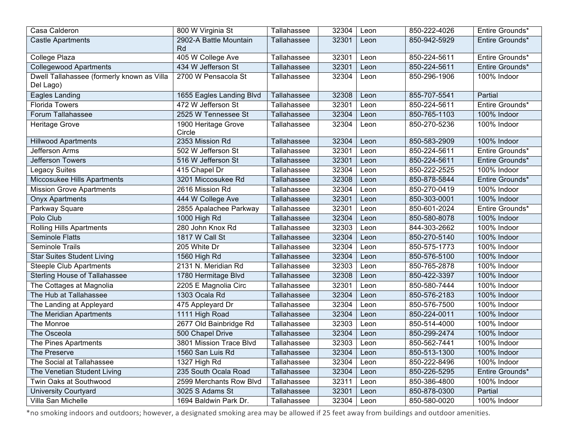| Casa Calderon                                           | 800 W Virginia St             | Tallahassee | 32304 | Leon | 850-222-4026 | Entire Grounds* |
|---------------------------------------------------------|-------------------------------|-------------|-------|------|--------------|-----------------|
| <b>Castle Apartments</b>                                | 2902-A Battle Mountain<br>Rd  | Tallahassee | 32301 | Leon | 850-942-5929 | Entire Grounds* |
| College Plaza                                           | 405 W College Ave             | Tallahassee | 32301 | Leon | 850-224-5611 | Entire Grounds* |
| <b>Collegewood Apartments</b>                           | 434 W Jefferson St            | Tallahassee | 32301 | Leon | 850-224-5611 | Entire Grounds* |
| Dwell Tallahassee (formerly known as Villa<br>Del Lago) | 2700 W Pensacola St           | Tallahassee | 32304 | Leon | 850-296-1906 | 100% Indoor     |
| Eagles Landing                                          | 1655 Eagles Landing Blvd      | Tallahassee | 32308 | Leon | 855-707-5541 | Partial         |
| <b>Florida Towers</b>                                   | 472 W Jefferson St            | Tallahassee | 32301 | Leon | 850-224-5611 | Entire Grounds* |
| Forum Tallahassee                                       | 2525 W Tennessee St           | Tallahassee | 32304 | Leon | 850-765-1103 | 100% Indoor     |
| Heritage Grove                                          | 1900 Heritage Grove<br>Circle | Tallahassee | 32304 | Leon | 850-270-5236 | 100% Indoor     |
| <b>Hillwood Apartments</b>                              | 2353 Mission Rd               | Tallahassee | 32304 | Leon | 850-583-2909 | 100% Indoor     |
| Jefferson Arms                                          | 502 W Jefferson St            | Tallahassee | 32301 | Leon | 850-224-5611 | Entire Grounds* |
| Jefferson Towers                                        | 516 W Jefferson St            | Tallahassee | 32301 | Leon | 850-224-5611 | Entire Grounds* |
| <b>Legacy Suites</b>                                    | 415 Chapel Dr                 | Tallahassee | 32304 | Leon | 850-222-2525 | 100% Indoor     |
| Miccosukee Hills Apartments                             | 3201 Miccosukee Rd            | Tallahassee | 32308 | Leon | 850-878-5844 | Entire Grounds* |
| <b>Mission Grove Apartments</b>                         | 2616 Mission Rd               | Tallahassee | 32304 | Leon | 850-270-0419 | 100% Indoor     |
| <b>Onyx Apartments</b>                                  | 444 W College Ave             | Tallahassee | 32301 | Leon | 850-303-0001 | 100% Indoor     |
| Parkway Square                                          | 2855 Apalachee Parkway        | Tallahassee | 32301 | Leon | 850-601-2024 | Entire Grounds* |
| Polo Club                                               | 1000 High Rd                  | Tallahassee | 32304 | Leon | 850-580-8078 | 100% Indoor     |
| <b>Rolling Hills Apartments</b>                         | 280 John Knox Rd              | Tallahassee | 32303 | Leon | 844-303-2662 | 100% Indoor     |
| <b>Seminole Flatts</b>                                  | 1817 W Call St                | Tallahassee | 32304 | Leon | 850-270-5140 | 100% Indoor     |
| Seminole Trails                                         | 205 White Dr                  | Tallahassee | 32304 | Leon | 850-575-1773 | 100% Indoor     |
| <b>Star Suites Student Living</b>                       | 1560 High Rd                  | Tallahassee | 32304 | Leon | 850-576-5100 | 100% Indoor     |
| <b>Steeple Club Apartments</b>                          | 2131 N. Meridian Rd           | Tallahassee | 32303 | Leon | 850-765-2878 | 100% Indoor     |
| <b>Sterling House of Tallahassee</b>                    | 1780 Hermitage Blvd           | Tallahassee | 32308 | Leon | 850-422-3397 | 100% Indoor     |
| The Cottages at Magnolia                                | 2205 E Magnolia Circ          | Tallahassee | 32301 | Leon | 850-580-7444 | 100% Indoor     |
| The Hub at Tallahassee                                  | 1303 Ocala Rd                 | Tallahassee | 32304 | Leon | 850-576-2183 | 100% Indoor     |
| The Landing at Appleyard                                | 475 Appleyard Dr              | Tallahassee | 32304 | Leon | 850-576-7500 | 100% Indoor     |
| The Meridian Apartments                                 | 1111 High Road                | Tallahassee | 32304 | Leon | 850-224-0011 | 100% Indoor     |
| The Monroe                                              | 2677 Old Bainbridge Rd        | Tallahassee | 32303 | Leon | 850-514-4000 | 100% Indoor     |
| The Osceola                                             | 500 Chapel Drive              | Tallahassee | 32304 | Leon | 850-299-2474 | 100% Indoor     |
| The Pines Apartments                                    | 3801 Mission Trace Blvd       | Tallahassee | 32303 | Leon | 850-562-7441 | 100% Indoor     |
| The Preserve                                            | 1560 San Luis Rd              | Tallahassee | 32304 | Leon | 850-513-1300 | 100% Indoor     |
| The Social at Tallahassee                               | 1327 High Rd                  | Tallahassee | 32304 | Leon | 850-222-8496 | 100% Indoor     |
| The Venetian Student Living                             | 235 South Ocala Road          | Tallahassee | 32304 | Leon | 850-226-5295 | Entire Grounds* |
| Twin Oaks at Southwood                                  | 2599 Merchants Row Blvd       | Tallahassee | 32311 | Leon | 850-386-4800 | 100% Indoor     |
| <b>University Courtyard</b>                             | 3025 S Adams St               | Tallahassee | 32301 | Leon | 850-878-0300 | Partial         |
| Villa San Michelle                                      | 1694 Baldwin Park Dr.         | Tallahassee | 32304 | Leon | 850-580-0020 | 100% Indoor     |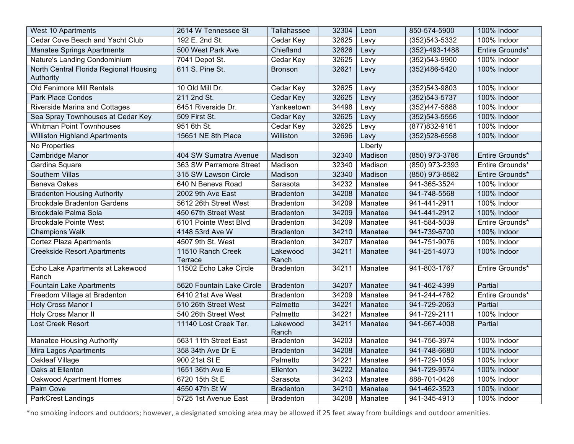| West 10 Apartments                        | 2614 W Tennessee St       | Tallahassee       | 32304 | Leon    | 850-574-5900         | 100% Indoor     |
|-------------------------------------------|---------------------------|-------------------|-------|---------|----------------------|-----------------|
| Cedar Cove Beach and Yacht Club           | 192 E. 2nd St.            | Cedar Key         | 32625 | Levy    | (352) 543-5332       | 100% Indoor     |
| <b>Manatee Springs Apartments</b>         | 500 West Park Ave.        | Chiefland         | 32626 | Levy    | $(352) - 493 - 1488$ | Entire Grounds* |
| Nature's Landing Condominium              | 7041 Depot St.            | Cedar Key         | 32625 | Levy    | (352)543-9900        | 100% Indoor     |
| North Central Florida Regional Housing    | 611 S. Pine St.           | <b>Bronson</b>    | 32621 | Levy    | (352)486-5420        | 100% Indoor     |
| Authority                                 |                           |                   |       |         |                      |                 |
| Old Fenimore Mill Rentals                 | 10 Old Mill Dr.           | Cedar Key         | 32625 | Levy    | $(352)543 - 9803$    | 100% Indoor     |
| <b>Park Place Condos</b>                  | 211 2nd St.               | Cedar Key         | 32625 | Levy    | (352) 543-5737       | 100% Indoor     |
| <b>Riverside Marina and Cottages</b>      | 6451 Riverside Dr.        | Yankeetown        | 34498 | Levy    | (352)447-5888        | 100% Indoor     |
| Sea Spray Townhouses at Cedar Key         | 509 First St.             | Cedar Key         | 32625 | Levy    | $(352)543 - 5556$    | 100% Indoor     |
| <b>Whitman Point Townhouses</b>           | 951 6th St.               | Cedar Key         | 32625 | Levy    | (877) 832-9161       | 100% Indoor     |
| <b>Williston Highland Apartments</b>      | 15651 NE 8th Place        | Williston         | 32696 | Levy    | (352) 528-6558       | 100% Indoor     |
| No Properties                             |                           |                   |       | Liberty |                      |                 |
| Cambridge Manor                           | 404 SW Sumatra Avenue     | Madison           | 32340 | Madison | (850) 973-3786       | Entire Grounds* |
| Gardina Square                            | 363 SW Parramore Street   | Madison           | 32340 | Madison | (850) 973-2393       | Entire Grounds* |
| Southern Villas                           | 315 SW Lawson Circle      | Madison           | 32340 | Madison | (850) 973-8582       | Entire Grounds* |
| <b>Beneva Oakes</b>                       | 640 N Beneva Road         | Sarasota          | 34232 | Manatee | 941-365-3524         | 100% Indoor     |
| <b>Bradenton Housing Authority</b>        | 2002 9th Ave East         | <b>Bradenton</b>  | 34208 | Manatee | 941-748-5568         | 100% Indoor     |
| <b>Brookdale Bradenton Gardens</b>        | 5612 26th Street West     | <b>Bradenton</b>  | 34209 | Manatee | 941-441-2911         | 100% Indoor     |
| Brookdale Palma Sola                      | 450 67th Street West      | <b>Bradenton</b>  | 34209 | Manatee | 941-441-2912         | 100% Indoor     |
| <b>Brookdale Pointe West</b>              | 6101 Pointe West Blvd     | <b>Bradenton</b>  | 34209 | Manatee | 941-584-5039         | Entire Grounds* |
| <b>Champions Walk</b>                     | 4148 53rd Ave W           | <b>Bradenton</b>  | 34210 | Manatee | 941-739-6700         | 100% Indoor     |
| <b>Cortez Plaza Apartments</b>            | 4507 9th St. West         | <b>Bradenton</b>  | 34207 | Manatee | 941-751-9076         | 100% Indoor     |
| <b>Creekside Resort Apartments</b>        | 11510 Ranch Creek         | Lakewood          | 34211 | Manatee | 941-251-4073         | 100% Indoor     |
|                                           | Terrace                   | Ranch             |       |         |                      |                 |
| Echo Lake Apartments at Lakewood<br>Ranch | 11502 Echo Lake Circle    | <b>Bradenton</b>  | 34211 | Manatee | 941-803-1767         | Entire Grounds* |
| <b>Fountain Lake Apartments</b>           | 5620 Fountain Lake Circle | <b>Bradenton</b>  | 34207 | Manatee | 941-462-4399         | Partial         |
| Freedom Village at Bradenton              | 6410 21st Ave West        | <b>Bradenton</b>  | 34209 | Manatee | 941-244-4762         | Entire Grounds* |
| <b>Holy Cross Manor I</b>                 | 510 26th Street West      | Palmetto          | 34221 | Manatee | 941-729-2063         | Partial         |
| <b>Holy Cross Manor II</b>                | 540 26th Street West      | Palmetto          | 34221 | Manatee | 941-729-2111         | 100% Indoor     |
| Lost Creek Resort                         | 11140 Lost Creek Ter.     | Lakewood<br>Ranch | 34211 | Manatee | 941-567-4008         | Partial         |
| <b>Manatee Housing Authority</b>          | 5631 11th Street East     | <b>Bradenton</b>  | 34203 | Manatee | 941-756-3974         | 100% Indoor     |
| Mira Lagos Apartments                     | 358 34th Ave Dr E         | <b>Bradenton</b>  | 34208 | Manatee | 941-748-6680         | 100% Indoor     |
| <b>Oakleaf Village</b>                    | 900 21st St E             | Palmetto          | 34221 | Manatee | 941-729-1059         | 100% Indoor     |
| Oaks at Ellenton                          | 1651 36th Ave E           | Ellenton          | 34222 | Manatee | 941-729-9574         | 100% Indoor     |
| Oakwood Apartment Homes                   | 6720 15th St E            | Sarasota          | 34243 | Manatee | 888-701-0426         | 100% Indoor     |
| <b>Palm Cove</b>                          | 4550 47th St W            | <b>Bradenton</b>  | 34210 | Manatee | 941-462-3523         | 100% Indoor     |
| ParkCrest Landings                        | 5725 1st Avenue East      | <b>Bradenton</b>  | 34208 | Manatee | 941-345-4913         | 100% Indoor     |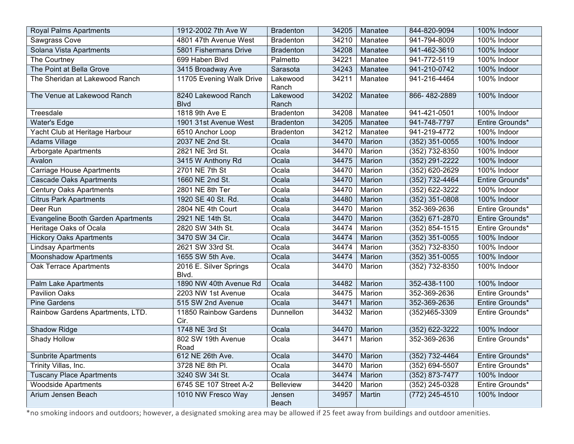| <b>Royal Palms Apartments</b>      | 1912-2002 7th Ave W                 | <b>Bradenton</b>  | 34205 | Manatee | 844-820-9094       | 100% Indoor     |
|------------------------------------|-------------------------------------|-------------------|-------|---------|--------------------|-----------------|
| Sawgrass Cove                      | 4801 47th Avenue West               | <b>Bradenton</b>  | 34210 | Manatee | 941-794-8009       | 100% Indoor     |
| Solana Vista Apartments            | 5801 Fishermans Drive               | <b>Bradenton</b>  | 34208 | Manatee | 941-462-3610       | 100% Indoor     |
| The Courtney                       | 699 Haben Blvd                      | Palmetto          | 34221 | Manatee | 941-772-5119       | 100% Indoor     |
| The Point at Bella Grove           | 3415 Broadway Ave                   | Sarasota          | 34243 | Manatee | 941-210-0742       | 100% Indoor     |
| The Sheridan at Lakewood Ranch     | 11705 Evening Walk Drive            | Lakewood<br>Ranch | 34211 | Manatee | 941-216-4464       | 100% Indoor     |
| The Venue at Lakewood Ranch        | 8240 Lakewood Ranch<br><b>B</b> lvd | Lakewood<br>Ranch | 34202 | Manatee | 866-482-2889       | 100% Indoor     |
| Treesdale                          | 1818 9th Ave E                      | <b>Bradenton</b>  | 34208 | Manatee | 941-421-0501       | 100% Indoor     |
| <b>Water's Edge</b>                | 1901 31st Avenue West               | <b>Bradenton</b>  | 34205 | Manatee | 941-748-7797       | Entire Grounds* |
| Yacht Club at Heritage Harbour     | 6510 Anchor Loop                    | <b>Bradenton</b>  | 34212 | Manatee | 941-219-4772       | 100% Indoor     |
| <b>Adams Village</b>               | 2037 NE 2nd St.                     | Ocala             | 34470 | Marion  | $(352)$ 351-0055   | 100% Indoor     |
| <b>Arborgate Apartments</b>        | 2821 NE 3rd St.                     | Ocala             | 34470 | Marion  | (352) 732-8350     | 100% Indoor     |
| Avalon                             | 3415 W Anthony Rd                   | Ocala             | 34475 | Marion  | (352) 291-2222     | 100% Indoor     |
| <b>Carriage House Apartments</b>   | 2701 NE 7th St                      | Ocala             | 34470 | Marion  | (352) 620-2629     | 100% Indoor     |
| <b>Cascade Oaks Apartments</b>     | 1660 NE 2nd St.                     | Ocala             | 34470 | Marion  | $(352)$ 732-4464   | Entire Grounds* |
| <b>Century Oaks Apartments</b>     | 2801 NE 8th Ter                     | Ocala             | 34470 | Marion  | (352) 622-3222     | 100% Indoor     |
| <b>Citrus Park Apartments</b>      | 1920 SE 40 St. Rd.                  | Ocala             | 34480 | Marion  | $(352)$ 351-0808   | 100% Indoor     |
| Deer Run                           | 2804 NE 4th Court                   | Ocala             | 34470 | Marion  | 352-369-2636       | Entire Grounds* |
| Evangeline Booth Garden Apartments | 2921 NE 14th St.                    | Ocala             | 34470 | Marion  | (352) 671-2870     | Entire Grounds* |
| Heritage Oaks of Ocala             | 2820 SW 34th St.                    | Ocala             | 34474 | Marion  | (352) 854-1515     | Entire Grounds* |
| <b>Hickory Oaks Apartments</b>     | 3470 SW 34 Cir.                     | Ocala             | 34474 | Marion  | $(352)$ 351-0055   | 100% Indoor     |
| <b>Lindsay Apartments</b>          | 2621 SW 33rd St.                    | Ocala             | 34474 | Marion  | (352) 732-8350     | 100% Indoor     |
| <b>Moonshadow Apartments</b>       | 1655 SW 5th Ave.                    | Ocala             | 34474 | Marion  | $(352)$ 351-0055   | 100% Indoor     |
| Oak Terrace Apartments             | 2016 E. Silver Springs<br>Blvd.     | Ocala             | 34470 | Marion  | (352) 732-8350     | 100% Indoor     |
| <b>Palm Lake Apartments</b>        | 1890 NW 40th Avenue Rd              | Ocala             | 34482 | Marion  | 352-438-1100       | 100% Indoor     |
| <b>Pavilion Oaks</b>               | 2203 NW 1st Avenue                  | Ocala             | 34475 | Marion  | 352-369-2636       | Entire Grounds* |
| <b>Pine Gardens</b>                | 515 SW 2nd Avenue                   | Ocala             | 34471 | Marion  | 352-369-2636       | Entire Grounds* |
| Rainbow Gardens Apartments, LTD.   | 11850 Rainbow Gardens<br>Cir.       | Dunnellon         | 34432 | Marion  | (352)465-3309      | Entire Grounds* |
| Shadow Ridge                       | 1748 NE 3rd St                      | Ocala             | 34470 | Marion  | $(352) 622 - 3222$ | 100% Indoor     |
| Shady Hollow                       | 802 SW 19th Avenue<br>Road          | Ocala             | 34471 | Marion  | 352-369-2636       | Entire Grounds* |
| <b>Sunbrite Apartments</b>         | 612 NE 26th Ave.                    | Ocala             | 34470 | Marion  | (352) 732-4464     | Entire Grounds* |
| Trinity Villas, Inc.               | 3728 NE 8th Pl.                     | Ocala             | 34470 | Marion  | (352) 694-5507     | Entire Grounds* |
| <b>Tuscany Place Apartments</b>    | 3240 SW 34t St.                     | Ocala             | 34474 | Marion  | (352) 873-7477     | 100% Indoor     |
| <b>Woodside Apartments</b>         | 6745 SE 107 Street A-2              | <b>Belleview</b>  | 34420 | Marion  | (352) 245-0328     | Entire Grounds* |
| Arium Jensen Beach                 | 1010 NW Fresco Way                  | Jensen<br>Beach   | 34957 | Martin  | (772) 245-4510     | 100% Indoor     |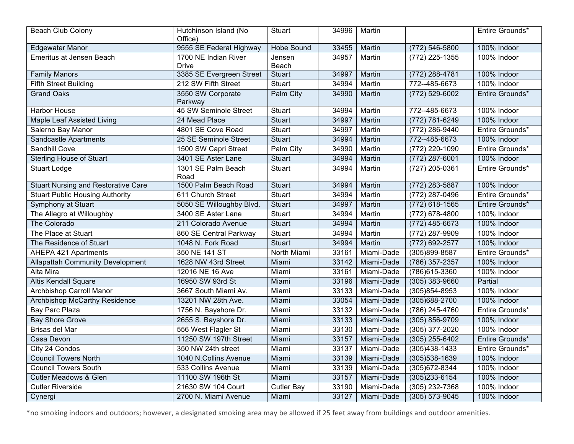| Beach Club Colony                          | Hutchinson Island (No<br>Office)     | Stuart            | 34996 | Martin        |                   | Entire Grounds* |
|--------------------------------------------|--------------------------------------|-------------------|-------|---------------|-------------------|-----------------|
| <b>Edgewater Manor</b>                     | 9555 SE Federal Highway              | <b>Hobe Sound</b> | 33455 | Martin        | (772) 546-5800    | 100% Indoor     |
| <b>Emeritus at Jensen Beach</b>            | 1700 NE Indian River<br><b>Drive</b> | Jensen<br>Beach   | 34957 | Martin        | $(772)$ 225-1355  | 100% Indoor     |
| <b>Family Manors</b>                       | 3385 SE Evergreen Street             | Stuart            | 34997 | Martin        | $(772)$ 288-4781  | 100% Indoor     |
| <b>Fifth Street Building</b>               | 212 SW Fifth Street                  | Stuart            | 34994 | Martin        | 772--485-6673     | 100% Indoor     |
| <b>Grand Oaks</b>                          | 3550 SW Corporate<br>Parkway         | Palm City         | 34990 | Martin        | (772) 529-6002    | Entire Grounds* |
| <b>Harbor House</b>                        | 45 SW Seminole Street                | Stuart            | 34994 | Martin        | 772--485-6673     | 100% Indoor     |
| <b>Maple Leaf Assisted Living</b>          | 24 Mead Place                        | <b>Stuart</b>     | 34997 | <b>Martin</b> | (772) 781-6249    | 100% Indoor     |
| Salerno Bay Manor                          | 4801 SE Cove Road                    | Stuart            | 34997 | Martin        | (772) 286-9440    | Entire Grounds* |
| Sandcastle Apartments                      | 25 SE Seminole Street                | Stuart            | 34994 | Martin        | 772--485-6673     | 100% Indoor     |
| Sandhill Cove                              | 1500 SW Capri Street                 | Palm City         | 34990 | Martin        | (772) 220-1090    | Entire Grounds* |
| <b>Sterling House of Stuart</b>            | 3401 SE Aster Lane                   | <b>Stuart</b>     | 34994 | Martin        | (772) 287-6001    | 100% Indoor     |
| <b>Stuart Lodge</b>                        | 1301 SE Palm Beach<br>Road           | Stuart            | 34994 | Martin        | $(727)$ 205-0361  | Entire Grounds* |
| <b>Stuart Nursing and Restorative Care</b> | 1500 Palm Beach Road                 | <b>Stuart</b>     | 34994 | Martin        | $(772)$ 283-5887  | 100% Indoor     |
| <b>Stuart Public Housing Authority</b>     | 611 Church Street                    | Stuart            | 34994 | Martin        | (772) 287-0496    | Entire Grounds* |
| Symphony at Stuart                         | 5050 SE Willoughby Blvd.             | <b>Stuart</b>     | 34997 | Martin        | $(772)$ 618-1565  | Entire Grounds* |
| The Allegro at Willoughby                  | 3400 SE Aster Lane                   | Stuart            | 34994 | Martin        | (772) 678-4800    | 100% Indoor     |
| The Colorado                               | 211 Colorado Avenue                  | Stuart            | 34994 | Martin        | $(772)$ 485-6673  | 100% Indoor     |
| The Place at Stuart                        | 860 SE Central Parkway               | Stuart            | 34994 | Martin        | (772) 287-9909    | 100% Indoor     |
| The Residence of Stuart                    | 1048 N. Fork Road                    | <b>Stuart</b>     | 34994 | Martin        | (772) 692-2577    | 100% Indoor     |
| <b>AHEPA 421 Apartments</b>                | 350 NE 141 ST                        | North Miami       | 33161 | Miami-Dade    | (305)899-8587     | Entire Grounds* |
| <b>Allapattah Community Development</b>    | 1628 NW 43rd Street                  | Miami             | 33142 | Miami-Dade    | (786) 357-2357    | 100% Indoor     |
| Alta Mira                                  | 12016 NE 16 Ave                      | Miami             | 33161 | Miami-Dade    | (786) 615-3360    | 100% Indoor     |
| <b>Altis Kendall Square</b>                | 16950 SW 93rd St                     | Miami             | 33196 | Miami-Dade    | $(305)$ 383-9660  | Partial         |
| Archbishop Carroll Manor                   | 3667 South Miami Av.                 | Miami             | 33133 | Miami-Dade    | $(305)854 - 8953$ | 100% Indoor     |
| <b>Archbishop McCarthy Residence</b>       | 13201 NW 28th Ave.                   | Miami             | 33054 | Miami-Dade    | $(305)688 - 2700$ | 100% Indoor     |
| Bay Parc Plaza                             | 1756 N. Bayshore Dr.                 | Miami             | 33132 | Miami-Dade    | (786) 245-4760    | Entire Grounds* |
| <b>Bay Shore Grove</b>                     | 2655 S. Bayshore Dr.                 | Miami             | 33133 | Miami-Dade    | (305) 856-9709    | 100% Indoor     |
| Brisas del Mar                             | 556 West Flagler St                  | Miami             | 33130 | Miami-Dade    | (305) 377-2020    | 100% Indoor     |
| Casa Devon                                 | 11250 SW 197th Street                | Miami             | 33157 | Miami-Dade    | $(305)$ 255-6402  | Entire Grounds* |
| City 24 Condos                             | 350 NW 24th street                   | Miami             | 33137 | Miami-Dade    | $(305)438 - 1433$ | Entire Grounds* |
| <b>Council Towers North</b>                | 1040 N.Collins Avenue                | Miami             | 33139 | Miami-Dade    | (305) 538-1639    | 100% Indoor     |
| <b>Council Towers South</b>                | 533 Collins Avenue                   | Miami             | 33139 | Miami-Dade    | (305) 672-8344    | 100% Indoor     |
| <b>Cutler Meadows &amp; Glen</b>           | 11100 SW 196th St                    | Miami             | 33157 | Miami-Dade    | $(305)233 - 6154$ | 100% Indoor     |
| <b>Cutler Riverside</b>                    | 21630 SW 104 Court                   | <b>Cutler Bay</b> | 33190 | Miami-Dade    | (305) 232-7368    | 100% Indoor     |
| Cynergi                                    | 2700 N. Miami Avenue                 | Miami             | 33127 | Miami-Dade    | (305) 573-9045    | 100% Indoor     |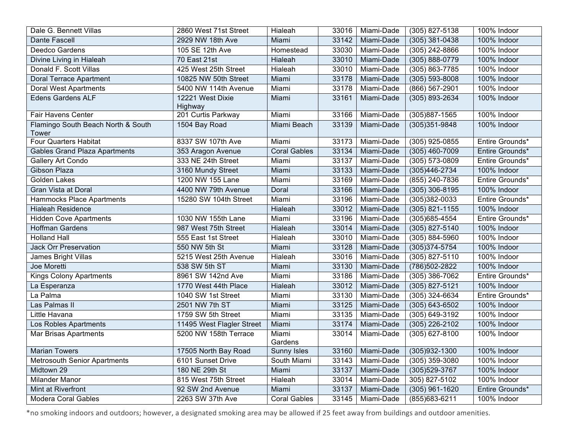| Dale G. Bennett Villas               | 2860 West 71st Street       | Hialeah             | 33016 | Miami-Dade | (305) 827-5138     | 100% Indoor     |
|--------------------------------------|-----------------------------|---------------------|-------|------------|--------------------|-----------------|
| Dante Fascell                        | 2929 NW 18th Ave            | Miami               | 33142 | Miami-Dade | $(305)$ 381-0438   | 100% Indoor     |
| Deedco Gardens                       | 105 SE 12th Ave             | Homestead           | 33030 | Miami-Dade | (305) 242-8866     | 100% Indoor     |
| Divine Living in Hialeah             | 70 East 21st                | Hialeah             | 33010 | Miami-Dade | (305) 888-0779     | 100% Indoor     |
| Donald F. Scott Villas               | 425 West 25th Street        | Hialeah             | 33010 | Miami-Dade | $(305) 863 - 7785$ | 100% Indoor     |
| <b>Doral Terrace Apartment</b>       | 10825 NW 50th Street        | Miami               | 33178 | Miami-Dade | $(305) 593 - 8008$ | 100% Indoor     |
| <b>Doral West Apartments</b>         | 5400 NW 114th Avenue        | Miami               | 33178 | Miami-Dade | $(866) 567 - 2901$ | 100% Indoor     |
| Edens Gardens ALF                    | 12221 West Dixie<br>Highway | Miami               | 33161 | Miami-Dade | (305) 893-2634     | 100% Indoor     |
| <b>Fair Havens Center</b>            | 201 Curtis Parkway          | Miami               | 33166 | Miami-Dade | $(305)887 - 1565$  | 100% Indoor     |
| Flamingo South Beach North & South   | 1504 Bay Road               | Miami Beach         | 33139 | Miami-Dade | $(305)351 - 9848$  | 100% Indoor     |
| Tower                                |                             |                     |       |            |                    |                 |
| <b>Four Quarters Habitat</b>         | 8337 SW 107th Ave           | Miami               | 33173 | Miami-Dade | (305) 925-0855     | Entire Grounds* |
| <b>Gables Grand Plaza Apartments</b> | 353 Aragon Avenue           | <b>Coral Gables</b> | 33134 | Miami-Dade | $(305)$ 460-7009   | Entire Grounds* |
| Gallery Art Condo                    | 333 NE 24th Street          | Miami               | 33137 | Miami-Dade | $(305) 573 - 0809$ | Entire Grounds* |
| Gibson Plaza                         | 3160 Mundy Street           | Miami               | 33133 | Miami-Dade | $(305)446 - 2734$  | 100% Indoor     |
| <b>Golden Lakes</b>                  | 1200 NW 155 Lane            | Miami               | 33169 | Miami-Dade | (855) 240-7836     | Entire Grounds* |
| Gran Vista at Doral                  | 4400 NW 79th Avenue         | Doral               | 33166 | Miami-Dade | $(305)$ 306-8195   | 100% Indoor     |
| <b>Hammocks Place Apartments</b>     | 15280 SW 104th Street       | Miami               | 33196 | Miami-Dade | $(305)382 - 0033$  | Entire Grounds* |
| <b>Hialeah Residence</b>             |                             | Hialeah             | 33012 | Miami-Dade | $(305)$ 821-1155   | 100% Indoor     |
| <b>Hidden Cove Apartments</b>        | 1030 NW 155th Lane          | Miami               | 33196 | Miami-Dade | (305) 685-4554     | Entire Grounds* |
| <b>Hoffman Gardens</b>               | 987 West 75th Street        | Hialeah             | 33014 | Miami-Dade | (305) 827-5140     | 100% Indoor     |
| <b>Holland Hall</b>                  | 555 East 1st Street         | Hialeah             | 33010 | Miami-Dade | $(305) 884 - 5960$ | 100% Indoor     |
| <b>Jack Orr Preservation</b>         | 550 NW 5th St               | Miami               | 33128 | Miami-Dade | $(305)374 - 5754$  | 100% Indoor     |
| James Bright Villas                  | 5215 West 25th Avenue       | Hialeah             | 33016 | Miami-Dade | (305) 827-5110     | 100% Indoor     |
| Joe Moretti                          | 538 SW 5th ST               | Miami               | 33130 | Miami-Dade | (786) 502-2822     | 100% Indoor     |
| <b>Kings Colony Apartments</b>       | 8961 SW 142nd Ave           | Miami               | 33186 | Miami-Dade | (305) 386-7062     | Entire Grounds* |
| La Esperanza                         | 1770 West 44th Place        | Hialeah             | 33012 | Miami-Dade | $(305) 827 - 5121$ | 100% Indoor     |
| La Palma                             | 1040 SW 1st Street          | Miami               | 33130 | Miami-Dade | (305) 324-6634     | Entire Grounds* |
| Las Palmas II                        | 2501 NW 7th ST              | Miami               | 33125 | Miami-Dade | $(305) 643 - 6502$ | 100% Indoor     |
| Little Havana                        | 1759 SW 5th Street          | Miami               | 33135 | Miami-Dade | (305) 649-3192     | 100% Indoor     |
| Los Robles Apartments                | 11495 West Flagler Street   | Miami               | 33174 | Miami-Dade | (305) 226-2102     | 100% Indoor     |
| <b>Mar Brisas Apartments</b>         | 5200 NW 158th Terrace       | Miami<br>Gardens    | 33014 | Miami-Dade | $(305) 627 - 8100$ | 100% Indoor     |
| <b>Marian Towers</b>                 | 17505 North Bay Road        | Sunny Isles         | 33160 | Miami-Dade | $(305)932 - 1300$  | 100% Indoor     |
| <b>Metrosouth Senior Apartments</b>  | 6101 Sunset Drive           | South Miami         | 33143 | Miami-Dade | $(305)$ 359-3080   | 100% Indoor     |
| Midtown 29                           | 180 NE 29th St              | Miami               | 33137 | Miami-Dade | (305) 529-3767     | 100% Indoor     |
| Milander Manor                       | 815 West 75th Street        | Hialeah             | 33014 | Miami-Dade | 305) 827-5102      | 100% Indoor     |
| Mint at Riverfront                   | 92 SW 2nd Avenue            | Miami               | 33137 | Miami-Dade | $(305)$ 961-1620   | Entire Grounds* |
| <b>Modera Coral Gables</b>           | 2263 SW 37th Ave            | <b>Coral Gables</b> | 33145 | Miami-Dade | (855) 683-6211     | 100% Indoor     |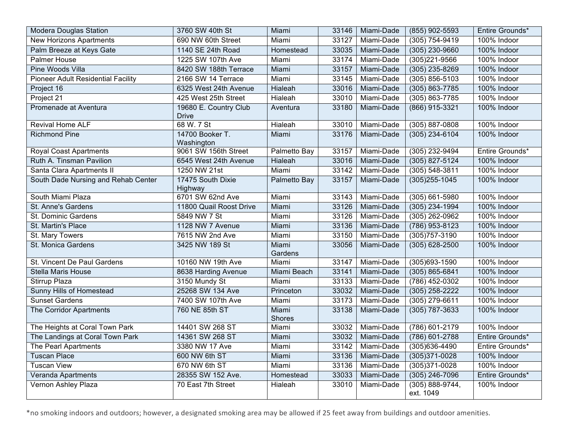| <b>Modera Douglas Station</b>             | 3760 SW 40th St                       | Miami            | 33146 | Miami-Dade | (855) 902-5593                   | Entire Grounds* |
|-------------------------------------------|---------------------------------------|------------------|-------|------------|----------------------------------|-----------------|
| <b>New Horizons Apartments</b>            | 690 NW 60th Street                    | Miami            | 33127 | Miami-Dade | $(305) 754 - 9419$               | 100% Indoor     |
| Palm Breeze at Keys Gate                  | 1140 SE 24th Road                     | Homestead        | 33035 | Miami-Dade | $(305)$ 230-9660                 | 100% Indoor     |
| <b>Palmer House</b>                       | 1225 SW 107th Ave                     | Miami            | 33174 | Miami-Dade | $(305)221 - 9566$                | 100% Indoor     |
| Pine Woods Villa                          | 8420 SW 188th Terrace                 | Miami            | 33157 | Miami-Dade | $(305)$ 235-8269                 | 100% Indoor     |
| <b>Pioneer Adult Residential Facility</b> | 2166 SW 14 Terrace                    | Miami            | 33145 | Miami-Dade | $(305) 856 - 5103$               | 100% Indoor     |
| Project 16                                | 6325 West 24th Avenue                 | Hialeah          | 33016 | Miami-Dade | $(305) 863 - 7785$               | 100% Indoor     |
| Project 21                                | 425 West 25th Street                  | Hialeah          | 33010 | Miami-Dade | (305) 863-7785                   | 100% Indoor     |
| Promenade at Aventura                     | 19680 E. Country Club<br><b>Drive</b> | Aventura         | 33180 | Miami-Dade | (866) 915-3321                   | 100% Indoor     |
| <b>Revival Home ALF</b>                   | 68 W. 7 St                            | Hialeah          | 33010 | Miami-Dade | $(305) 887 - 0808$               | 100% Indoor     |
| <b>Richmond Pine</b>                      | 14700 Booker T.<br>Washington         | Miami            | 33176 | Miami-Dade | $(305)$ 234-6104                 | 100% Indoor     |
| <b>Royal Coast Apartments</b>             | 9061 SW 156th Street                  | Palmetto Bay     | 33157 | Miami-Dade | (305) 232-9494                   | Entire Grounds* |
| Ruth A. Tinsman Pavilion                  | 6545 West 24th Avenue                 | Hialeah          | 33016 | Miami-Dade | $(305)$ 827-5124                 | 100% Indoor     |
| Santa Clara Apartments II                 | 1250 NW 21st                          | Miami            | 33142 | Miami-Dade | $(305) 548 - 3811$               | 100% Indoor     |
| South Dade Nursing and Rehab Center       | 17475 South Dixie<br>Highway          | Palmetto Bay     | 33157 | Miami-Dade | $(305)255 - 1045$                | 100% Indoor     |
| South Miami Plaza                         | 6701 SW 62nd Ave                      | Miami            | 33143 | Miami-Dade | $(305) 661 - 5980$               | 100% Indoor     |
| St. Anne's Gardens                        | 11800 Quail Roost Drive               | Miami            | 33126 | Miami-Dade | (305) 234-1994                   | 100% Indoor     |
| St. Dominic Gardens                       | 5849 NW 7 St                          | Miami            | 33126 | Miami-Dade | $(305)$ 262-0962                 | 100% Indoor     |
| St. Martin's Place                        | 1128 NW 7 Avenue                      | Miami            | 33136 | Miami-Dade | (786) 953-8123                   | 100% Indoor     |
| St. Mary Towers                           | 7615 NW 2nd Ave                       | Miami            | 33150 | Miami-Dade | (305) 757-3190                   | 100% Indoor     |
| St. Monica Gardens                        | 3425 NW 189 St                        | Miami<br>Gardens | 33056 | Miami-Dade | $(305) 628 - 2500$               | 100% Indoor     |
| St. Vincent De Paul Gardens               | 10160 NW 19th Ave                     | Miami            | 33147 | Miami-Dade | (305)693-1590                    | 100% Indoor     |
| <b>Stella Maris House</b>                 | 8638 Harding Avenue                   | Miami Beach      | 33141 | Miami-Dade | $(305) 865 - 6841$               | 100% Indoor     |
| Stirrup Plaza                             | 3150 Mundy St                         | Miami            | 33133 | Miami-Dade | $(786)$ 452-0302                 | 100% Indoor     |
| Sunny Hills of Homestead                  | 25268 SW 134 Ave                      | Princeton        | 33032 | Miami-Dade | $(305)$ 258-2222                 | 100% Indoor     |
| <b>Sunset Gardens</b>                     | 7400 SW 107th Ave                     | Miami            | 33173 | Miami-Dade | $(305)$ 279-6611                 | 100% Indoor     |
| The Corridor Apartments                   | 760 NE 85th ST                        | Miami<br>Shores  | 33138 | Miami-Dade | $(305)$ 787-3633                 | 100% Indoor     |
| The Heights at Coral Town Park            | 14401 SW 268 ST                       | Miami            | 33032 | Miami-Dade | (786) 601-2179                   | 100% Indoor     |
| The Landings at Coral Town Park           | 14361 SW 268 ST                       | Miami            | 33032 | Miami-Dade | (786) 601-2788                   | Entire Grounds* |
| The Pearl Apartments                      | 3380 NW 17 Ave                        | Miami            | 33142 | Miami-Dade | (305)636-4490                    | Entire Grounds* |
| <b>Tuscan Place</b>                       | 600 NW 6th ST                         | Miami            | 33136 | Miami-Dade | (305)371-0028                    | 100% Indoor     |
| <b>Tuscan View</b>                        | 670 NW 6th ST                         | Miami            | 33136 | Miami-Dade | $(305)371 - 0028$                | 100% Indoor     |
| Veranda Apartments                        | 28355 SW 152 Ave.                     | Homestead        | 33033 | Miami-Dade | $(305)$ 246-7096                 | Entire Grounds* |
| Vernon Ashley Plaza                       | 70 East 7th Street                    | Hialeah          | 33010 | Miami-Dade | $(305) 888 - 9744,$<br>ext. 1049 | 100% Indoor     |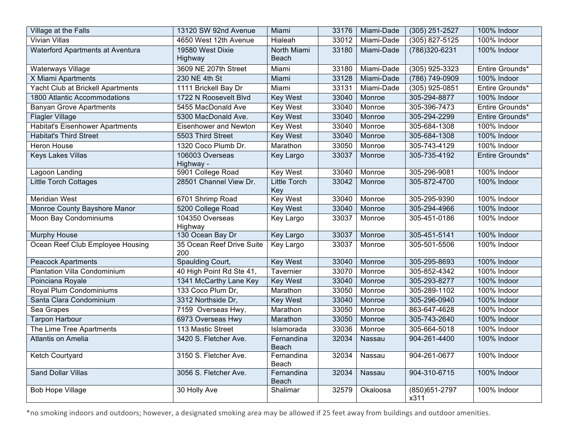| Village at the Falls                   | 13120 SW 92nd Avenue             | Miami                      | 33176 | Miami-Dade | (305) 251-2527          | 100% Indoor     |
|----------------------------------------|----------------------------------|----------------------------|-------|------------|-------------------------|-----------------|
| <b>Vivian Villas</b>                   | 4650 West 12th Avenue            | Hialeah                    | 33012 | Miami-Dade | $(305)$ 827-5125        | 100% Indoor     |
| Waterford Apartments at Aventura       | 19580 West Dixie<br>Highway      | North Miami<br>Beach       | 33180 | Miami-Dade | $(786)320 - 6231$       | 100% Indoor     |
| <b>Waterways Village</b>               | 3609 NE 207th Street             | Miami                      | 33180 | Miami-Dade | $(305)$ 925-3323        | Entire Grounds* |
| X Miami Apartments                     | 230 NE 4th St                    | Miami                      | 33128 | Miami-Dade | (786) 749-0909          | 100% Indoor     |
| Yacht Club at Brickell Apartments      | 1111 Brickell Bay Dr             | Miami                      | 33131 | Miami-Dade | $(305)$ 925-0851        | Entire Grounds* |
| 1800 Atlantic Accommodations           | 1722 N Roosevelt Blvd            | <b>Key West</b>            | 33040 | Monroe     | 305-294-8877            | 100% Indoor     |
| <b>Banyan Grove Apartments</b>         | 5455 MacDonald Ave               | <b>Key West</b>            | 33040 | Monroe     | 305-396-7473            | Entire Grounds* |
| Flagler Village                        | 5300 MacDonald Ave.              | <b>Key West</b>            | 33040 | Monroe     | 305-294-2299            | Entire Grounds* |
| <b>Habitat's Eisenhower Apartments</b> | Eisenhower and Newton            | <b>Key West</b>            | 33040 | Monroe     | 305-684-1308            | 100% Indoor     |
| <b>Habitat's Third Street</b>          | 5503 Third Street                | <b>Key West</b>            | 33040 | Monroe     | 305-684-1308            | 100% Indoor     |
| <b>Heron House</b>                     | 1320 Coco Plumb Dr.              | Marathon                   | 33050 | Monroe     | 305-743-4129            | 100% Indoor     |
| <b>Keys Lakes Villas</b>               | 106003 Overseas<br>Highway -     | Key Largo                  | 33037 | Monroe     | 305-735-4192            | Entire Grounds* |
| <b>Lagoon Landing</b>                  | 5901 College Road                | <b>Key West</b>            | 33040 | Monroe     | 305-296-9081            | 100% Indoor     |
| <b>Little Torch Cottages</b>           | 28501 Channel View Dr.           | <b>Little Torch</b><br>Key | 33042 | Monroe     | 305-872-4700            | 100% Indoor     |
| <b>Meridian West</b>                   | 6701 Shrimp Road                 | <b>Key West</b>            | 33040 | Monroe     | 305-295-9390            | 100% Indoor     |
| Monroe County Bayshore Manor           | 5200 College Road                | <b>Key West</b>            | 33040 | Monroe     | 305-294-4966            | 100% Indoor     |
| Moon Bay Condominiums                  | 104350 Overseas<br>Highway       | <b>Key Largo</b>           | 33037 | Monroe     | 305-451-0186            | 100% Indoor     |
| <b>Murphy House</b>                    | 130 Ocean Bay Dr                 | Key Largo                  | 33037 | Monroe     | 305-451-5141            | 100% Indoor     |
| Ocean Reef Club Employee Housing       | 35 Ocean Reef Drive Suite<br>200 | <b>Key Largo</b>           | 33037 | Monroe     | 305-501-5506            | 100% Indoor     |
| <b>Peacock Apartments</b>              | Spaulding Court,                 | <b>Key West</b>            | 33040 | Monroe     | 305-295-8693            | 100% Indoor     |
| <b>Plantation Villa Condominium</b>    | 40 High Point Rd Ste 41,         | Tavernier                  | 33070 | Monroe     | 305-852-4342            | 100% Indoor     |
| Poinciana Royale                       | 1341 McCarthy Lane Key           | <b>Key West</b>            | 33040 | Monroe     | 305-293-8277            | 100% Indoor     |
| Royal Plum Condominiums                | 133 Coco Plum Dr,                | Marathon                   | 33050 | Monroe     | 305-289-1102            | 100% Indoor     |
| Santa Clara Condominium                | 3312 Northside Dr,               | <b>Key West</b>            | 33040 | Monroe     | 305-296-0940            | 100% Indoor     |
| Sea Grapes                             | 7159 Overseas Hwy,               | Marathon                   | 33050 | Monroe     | 863-647-4628            | 100% Indoor     |
| <b>Tarpon Harbour</b>                  | 6973 Overseas Hwy                | Marathon                   | 33050 | Monroe     | 305-743-2640            | 100% Indoor     |
| The Lime Tree Apartments               | 113 Mastic Street                | Islamorada                 | 33036 | Monroe     | 305-664-5018            | 100% Indoor     |
| Atlantis on Amelia                     | 3420 S. Fletcher Ave.            | Fernandina<br>Beach        | 32034 | Nassau     | 904-261-4400            | 100% Indoor     |
| Ketch Courtyard                        | 3150 S. Fletcher Ave.            | Fernandina<br>Beach        | 32034 | Nassau     | 904-261-0677            | 100% Indoor     |
| <b>Sand Dollar Villas</b>              | 3056 S. Fletcher Ave.            | Fernandina<br>Beach        | 32034 | Nassau     | 904-310-6715            | 100% Indoor     |
| <b>Bob Hope Village</b>                | 30 Holly Ave                     | Shalimar                   | 32579 | Okaloosa   | $(850)651-2797$<br>x311 | 100% Indoor     |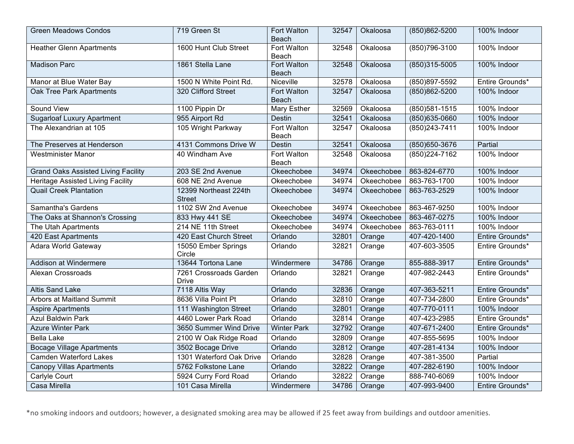| <b>Green Meadows Condos</b>                | 719 Green St                           | Fort Walton<br>Beach | 32547 | Okaloosa   | (850)862-5200     | 100% Indoor     |
|--------------------------------------------|----------------------------------------|----------------------|-------|------------|-------------------|-----------------|
| <b>Heather Glenn Apartments</b>            | 1600 Hunt Club Street                  | Fort Walton<br>Beach | 32548 | Okaloosa   | (850) 796-3100    | 100% Indoor     |
| <b>Madison Parc</b>                        | 1861 Stella Lane                       | Fort Walton<br>Beach | 32548 | Okaloosa   | (850)315-5005     | 100% Indoor     |
| Manor at Blue Water Bay                    | 1500 N White Point Rd.                 | Niceville            | 32578 | Okaloosa   | (850) 897-5592    | Entire Grounds* |
| <b>Oak Tree Park Apartments</b>            | 320 Clifford Street                    | Fort Walton<br>Beach | 32547 | Okaloosa   | (850)862-5200     | 100% Indoor     |
| Sound View                                 | 1100 Pippin Dr                         | Mary Esther          | 32569 | Okaloosa   | $(850)581 - 1515$ | 100% Indoor     |
| <b>Sugarloaf Luxury Apartment</b>          | 955 Airport Rd                         | Destin               | 32541 | Okaloosa   | $(850)635 - 0660$ | 100% Indoor     |
| The Alexandrian at 105                     | 105 Wright Parkway                     | Fort Walton<br>Beach | 32547 | Okaloosa   | $(850)243 - 7411$ | 100% Indoor     |
| The Preserves at Henderson                 | 4131 Commons Drive W                   | <b>Destin</b>        | 32541 | Okaloosa   | (850) 650-3676    | Partial         |
| <b>Westminister Manor</b>                  | 40 Windham Ave                         | Fort Walton<br>Beach | 32548 | Okaloosa   | (850) 224-7162    | 100% Indoor     |
| <b>Grand Oaks Assisted Living Facility</b> | 203 SE 2nd Avenue                      | Okeechobee           | 34974 | Okeechobee | 863-824-6770      | 100% Indoor     |
| <b>Heritage Assisted Living Facility</b>   | 608 NE 2nd Avenue                      | Okeechobee           | 34974 | Okeechobee | 863-763-1700      | 100% Indoor     |
| <b>Quail Creek Plantation</b>              | 12399 Northeast 224th<br><b>Street</b> | Okeechobee           | 34974 | Okeechobee | 863-763-2529      | 100% Indoor     |
| <b>Samantha's Gardens</b>                  | 1102 SW 2nd Avenue                     | Okeechobee           | 34974 | Okeechobee | 863-467-9250      | 100% Indoor     |
| The Oaks at Shannon's Crossing             | 833 Hwy 441 SE                         | Okeechobee           | 34974 | Okeechobee | 863-467-0275      | 100% Indoor     |
| The Utah Apartments                        | 214 NE 11th Street                     | Okeechobee           | 34974 | Okeechobee | 863-763-0111      | 100% Indoor     |
| 420 East Apartments                        | 420 East Church Street                 | Orlando              | 32801 | Orange     | 407-420-1400      | Entire Grounds* |
| Adara World Gateway                        | 15050 Ember Springs<br>Circle          | Orlando              | 32821 | Orange     | 407-603-3505      | Entire Grounds* |
| <b>Addison at Windermere</b>               | 13644 Tortona Lane                     | Windermere           | 34786 | Orange     | 855-888-3917      | Entire Grounds* |
| Alexan Crossroads                          | 7261 Crossroads Garden<br><b>Drive</b> | Orlando              | 32821 | Orange     | 407-982-2443      | Entire Grounds* |
| <b>Altis Sand Lake</b>                     | 7118 Altis Way                         | Orlando              | 32836 | Orange     | 407-363-5211      | Entire Grounds* |
| Arbors at Maitland Summit                  | 8636 Villa Point Pt                    | Orlando              | 32810 | Orange     | 407-734-2800      | Entire Grounds* |
| <b>Aspire Apartments</b>                   | 111 Washington Street                  | Orlando              | 32801 | Orange     | 407-770-0111      | 100% Indoor     |
| <b>Azul Baldwin Park</b>                   | 4460 Lower Park Road                   | Orlando              | 32814 | Orange     | 407-423-2985      | Entire Grounds* |
| <b>Azure Winter Park</b>                   | 3650 Summer Wind Drive                 | <b>Winter Park</b>   | 32792 | Orange     | 407-671-2400      | Entire Grounds* |
| <b>Bella Lake</b>                          | 2100 W Oak Ridge Road                  | Orlando              | 32809 | Orange     | 407-855-5695      | 100% Indoor     |
| <b>Bocage Village Apartments</b>           | 3502 Bocage Drive                      | Orlando              | 32812 | Orange     | 407-281-4134      | 100% Indoor     |
| <b>Camden Waterford Lakes</b>              | 1301 Waterford Oak Drive               | Orlando              | 32828 | Orange     | 407-381-3500      | Partial         |
| <b>Canopy Villas Apartments</b>            | 5762 Folkstone Lane                    | Orlando              | 32822 | Orange     | 407-282-6190      | 100% Indoor     |
| Carlyle Court                              | 5924 Curry Ford Road                   | Orlando              | 32822 | Orange     | 888-740-6069      | 100% Indoor     |
| Casa Mirella                               | 101 Casa Mirella                       | Windermere           | 34786 | Orange     | 407-993-9400      | Entire Grounds* |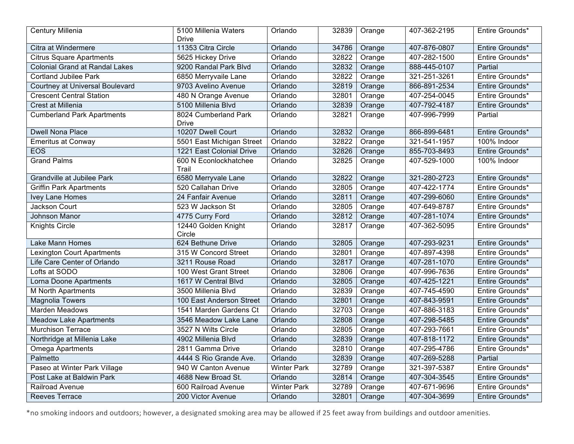| Century Millenia                      | 5100 Millenia Waters<br>Drive        | Orlando            | 32839 | Orange | 407-362-2195       | Entire Grounds* |
|---------------------------------------|--------------------------------------|--------------------|-------|--------|--------------------|-----------------|
| Citra at Windermere                   | 11353 Citra Circle                   | Orlando            | 34786 | Orange | 407-876-0807       | Entire Grounds* |
| <b>Citrus Square Apartments</b>       | 5625 Hickey Drive                    | Orlando            | 32822 | Orange | 407-282-1500       | Entire Grounds* |
| <b>Colonial Grand at Randal Lakes</b> | 9200 Randal Park Blvd                | Orlando            | 32832 | Orange | 888-445-0107       | Partial         |
| <b>Cortland Jubilee Park</b>          | 6850 Merryvaile Lane                 | Orlando            | 32822 | Orange | $321 - 251 - 3261$ | Entire Grounds* |
| Courtney at Universal Boulevard       | 9703 Avelino Avenue                  | Orlando            | 32819 | Orange | 866-891-2534       | Entire Grounds* |
| <b>Crescent Central Station</b>       | 480 N Orange Avenue                  | Orlando            | 32801 | Orange | 407-254-0045       | Entire Grounds* |
| Crest at Millenia                     | 5100 Millenia Blvd                   | Orlando            | 32839 | Orange | 407-792-4187       | Entire Grounds* |
| <b>Cumberland Park Apartments</b>     | 8024 Cumberland Park<br><b>Drive</b> | Orlando            | 32821 | Orange | 407-996-7999       | Partial         |
| <b>Dwell Nona Place</b>               | 10207 Dwell Court                    | Orlando            | 32832 | Orange | 866-899-6481       | Entire Grounds* |
| <b>Emeritus at Conway</b>             | 5501 East Michigan Street            | Orlando            | 32822 | Orange | 321-541-1957       | 100% Indoor     |
| <b>EOS</b>                            | 1221 East Colonial Drive             | Orlando            | 32826 | Orange | 855-703-8493       | Entire Grounds* |
| <b>Grand Palms</b>                    | 600 N Econlockhatchee<br>Trail       | Orlando            | 32825 | Orange | 407-529-1000       | 100% Indoor     |
| <b>Grandville at Jubilee Park</b>     | 6580 Merryvale Lane                  | Orlando            | 32822 | Orange | 321-280-2723       | Entire Grounds* |
| <b>Griffin Park Apartments</b>        | 520 Callahan Drive                   | Orlando            | 32805 | Orange | 407-422-1774       | Entire Grounds* |
| Ivey Lane Homes                       | 24 Fanfair Avenue                    | Orlando            | 32811 | Orange | 407-299-6060       | Entire Grounds* |
| Jackson Court                         | 523 W Jackson St                     | Orlando            | 32805 | Orange | 407-649-8787       | Entire Grounds* |
| Johnson Manor                         | 4775 Curry Ford                      | Orlando            | 32812 | Orange | 407-281-1074       | Entire Grounds* |
| <b>Knights Circle</b>                 | 12440 Golden Knight<br>Circle        | Orlando            | 32817 | Orange | 407-362-5095       | Entire Grounds* |
| Lake Mann Homes                       | 624 Bethune Drive                    | Orlando            | 32805 | Orange | 407-293-9231       | Entire Grounds* |
| <b>Lexington Court Apartments</b>     | 315 W Concord Street                 | Orlando            | 32801 | Orange | 407-897-4398       | Entire Grounds* |
| Life Care Center of Orlando           | 3211 Rouse Road                      | Orlando            | 32817 | Orange | 407-281-1070       | Entire Grounds* |
| Lofts at SODO                         | 100 West Grant Street                | Orlando            | 32806 | Orange | 407-996-7636       | Entire Grounds* |
| Lorna Doone Apartments                | 1617 W Central Blvd                  | Orlando            | 32805 | Orange | 407-425-1221       | Entire Grounds* |
| <b>M North Apartments</b>             | 3500 Millenia Blvd                   | Orlando            | 32839 | Orange | 407-745-4590       | Entire Grounds* |
| <b>Magnolia Towers</b>                | 100 East Anderson Street             | Orlando            | 32801 | Orange | 407-843-9591       | Entire Grounds* |
| <b>Marden Meadows</b>                 | 1541 Marden Gardens Ct               | Orlando            | 32703 | Orange | 407-886-3183       | Entire Grounds* |
| <b>Meadow Lake Apartments</b>         | 3546 Meadow Lake Lane                | Orlando            | 32808 | Orange | 407-298-5485       | Entire Grounds* |
| <b>Murchison Terrace</b>              | 3527 N Wilts Circle                  | Orlando            | 32805 | Orange | 407-293-7661       | Entire Grounds* |
| Northridge at Millenia Lake           | 4902 Millenia Blvd                   | Orlando            | 32839 | Orange | 407-818-1172       | Entire Grounds* |
| Omega Apartments                      | 2811 Gamma Drive                     | Orlando            | 32810 | Orange | 407-295-4786       | Entire Grounds* |
| Palmetto                              | 4444 S Rio Grande Ave.               | Orlando            | 32839 | Orange | 407-269-5288       | Partial         |
| Paseo at Winter Park Village          | 940 W Canton Avenue                  | <b>Winter Park</b> | 32789 | Orange | 321-397-5387       | Entire Grounds* |
| Post Lake at Baldwin Park             | 4688 New Broad St.                   | Orlando            | 32814 | Orange | 407-304-3545       | Entire Grounds* |
| Railroad Avenue                       | 600 Railroad Avenue                  | <b>Winter Park</b> | 32789 | Orange | 407-671-9696       | Entire Grounds* |
| <b>Reeves Terrace</b>                 | 200 Victor Avenue                    | Orlando            | 32801 | Orange | 407-304-3699       | Entire Grounds* |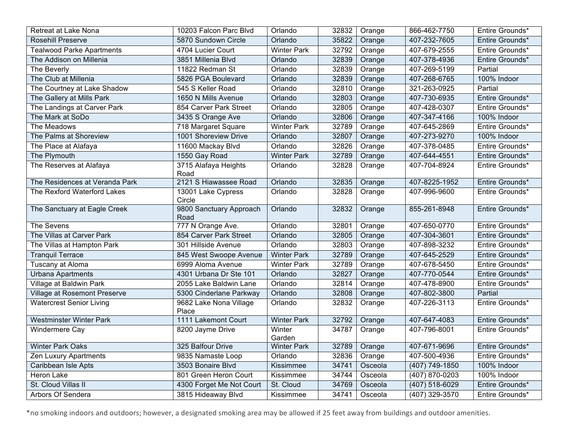| Retreat at Lake Nona                | 10203 Falcon Parc Blvd          | Orlando            | 32832 | Orange  | 866-462-7750       | Entire Grounds* |
|-------------------------------------|---------------------------------|--------------------|-------|---------|--------------------|-----------------|
| <b>Rosehill Preserve</b>            | 5870 Sundown Circle             | Orlando            | 35822 | Orange  | 407-232-7605       | Entire Grounds* |
| <b>Tealwood Parke Apartments</b>    | 4704 Lucier Court               | <b>Winter Park</b> | 32792 | Orange  | 407-679-2555       | Entire Grounds* |
| The Addison on Millenia             | 3851 Millenia Blvd              | Orlando            | 32839 | Orange  | 407-378-4936       | Entire Grounds* |
| The Beverly                         | 11822 Redman St                 | Orlando            | 32839 | Orange  | 407-269-5199       | Partial         |
| The Club at Millenia                | 5826 PGA Boulevard              | Orlando            | 32839 | Orange  | 407-268-6765       | 100% Indoor     |
| The Courtney at Lake Shadow         | 545 S Keller Road               | Orlando            | 32810 | Orange  | 321-263-0925       | Partial         |
| The Gallery at Mills Park           | 1650 N Mills Avenue             | Orlando            | 32803 | Orange  | 407-730-6935       | Entire Grounds* |
| The Landings at Carver Park         | 854 Carver Park Street          | Orlando            | 32805 | Orange  | 407-428-0307       | Entire Grounds* |
| The Mark at SoDo                    | 3435 S Orange Ave               | Orlando            | 32806 | Orange  | 407-347-4166       | 100% Indoor     |
| The Meadows                         | 718 Margaret Square             | <b>Winter Park</b> | 32789 | Orange  | 407-645-2869       | Entire Grounds* |
| The Palms at Shoreview              | 1001 Shoreview Drive            | Orlando            | 32807 | Orange  | 407-273-9270       | 100% Indoor     |
| The Place at Alafaya                | 11600 Mackay Blvd               | Orlando            | 32826 | Orange  | 407-378-0485       | Entire Grounds* |
| The Plymouth                        | 1550 Gay Road                   | <b>Winter Park</b> | 32789 | Orange  | 407-644-4551       | Entire Grounds* |
| The Reserves at Alafaya             | 3715 Alafaya Heights            | Orlando            | 32828 | Orange  | 407-704-8924       | Entire Grounds* |
|                                     | Road                            |                    |       |         |                    |                 |
| The Residences at Veranda Park      | 2121 S Hiawassee Road           | Orlando            | 32835 | Orange  | 407-8225-1952      | Entire Grounds* |
| The Rexford Waterford Lakes         | 13001 Lake Cypress<br>Circle    | Orlando            | 32828 | Orange  | 407-996-9600       | Entire Grounds* |
| The Sanctuary at Eagle Creek        | 9800 Sanctuary Approach<br>Road | Orlando            | 32832 | Orange  | 855-261-8948       | Entire Grounds* |
| The Sevens                          | 777 N Orange Ave.               | Orlando            | 32801 | Orange  | 407-650-0770       | Entire Grounds* |
| The Villas at Carver Park           | 854 Carver Park Street          | Orlando            | 32805 | Orange  | 407-304-3601       | Entire Grounds* |
| The Villas at Hampton Park          | 301 Hillside Avenue             | Orlando            | 32803 | Orange  | 407-898-3232       | Entire Grounds* |
| <b>Tranquil Terrace</b>             | 845 West Swoope Avenue          | <b>Winter Park</b> | 32789 | Orange  | 407-645-2529       | Entire Grounds* |
| <b>Tuscany at Aloma</b>             | 6999 Aloma Avenue               | <b>Winter Park</b> | 32789 | Orange  | 407-678-5450       | Entire Grounds* |
| <b>Urbana Apartments</b>            | 4301 Urbana Dr Ste 101          | Orlando            | 32827 | Orange  | 407-770-0544       | Entire Grounds* |
| Village at Baldwin Park             | 2055 Lake Baldwin Lane          | Orlando            | 32814 | Orange  | 407-478-8900       | Entire Grounds* |
| <b>Village at Rosemont Preserve</b> | 5300 Cinderlane Parkway         | Orlando            | 32808 | Orange  | 407-802-3800       | Partial         |
| <b>Watercrest Senior Living</b>     | 9682 Lake Nona Village<br>Place | Orlando            | 32832 | Orange  | 407-226-3113       | Entire Grounds* |
| <b>Westminster Winter Park</b>      | 1111 Lakemont Court             | <b>Winter Park</b> | 32792 | Orange  | 407-647-4083       | Entire Grounds* |
| Windermere Cay                      | 8200 Jayme Drive                | Winter             | 34787 | Orange  | 407-796-8001       | Entire Grounds* |
|                                     |                                 | Garden             |       |         |                    |                 |
| <b>Winter Park Oaks</b>             | 325 Balfour Drive               | <b>Winter Park</b> | 32789 | Orange  | 407-671-9696       | Entire Grounds* |
| Zen Luxury Apartments               | 9835 Namaste Loop               | Orlando            | 32836 | Orange  | 407-500-4936       | Entire Grounds* |
| Caribbean Isle Apts                 | 3503 Bonaire Blvd               | Kissimmee          | 34741 | Osceola | $(407) 749 - 1850$ | 100% Indoor     |
| Heron Lake                          | 801 Green Heron Court           | Kissimmee          | 34744 | Osceola | $(407) 870 - 0203$ | 100% Indoor     |
| St. Cloud Villas II                 | 4300 Forget Me Not Court        | St. Cloud          | 34769 | Osceola | (407) 518-6029     | Entire Grounds* |
| Arbors Of Sendera                   | 3815 Hideaway Blvd              | Kissimmee          | 34741 | Osceola | $(407)$ 329-3570   | Entire Grounds* |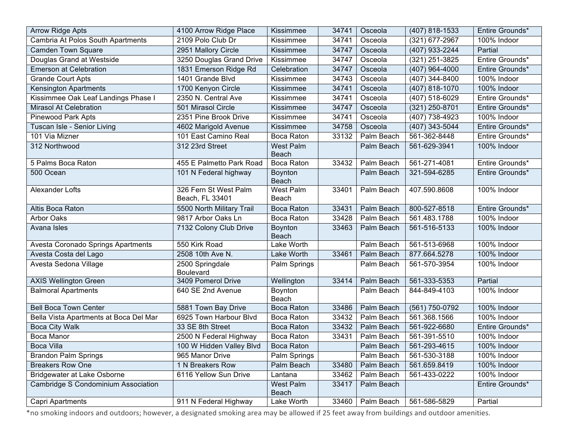| <b>Arrow Ridge Apts</b>                | 4100 Arrow Ridge Place                   | Kissimmee                        | 34741 | Osceola    | (407) 818-1533              | Entire Grounds* |
|----------------------------------------|------------------------------------------|----------------------------------|-------|------------|-----------------------------|-----------------|
| Cambria At Polos South Apartments      | 2109 Polo Club Dr                        | Kissimmee                        | 34741 | Osceola    | (321) 677-2967              | 100% Indoor     |
| <b>Camden Town Square</b>              | 2951 Mallory Circle                      | Kissimmee                        | 34747 | Osceola    | (407) 933-2244              | Partial         |
| Douglas Grand at Westside              | 3250 Douglas Grand Drive                 | Kissimmee                        | 34747 | Osceola    | (321) 251-3825              | Entire Grounds* |
| <b>Emerson at Celebration</b>          | 1831 Emerson Ridge Rd                    | Celebration                      | 34747 | Osceola    | (407) 964-4000              | Entire Grounds* |
| <b>Grande Court Apts</b>               | 1401 Grande Blvd                         | Kissimmee                        | 34743 | Osceola    | (407) 344-8400              | 100% Indoor     |
| <b>Kensington Apartments</b>           | 1700 Kenyon Circle                       | Kissimmee                        | 34741 | Osceola    | (407) 818-1070              | 100% Indoor     |
| Kissimmee Oak Leaf Landings Phase I    | 2350 N. Central Ave                      | Kissimmee                        | 34741 | Osceola    | (407) 518-6029              | Entire Grounds* |
| <b>Mirasol At Celebration</b>          | 501 Mirasol Circle                       | Kissimmee                        | 34747 | Osceola    | (321) 250-8701              | Entire Grounds* |
| <b>Pinewood Park Apts</b>              | 2351 Pine Brook Drive                    | Kissimmee                        | 34741 | Osceola    | $\overline{(407)}$ 738-4923 | 100% Indoor     |
| Tuscan Isle - Senior Living            | 4602 Marigold Avenue                     | Kissimmee                        | 34758 | Osceola    | (407) 343-5044              | Entire Grounds* |
| 101 Via Mizner                         | 101 East Camino Real                     | Boca Raton                       | 33132 | Palm Beach | 561-362-8448                | Entire Grounds* |
| 312 Northwood                          | 312 23rd Street                          | <b>West Palm</b><br><b>Beach</b> |       | Palm Beach | 561-629-3941                | 100% Indoor     |
| 5 Palms Boca Raton                     | 455 E Palmetto Park Road                 | Boca Raton                       | 33432 | Palm Beach | 561-271-4081                | Entire Grounds* |
| 500 Ocean                              | 101 N Federal highway                    | Boynton<br>Beach                 |       | Palm Beach | 321-594-6285                | Entire Grounds* |
| Alexander Lofts                        | 326 Fern St West Palm<br>Beach, FL 33401 | West Palm<br>Beach               | 33401 | Palm Beach | 407.590.8608                | 100% Indoor     |
| Altis Boca Raton                       | 5500 North Military Trail                | <b>Boca Raton</b>                | 33431 | Palm Beach | 800-527-8518                | Entire Grounds* |
| <b>Arbor Oaks</b>                      | 9817 Arbor Oaks Ln                       | Boca Raton                       | 33428 | Palm Beach | 561.483.1788                | 100% Indoor     |
| Avana Isles                            | 7132 Colony Club Drive                   | Boynton<br><b>Beach</b>          | 33463 | Palm Beach | 561-516-5133                | 100% Indoor     |
| Avesta Coronado Springs Apartments     | 550 Kirk Road                            | Lake Worth                       |       | Palm Beach | 561-513-6968                | 100% Indoor     |
| Avesta Costa del Lago                  | 2508 10th Ave N.                         | Lake Worth                       | 33461 | Palm Beach | 877.664.5278                | 100% Indoor     |
| Avesta Sedona Village                  | 2500 Springdale<br><b>Boulevard</b>      | Palm Springs                     |       | Palm Beach | 561-570-3954                | 100% Indoor     |
| <b>AXIS Wellington Green</b>           | 3409 Pomerol Drive                       | Wellington                       | 33414 | Palm Beach | 561-333-5353                | Partial         |
| <b>Balmoral Apartments</b>             | 640 SE 2nd Avenue                        | Boynton<br>Beach                 |       | Palm Beach | 844-849-4103                | 100% Indoor     |
| <b>Bell Boca Town Center</b>           | 5881 Town Bay Drive                      | <b>Boca Raton</b>                | 33486 | Palm Beach | (561) 750-0792              | 100% Indoor     |
| Bella Vista Apartments at Boca Del Mar | 6925 Town Harbour Blvd                   | Boca Raton                       | 33432 | Palm Beach | 561.368.1566                | 100% Indoor     |
| <b>Boca City Walk</b>                  | 33 SE 8th Street                         | <b>Boca Raton</b>                | 33432 | Palm Beach | 561-922-6680                | Entire Grounds* |
| <b>Boca Manor</b>                      | 2500 N Federal Highway                   | <b>Boca Raton</b>                | 33431 | Palm Beach | 561-391-5510                | 100% Indoor     |
| <b>Boca Villa</b>                      | 100 W Hidden Valley Blvd                 | <b>Boca Raton</b>                |       | Palm Beach | 561-293-4615                | 100% Indoor     |
| <b>Brandon Palm Springs</b>            | 965 Manor Drive                          | Palm Springs                     |       | Palm Beach | 561-530-3188                | 100% Indoor     |
| <b>Breakers Row One</b>                | 1 N Breakers Row                         | Palm Beach                       | 33480 | Palm Beach | 561.659.8419                | 100% Indoor     |
| <b>Bridgewater at Lake Osborne</b>     | 6116 Yellow Sun Drive                    | Lantana                          | 33462 | Palm Beach | 561-433-0222                | 100% Indoor     |
| Cambridge S Condominium Association    |                                          | West Palm<br>Beach               | 33417 | Palm Beach |                             | Entire Grounds* |
| Capri Apartments                       | 911 N Federal Highway                    | Lake Worth                       | 33460 | Palm Beach | 561-586-5829                | Partial         |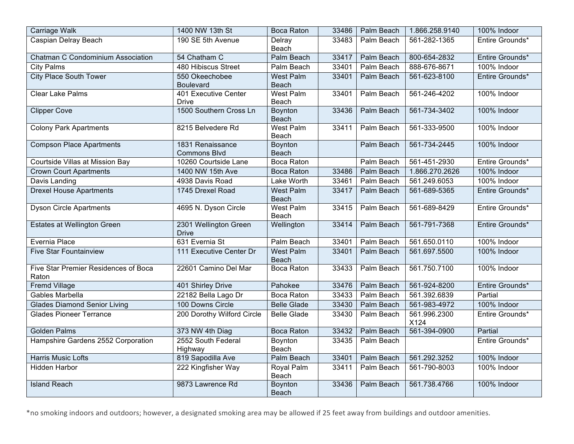| <b>Carriage Walk</b>                          | 1400 NW 13th St                         | <b>Boca Raton</b>                | 33486 | Palm Beach        | 1.866.258.9140       | 100% Indoor     |
|-----------------------------------------------|-----------------------------------------|----------------------------------|-------|-------------------|----------------------|-----------------|
| Caspian Delray Beach                          | 190 SE 5th Avenue                       | Delray<br>Beach                  | 33483 | Palm Beach        | 561-282-1365         | Entire Grounds* |
| Chatman C Condominium Association             | 54 Chatham C                            | Palm Beach                       | 33417 | Palm Beach        | 800-654-2832         | Entire Grounds* |
| <b>City Palms</b>                             | 480 Hibiscus Street                     | Palm Beach                       | 33401 | Palm Beach        | 888-676-8671         | 100% Indoor     |
| <b>City Place South Tower</b>                 | 550 Okeechobee<br><b>Boulevard</b>      | <b>West Palm</b><br>Beach        | 33401 | Palm Beach        | 561-623-8100         | Entire Grounds* |
| <b>Clear Lake Palms</b>                       | 401 Executive Center<br><b>Drive</b>    | <b>West Palm</b><br>Beach        | 33401 | Palm Beach        | 561-246-4202         | 100% Indoor     |
| <b>Clipper Cove</b>                           | 1500 Southern Cross Ln                  | Boynton<br><b>Beach</b>          | 33436 | <b>Palm Beach</b> | 561-734-3402         | 100% Indoor     |
| <b>Colony Park Apartments</b>                 | 8215 Belvedere Rd                       | <b>West Palm</b><br>Beach        | 33411 | Palm Beach        | 561-333-9500         | 100% Indoor     |
| <b>Compson Place Apartments</b>               | 1831 Renaissance<br><b>Commons Blvd</b> | Boynton<br><b>Beach</b>          |       | Palm Beach        | 561-734-2445         | 100% Indoor     |
| Courtside Villas at Mission Bay               | 10260 Courtside Lane                    | <b>Boca Raton</b>                |       | Palm Beach        | 561-451-2930         | Entire Grounds* |
| <b>Crown Court Apartments</b>                 | 1400 NW 15th Ave                        | <b>Boca Raton</b>                | 33486 | Palm Beach        | 1.866.270.2626       | 100% Indoor     |
| Davis Landing                                 | 4938 Davis Road                         | <b>Lake Worth</b>                | 33461 | Palm Beach        | 561.249.6053         | 100% Indoor     |
| <b>Drexel House Apartments</b>                | 1745 Drexel Road                        | <b>West Palm</b><br><b>Beach</b> | 33417 | Palm Beach        | 561-689-5365         | Entire Grounds* |
| <b>Dyson Circle Apartments</b>                | 4695 N. Dyson Circle                    | <b>West Palm</b><br>Beach        | 33415 | Palm Beach        | 561-689-8429         | Entire Grounds* |
| <b>Estates at Wellington Green</b>            | 2301 Wellington Green<br><b>Drive</b>   | Wellington                       | 33414 | <b>Palm Beach</b> | 561-791-7368         | Entire Grounds* |
| Evernia Place                                 | 631 Evernia St                          | Palm Beach                       | 33401 | Palm Beach        | 561.650.0110         | 100% Indoor     |
| <b>Five Star Fountainview</b>                 | 111 Executive Center Dr                 | <b>West Palm</b><br><b>Beach</b> | 33401 | Palm Beach        | 561.697.5500         | 100% Indoor     |
| Five Star Premier Residences of Boca<br>Raton | 22601 Camino Del Mar                    | <b>Boca Raton</b>                | 33433 | Palm Beach        | 561.750.7100         | 100% Indoor     |
| Fremd Village                                 | 401 Shirley Drive                       | Pahokee                          | 33476 | Palm Beach        | 561-924-8200         | Entire Grounds* |
| Gables Marbella                               | 22182 Bella Lago Dr                     | <b>Boca Raton</b>                | 33433 | Palm Beach        | 561.392.6839         | Partial         |
| <b>Glades Diamond Senior Living</b>           | 100 Downs Circle                        | <b>Belle Glade</b>               | 33430 | Palm Beach        | 561-983-4972         | 100% Indoor     |
| <b>Glades Pioneer Terrance</b>                | 200 Dorothy Wilford Circle              | <b>Belle Glade</b>               | 33430 | Palm Beach        | 561.996.2300<br>X124 | Entire Grounds* |
| <b>Golden Palms</b>                           | 373 NW 4th Diag                         | <b>Boca Raton</b>                | 33432 | <b>Palm Beach</b> | 561-394-0900         | Partial         |
| Hampshire Gardens 2552 Corporation            | 2552 South Federal<br>Highway           | Boynton<br>Beach                 | 33435 | Palm Beach        |                      | Entire Grounds* |
| <b>Harris Music Lofts</b>                     | 819 Sapodilla Ave                       | Palm Beach                       | 33401 | Palm Beach        | 561.292.3252         | 100% Indoor     |
| <b>Hidden Harbor</b>                          | 222 Kingfisher Way                      | Royal Palm<br>Beach              | 33411 | Palm Beach        | 561-790-8003         | 100% Indoor     |
| <b>Island Reach</b>                           | 9873 Lawrence Rd                        | Boynton<br><b>Beach</b>          | 33436 | <b>Palm Beach</b> | 561.738.4766         | 100% Indoor     |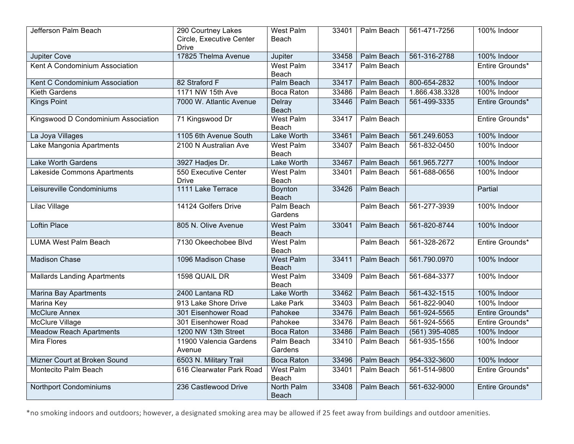| Jefferson Palm Beach                | 290 Courtney Lakes                   | <b>West Palm</b>           | 33401 | Palm Beach        | 561-471-7256     | 100% Indoor     |
|-------------------------------------|--------------------------------------|----------------------------|-------|-------------------|------------------|-----------------|
|                                     | Circle, Executive Center             | Beach                      |       |                   |                  |                 |
| Jupiter Cove                        | <b>Drive</b><br>17825 Thelma Avenue  | Jupiter                    | 33458 | Palm Beach        | 561-316-2788     | 100% Indoor     |
| Kent A Condominium Association      |                                      | <b>West Palm</b>           | 33417 | Palm Beach        |                  | Entire Grounds* |
|                                     |                                      | Beach                      |       |                   |                  |                 |
| Kent C Condominium Association      | 82 Straford F                        | <b>Palm Beach</b>          | 33417 | <b>Palm Beach</b> | 800-654-2832     | 100% Indoor     |
| <b>Kieth Gardens</b>                | 1171 NW 15th Ave                     | <b>Boca Raton</b>          | 33486 | Palm Beach        | 1.866.438.3328   | 100% Indoor     |
| <b>Kings Point</b>                  | 7000 W. Atlantic Avenue              | Delray<br><b>Beach</b>     | 33446 | Palm Beach        | 561-499-3335     | Entire Grounds* |
| Kingswood D Condominium Association | 71 Kingswood Dr                      | West Palm                  | 33417 | Palm Beach        |                  | Entire Grounds* |
|                                     |                                      | Beach                      |       |                   |                  |                 |
| La Joya Villages                    | 1105 6th Avenue South                | <b>Lake Worth</b>          | 33461 | Palm Beach        | 561.249.6053     | 100% Indoor     |
| Lake Mangonia Apartments            | 2100 N Australian Ave                | West Palm                  | 33407 | Palm Beach        | 561-832-0450     | 100% Indoor     |
|                                     |                                      | Beach                      |       |                   |                  |                 |
| <b>Lake Worth Gardens</b>           | 3927 Hadjes Dr.                      | <b>Lake Worth</b>          | 33467 | <b>Palm Beach</b> | 561.965.7277     | 100% Indoor     |
| Lakeside Commons Apartments         | 550 Executive Center<br><b>Drive</b> | <b>West Palm</b><br>Beach  | 33401 | Palm Beach        | 561-688-0656     | 100% Indoor     |
| Leisureville Condominiums           | 1111 Lake Terrace                    | Boynton<br><b>Beach</b>    | 33426 | Palm Beach        |                  | Partial         |
| Lilac Village                       | 14124 Golfers Drive                  | Palm Beach<br>Gardens      |       | Palm Beach        | 561-277-3939     | 100% Indoor     |
| <b>Loftin Place</b>                 | 805 N. Olive Avenue                  | <b>West Palm</b><br>Beach  | 33041 | Palm Beach        | 561-820-8744     | 100% Indoor     |
| <b>LUMA West Palm Beach</b>         | 7130 Okeechobee Blvd                 | <b>West Palm</b><br>Beach  |       | Palm Beach        | 561-328-2672     | Entire Grounds* |
| <b>Madison Chase</b>                | 1096 Madison Chase                   | <b>West Palm</b><br>Beach  | 33411 | <b>Palm Beach</b> | 561.790.0970     | 100% Indoor     |
| <b>Mallards Landing Apartments</b>  | 1598 QUAIL DR                        | West Palm<br>Beach         | 33409 | Palm Beach        | 561-684-3377     | 100% Indoor     |
| <b>Marina Bay Apartments</b>        | 2400 Lantana RD                      | Lake Worth                 | 33462 | Palm Beach        | 561-432-1515     | 100% Indoor     |
| Marina Key                          | 913 Lake Shore Drive                 | Lake Park                  | 33403 | Palm Beach        | 561-822-9040     | 100% Indoor     |
| <b>McClure Annex</b>                | 301 Eisenhower Road                  | Pahokee                    | 33476 | Palm Beach        | 561-924-5565     | Entire Grounds* |
| McClure Village                     | 301 Eisenhower Road                  | Pahokee                    | 33476 | Palm Beach        | 561-924-5565     | Entire Grounds* |
| <b>Meadow Reach Apartments</b>      | 1200 NW 13th Street                  | <b>Boca Raton</b>          | 33486 | Palm Beach        | $(561)$ 395-4085 | 100% Indoor     |
| <b>Mira Flores</b>                  | 11900 Valencia Gardens<br>Avenue     | Palm Beach<br>Gardens      | 33410 | Palm Beach        | 561-935-1556     | 100% Indoor     |
| Mizner Court at Broken Sound        | 6503 N. Military Trail               | <b>Boca Raton</b>          | 33496 | Palm Beach        | 954-332-3600     | 100% Indoor     |
| Montecito Palm Beach                | 616 Clearwater Park Road             | West Palm<br>Beach         | 33401 | Palm Beach        | 561-514-9800     | Entire Grounds* |
| Northport Condominiums              | 236 Castlewood Drive                 | North Palm<br><b>Beach</b> | 33408 | Palm Beach        | 561-632-9000     | Entire Grounds* |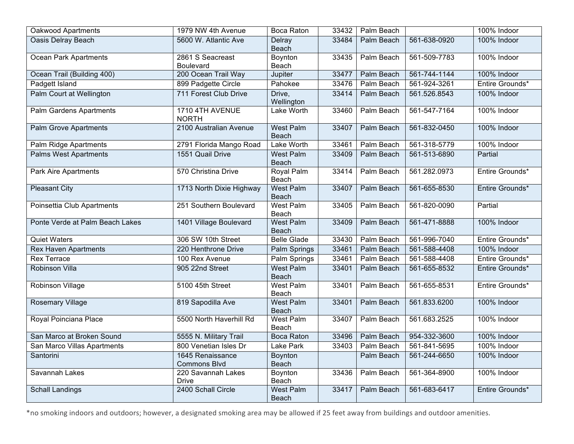| Oakwood Apartments              | 1979 NW 4th Avenue                      | Boca Raton                       | 33432 | Palm Beach        |              | 100% Indoor     |
|---------------------------------|-----------------------------------------|----------------------------------|-------|-------------------|--------------|-----------------|
| <b>Oasis Delray Beach</b>       | 5600 W. Atlantic Ave                    | Delray<br><b>Beach</b>           | 33484 | <b>Palm Beach</b> | 561-638-0920 | 100% Indoor     |
| <b>Ocean Park Apartments</b>    | 2861 S Seacreast<br>Boulevard           | Boynton<br>Beach                 | 33435 | Palm Beach        | 561-509-7783 | 100% Indoor     |
| Ocean Trail (Building 400)      | 200 Ocean Trail Way                     | Jupiter                          | 33477 | <b>Palm Beach</b> | 561-744-1144 | 100% Indoor     |
| Padgett Island                  | 899 Padgette Circle                     | Pahokee                          | 33476 | Palm Beach        | 561-924-3261 | Entire Grounds* |
| Palm Court at Wellington        | 711 Forest Club Drive                   | Drive,<br>Wellington             | 33414 | Palm Beach        | 561.526.8543 | 100% Indoor     |
| <b>Palm Gardens Apartments</b>  | 1710 4TH AVENUE<br><b>NORTH</b>         | Lake Worth                       | 33460 | Palm Beach        | 561-547-7164 | 100% Indoor     |
| <b>Palm Grove Apartments</b>    | 2100 Australian Avenue                  | <b>West Palm</b><br><b>Beach</b> | 33407 | Palm Beach        | 561-832-0450 | 100% Indoor     |
| Palm Ridge Apartments           | 2791 Florida Mango Road                 | Lake Worth                       | 33461 | Palm Beach        | 561-318-5779 | 100% Indoor     |
| <b>Palms West Apartments</b>    | 1551 Quail Drive                        | West Palm<br>Beach               | 33409 | Palm Beach        | 561-513-6890 | Partial         |
| <b>Park Aire Apartments</b>     | 570 Christina Drive                     | <b>Royal Palm</b><br>Beach       | 33414 | Palm Beach        | 561.282.0973 | Entire Grounds* |
| <b>Pleasant City</b>            | 1713 North Dixie Highway                | <b>West Palm</b><br><b>Beach</b> | 33407 | Palm Beach        | 561-655-8530 | Entire Grounds* |
| Poinsettia Club Apartments      | 251 Southern Boulevard                  | <b>West Palm</b><br>Beach        | 33405 | Palm Beach        | 561-820-0090 | Partial         |
| Ponte Verde at Palm Beach Lakes | 1401 Village Boulevard                  | <b>West Palm</b><br><b>Beach</b> | 33409 | <b>Palm Beach</b> | 561-471-8888 | 100% Indoor     |
| <b>Quiet Waters</b>             | 306 SW 10th Street                      | <b>Belle Glade</b>               | 33430 | Palm Beach        | 561-996-7040 | Entire Grounds* |
| <b>Rex Haven Apartments</b>     | 220 Henthrone Drive                     | <b>Palm Springs</b>              | 33461 | <b>Palm Beach</b> | 561-588-4408 | 100% Indoor     |
| <b>Rex Terrace</b>              | 100 Rex Avenue                          | Palm Springs                     | 33461 | Palm Beach        | 561-588-4408 | Entire Grounds* |
| <b>Robinson Villa</b>           | 905 22nd Street                         | <b>West Palm</b><br>Beach        | 33401 | Palm Beach        | 561-655-8532 | Entire Grounds* |
| Robinson Village                | 5100 45th Street                        | <b>West Palm</b><br>Beach        | 33401 | Palm Beach        | 561-655-8531 | Entire Grounds* |
| <b>Rosemary Village</b>         | 819 Sapodilla Ave                       | <b>West Palm</b><br><b>Beach</b> | 33401 | Palm Beach        | 561.833.6200 | 100% Indoor     |
| Royal Poinciana Place           | 5500 North Haverhill Rd                 | <b>West Palm</b><br>Beach        | 33407 | Palm Beach        | 561.683.2525 | 100% Indoor     |
| San Marco at Broken Sound       | 5555 N. Military Trail                  | <b>Boca Raton</b>                | 33496 | Palm Beach        | 954-332-3600 | 100% Indoor     |
| San Marco Villas Apartments     | 800 Venetian Isles Dr                   | Lake Park                        | 33403 | Palm Beach        | 561-841-5695 | 100% Indoor     |
| Santorini                       | 1645 Renaissance<br><b>Commons Blvd</b> | Boynton<br><b>Beach</b>          |       | Palm Beach        | 561-244-6650 | 100% Indoor     |
| Savannah Lakes                  | 220 Savannah Lakes<br><b>Drive</b>      | Boynton<br>Beach                 | 33436 | Palm Beach        | 561-364-8900 | 100% Indoor     |
| <b>Schall Landings</b>          | 2400 Schall Circle                      | <b>West Palm</b><br>Beach        | 33417 | Palm Beach        | 561-683-6417 | Entire Grounds* |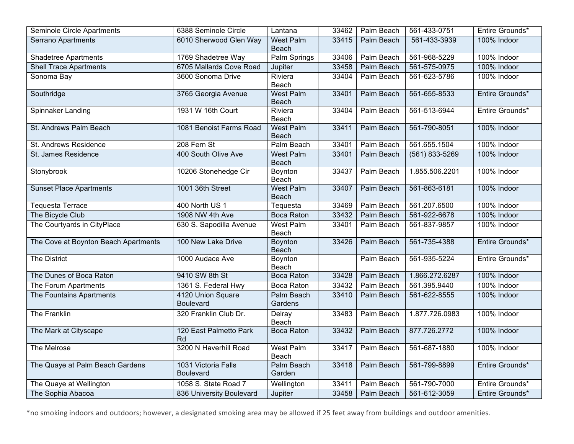| Seminole Circle Apartments           | 6388 Seminole Circle                    | Lantana                          | 33462 | Palm Beach        | 561-433-0751       | Entire Grounds* |
|--------------------------------------|-----------------------------------------|----------------------------------|-------|-------------------|--------------------|-----------------|
| <b>Serrano Apartments</b>            | 6010 Sherwood Glen Way                  | <b>West Palm</b><br><b>Beach</b> | 33415 | Palm Beach        | 561-433-3939       | 100% Indoor     |
| <b>Shadetree Apartments</b>          | 1769 Shadetree Way                      | Palm Springs                     | 33406 | Palm Beach        | 561-968-5229       | 100% Indoor     |
| <b>Shell Trace Apartments</b>        | 6705 Mallards Cove Road                 | Jupiter                          | 33458 | <b>Palm Beach</b> | 561-575-0975       | 100% Indoor     |
| Sonoma Bay                           | 3600 Sonoma Drive                       | Riviera<br>Beach                 | 33404 | Palm Beach        | 561-623-5786       | 100% Indoor     |
| Southridge                           | 3765 Georgia Avenue                     | <b>West Palm</b><br>Beach        | 33401 | Palm Beach        | 561-655-8533       | Entire Grounds* |
| Spinnaker Landing                    | 1931 W 16th Court                       | Riviera<br>Beach                 | 33404 | Palm Beach        | 561-513-6944       | Entire Grounds* |
| St. Andrews Palm Beach               | 1081 Benoist Farms Road                 | <b>West Palm</b><br>Beach        | 33411 | <b>Palm Beach</b> | 561-790-8051       | 100% Indoor     |
| St. Andrews Residence                | 208 Fern St                             | Palm Beach                       | 33401 | Palm Beach        | 561.655.1504       | 100% Indoor     |
| St. James Residence                  | 400 South Olive Ave                     | West Palm<br>Beach               | 33401 | Palm Beach        | $(561) 833 - 5269$ | 100% Indoor     |
| Stonybrook                           | 10206 Stonehedge Cir                    | Boynton<br>Beach                 | 33437 | Palm Beach        | 1.855.506.2201     | 100% Indoor     |
| <b>Sunset Place Apartments</b>       | 1001 36th Street                        | <b>West Palm</b><br>Beach        | 33407 | Palm Beach        | 561-863-6181       | 100% Indoor     |
| <b>Tequesta Terrace</b>              | 400 North US 1                          | Tequesta                         | 33469 | Palm Beach        | 561.207.6500       | 100% Indoor     |
| The Bicycle Club                     | 1908 NW 4th Ave                         | <b>Boca Raton</b>                | 33432 | Palm Beach        | 561-922-6678       | 100% Indoor     |
| The Courtyards in CityPlace          | 630 S. Sapodilla Avenue                 | West Palm<br>Beach               | 33401 | Palm Beach        | 561-837-9857       | 100% Indoor     |
| The Cove at Boynton Beach Apartments | 100 New Lake Drive                      | Boynton<br>Beach                 | 33426 | Palm Beach        | 561-735-4388       | Entire Grounds* |
| <b>The District</b>                  | 1000 Audace Ave                         | Boynton<br>Beach                 |       | Palm Beach        | 561-935-5224       | Entire Grounds* |
| The Dunes of Boca Raton              | 9410 SW 8th St                          | <b>Boca Raton</b>                | 33428 | <b>Palm Beach</b> | 1.866.272.6287     | 100% Indoor     |
| The Forum Apartments                 | 1361 S. Federal Hwy                     | <b>Boca Raton</b>                | 33432 | Palm Beach        | 561.395.9440       | 100% Indoor     |
| The Fountains Apartments             | 4120 Union Square<br><b>Boulevard</b>   | Palm Beach<br>Gardens            | 33410 | Palm Beach        | 561-622-8555       | 100% Indoor     |
| The Franklin                         | 320 Franklin Club Dr.                   | Delray<br>Beach                  | 33483 | Palm Beach        | 1.877.726.0983     | 100% Indoor     |
| The Mark at Cityscape                | 120 East Palmetto Park<br>Rd            | <b>Boca Raton</b>                | 33432 | Palm Beach        | 877.726.2772       | 100% Indoor     |
| The Melrose                          | 3200 N Haverhill Road                   | <b>West Palm</b><br>Beach        | 33417 | Palm Beach        | 561-687-1880       | 100% Indoor     |
| The Quaye at Palm Beach Gardens      | 1031 Victoria Falls<br><b>Boulevard</b> | Palm Beach<br>Garden             | 33418 | <b>Palm Beach</b> | 561-799-8899       | Entire Grounds* |
| The Quaye at Wellington              | 1058 S. State Road 7                    | Wellington                       | 33411 | Palm Beach        | 561-790-7000       | Entire Grounds* |
| The Sophia Abacoa                    | 836 University Boulevard                | Jupiter                          | 33458 | Palm Beach        | 561-612-3059       | Entire Grounds* |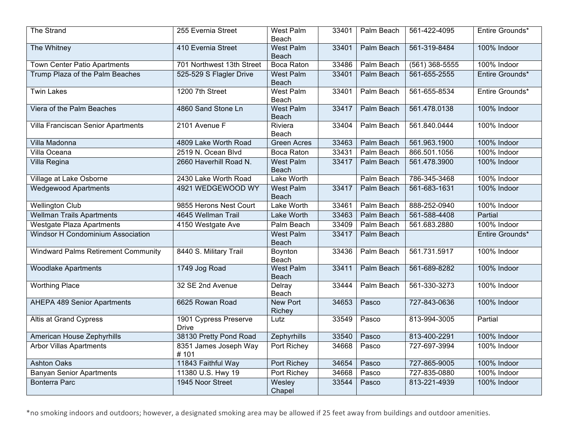| The Strand                                 | 255 Evernia Street                    | West Palm<br>Beach               | 33401 | Palm Beach        | 561-422-4095     | Entire Grounds* |
|--------------------------------------------|---------------------------------------|----------------------------------|-------|-------------------|------------------|-----------------|
| The Whitney                                | 410 Evernia Street                    | West Palm<br>Beach               | 33401 | Palm Beach        | 561-319-8484     | 100% Indoor     |
| Town Center Patio Apartments               | 701 Northwest 13th Street             | Boca Raton                       | 33486 | Palm Beach        | $(561)$ 368-5555 | 100% Indoor     |
| Trump Plaza of the Palm Beaches            | 525-529 S Flagler Drive               | <b>West Palm</b><br>Beach        | 33401 | Palm Beach        | 561-655-2555     | Entire Grounds* |
| <b>Twin Lakes</b>                          | 1200 7th Street                       | <b>West Palm</b><br>Beach        | 33401 | Palm Beach        | 561-655-8534     | Entire Grounds* |
| Viera of the Palm Beaches                  | 4860 Sand Stone Ln                    | <b>West Palm</b><br>Beach        | 33417 | Palm Beach        | 561.478.0138     | 100% Indoor     |
| Villa Franciscan Senior Apartments         | 2101 Avenue F                         | Riviera<br>Beach                 | 33404 | Palm Beach        | 561.840.0444     | 100% Indoor     |
| Villa Madonna                              | 4809 Lake Worth Road                  | <b>Green Acres</b>               | 33463 | <b>Palm Beach</b> | 561.963.1900     | 100% Indoor     |
| <b>Villa Oceana</b>                        | 2519 N. Ocean Blvd                    | <b>Boca Raton</b>                | 33431 | Palm Beach        | 866.501.1056     | 100% Indoor     |
| Villa Regina                               | 2660 Haverhill Road N.                | West Palm<br><b>Beach</b>        | 33417 | Palm Beach        | 561.478.3900     | 100% Indoor     |
| <b>Village at Lake Osborne</b>             | 2430 Lake Worth Road                  | <b>Lake Worth</b>                |       | Palm Beach        | 786-345-3468     | 100% Indoor     |
| <b>Wedgewood Apartments</b>                | 4921 WEDGEWOOD WY                     | <b>West Palm</b><br><b>Beach</b> | 33417 | Palm Beach        | 561-683-1631     | 100% Indoor     |
| <b>Wellington Club</b>                     | 9855 Herons Nest Court                | <b>Lake Worth</b>                | 33461 | Palm Beach        | 888-252-0940     | 100% Indoor     |
| <b>Wellman Trails Apartments</b>           | 4645 Wellman Trail                    | Lake Worth                       | 33463 | Palm Beach        | 561-588-4408     | Partial         |
| <b>Westgate Plaza Apartments</b>           | 4150 Westgate Ave                     | Palm Beach                       | 33409 | Palm Beach        | 561.683.2880     | 100% Indoor     |
| <b>Windsor H Condominium Association</b>   |                                       | <b>West Palm</b><br>Beach        | 33417 | Palm Beach        |                  | Entire Grounds* |
| <b>Windward Palms Retirement Community</b> | 8440 S. Military Trail                | Boynton<br>Beach                 | 33436 | Palm Beach        | 561.731.5917     | 100% Indoor     |
| <b>Woodlake Apartments</b>                 | 1749 Jog Road                         | <b>West Palm</b><br>Beach        | 33411 | Palm Beach        | 561-689-8282     | 100% Indoor     |
| <b>Worthing Place</b>                      | 32 SE 2nd Avenue                      | Delray<br>Beach                  | 33444 | Palm Beach        | 561-330-3273     | 100% Indoor     |
| <b>AHEPA 489 Senior Apartments</b>         | 6625 Rowan Road                       | <b>New Port</b><br>Richey        | 34653 | Pasco             | 727-843-0636     | 100% Indoor     |
| <b>Altis at Grand Cypress</b>              | 1901 Cypress Preserve<br><b>Drive</b> | Lutz                             | 33549 | Pasco             | 813-994-3005     | Partial         |
| American House Zephyrhills                 | 38130 Pretty Pond Road                | Zephyrhills                      | 33540 | Pasco             | 813-400-2291     | 100% Indoor     |
| <b>Arbor Villas Apartments</b>             | 8351 James Joseph Way<br>#101         | Port Richey                      | 34668 | Pasco             | 727-697-3994     | 100% Indoor     |
| <b>Ashton Oaks</b>                         | 11843 Faithful Way                    | <b>Port Richey</b>               | 34654 | Pasco             | 727-865-9005     | 100% Indoor     |
| <b>Banyan Senior Apartments</b>            | 11380 U.S. Hwy 19                     | Port Richey                      | 34668 | Pasco             | 727-835-0880     | 100% Indoor     |
| <b>Bonterra Parc</b>                       | 1945 Noor Street                      | Wesley<br>Chapel                 | 33544 | Pasco             | 813-221-4939     | 100% Indoor     |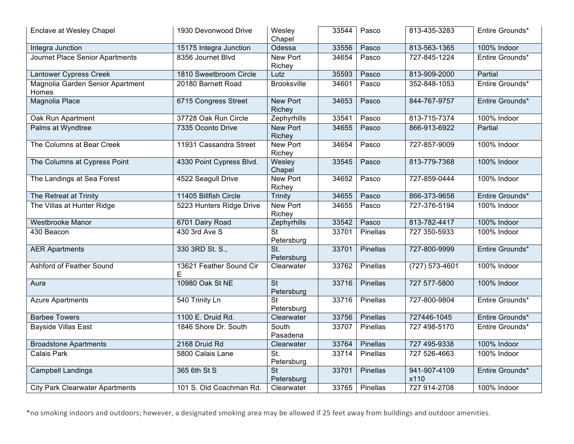| Enclave at Wesley Chapel                  | 1930 Devonwood Drive         | Wesley<br>Chapel                         | 33544 | Pasco    | 813-435-3283         | Entire Grounds* |
|-------------------------------------------|------------------------------|------------------------------------------|-------|----------|----------------------|-----------------|
| Integra Junction                          | 15175 Integra Junction       | Odessa                                   | 33556 | Pasco    | 813-563-1365         | 100% Indoor     |
| Journet Place Senior Apartments           | 8356 Journet Blvd            | New Port<br>Richey                       | 34654 | Pasco    | 727-845-1224         | Entire Grounds* |
| <b>Lantower Cypress Creek</b>             | 1810 Sweetbroom Circle       | Lutz                                     | 35593 | Pasco    | 813-909-2000         | Partial         |
| Magnolia Garden Senior Apartment<br>Homes | 20180 Barnett Road           | <b>Brooksville</b>                       | 34601 | Pasco    | 352-848-1053         | Entire Grounds* |
| <b>Magnolia Place</b>                     | 6715 Congress Street         | <b>New Port</b><br>Richey                | 34653 | Pasco    | 844-767-9757         | Entire Grounds* |
| Oak Run Apartment                         | 37728 Oak Run Circle         | Zephyrhills                              | 33541 | Pasco    | 813-715-7374         | 100% Indoor     |
| Palms at Wyndtree                         | 7335 Oconto Drive            | New Port<br>Richey                       | 34655 | Pasco    | 866-913-6922         | Partial         |
| The Columns at Bear Creek                 | 11931 Cassandra Street       | New Port<br>Richey                       | 34654 | Pasco    | 727-857-9009         | 100% Indoor     |
| The Columns at Cypress Point              | 4330 Point Cypress Blvd.     | Wesley<br>Chapel                         | 33545 | Pasco    | 813-779-7368         | 100% Indoor     |
| The Landings at Sea Forest                | 4522 Seagull Drive           | New Port<br>Richey                       | 34652 | Pasco    | 727-859-0444         | 100% Indoor     |
| The Retreat at Trinity                    | 11405 Billfish Circle        | Trinity                                  | 34655 | Pasco    | 866-373-9658         | Entire Grounds* |
| The Villas at Hunter Ridge                | 5223 Hunters Ridge Drive     | <b>New Port</b><br>Richey                | 34655 | Pasco    | 727-376-5194         | 100% Indoor     |
| <b>Westbrooke Manor</b>                   | 6701 Dairy Road              | Zephyrhills                              | 33542 | Pasco    | 813-782-4417         | 100% Indoor     |
| 430 Beacon                                | 430 3rd Ave S                | <b>St</b><br>Petersburg                  | 33701 | Pinellas | 727 350-5933         | 100% Indoor     |
| <b>AER Apartments</b>                     | 330 3RD St. S.,              | $\overline{St.}$<br>Petersburg           | 33701 | Pinellas | 727-800-9999         | Entire Grounds* |
| Ashford of Feather Sound                  | 13621 Feather Sound Cir<br>E | Clearwater                               | 33762 | Pinellas | $(727) 573 - 4601$   | 100% Indoor     |
| Aura                                      | 10980 Oak St NE              | $\overline{\mathsf{St}}$<br>Petersburg   | 33716 | Pinellas | 727 577-5800         | 100% Indoor     |
| <b>Azure Apartments</b>                   | 540 Trinity Ln               | $\overline{\mathsf{St}}$<br>Petersburg   | 33716 | Pinellas | 727-800-9804         | Entire Grounds* |
| <b>Barbee Towers</b>                      | 1100 E. Druid Rd.            | Clearwater                               | 33756 | Pinellas | 727446-1045          | Entire Grounds* |
| <b>Bayside Villas East</b>                | 1846 Shore Dr. South         | South<br>Pasadena                        | 33707 | Pinellas | 727 498-5170         | Entire Grounds* |
| <b>Broadstone Apartments</b>              | 2168 Druid Rd                | Clearwater                               | 33764 | Pinellas | 727 495-9338         | 100% Indoor     |
| Calais Park                               | 5800 Calais Lane             | $\overline{\mathsf{St}}$ .<br>Petersburg | 33714 | Pinellas | 727 526-4663         | 100% Indoor     |
| <b>Campbell Landings</b>                  | 365 6th St S                 | $\overline{\mathsf{St}}$<br>Petersburg   | 33701 | Pinellas | 941-907-4109<br>x110 | Entire Grounds* |
| <b>City Park Clearwater Apartments</b>    | 101 S. Old Coachman Rd.      | Clearwater                               | 33765 | Pinellas | 727 914-2708         | 100% Indoor     |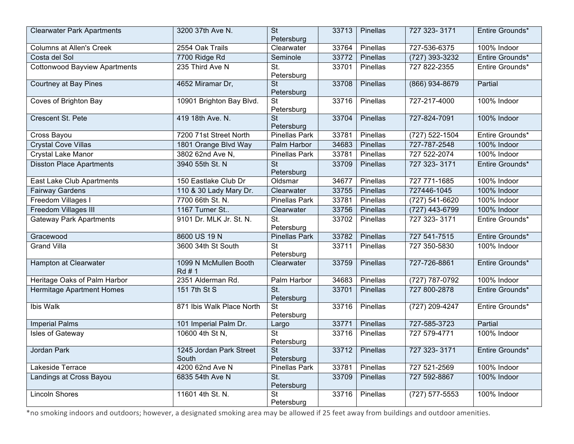| <b>Clearwater Park Apartments</b>    | 3200 37th Ave N.                 | <b>St</b><br>Petersburg                | 33713 | Pinellas       | 727 323-3171       | Entire Grounds* |
|--------------------------------------|----------------------------------|----------------------------------------|-------|----------------|--------------------|-----------------|
| <b>Columns at Allen's Creek</b>      | 2554 Oak Trails                  | Clearwater                             | 33764 | Pinellas       | 727-536-6375       | 100% Indoor     |
| Costa del Sol                        | 7700 Ridge Rd                    | Seminole                               | 33772 | Pinellas       | (727) 393-3232     | Entire Grounds* |
| <b>Cottonwood Bayview Apartments</b> | 235 Third Ave N                  | St.<br>Petersburg                      | 33701 | Pinellas       | 727 822-2355       | Entire Grounds* |
| Courtney at Bay Pines                | 4652 Miramar Dr,                 | <b>St</b><br>Petersburg                | 33708 | Pinellas       | (866) 934-8679     | Partial         |
| Coves of Brighton Bay                | 10901 Brighton Bay Blvd.         | <b>St</b><br>Petersburg                | 33716 | Pinellas       | 727-217-4000       | 100% Indoor     |
| Crescent St. Pete                    | 419 18th Ave. N.                 | <b>St</b><br>Petersburg                | 33704 | Pinellas       | 727-824-7091       | 100% Indoor     |
| Cross Bayou                          | 7200 71st Street North           | Pinellas Park                          | 33781 | Pinellas       | (727) 522-1504     | Entire Grounds* |
| <b>Crystal Cove Villas</b>           | 1801 Orange Blvd Way             | Palm Harbor                            | 34683 | Pinellas       | 727-787-2548       | 100% Indoor     |
| <b>Crystal Lake Manor</b>            | 3802 62nd Ave N,                 | <b>Pinellas Park</b>                   | 33781 | Pinellas       | 727 522-2074       | 100% Indoor     |
| <b>Disston Place Apartments</b>      | 3940 55th St. N                  | <b>St</b><br>Petersburg                | 33709 | Pinellas       | 727 323-3171       | Entire Grounds* |
| East Lake Club Apartments            | 150 Eastlake Club Dr             | Oldsmar                                | 34677 | Pinellas       | 727 771-1685       | 100% Indoor     |
| <b>Fairway Gardens</b>               | 110 & 30 Lady Mary Dr.           | Clearwater                             | 33755 | Pinellas       | 727446-1045        | 100% Indoor     |
| <b>Freedom Villages I</b>            | 7700 66th St. N.                 | <b>Pinellas Park</b>                   | 33781 | Pinellas       | (727) 541-6620     | 100% Indoor     |
| <b>Freedom Villages III</b>          | 1167 Turner St                   | Clearwater                             | 33756 | Pinellas       | (727) 443-6799     | 100% Indoor     |
| <b>Gateway Park Apartments</b>       | 9101 Dr. MLK Jr. St. N.          | St.<br>Petersburg                      | 33702 | Pinellas       | 727 323-3171       | Entire Grounds* |
| Gracewood                            | 8600 US 19 N                     | Pinellas Park                          | 33782 | Pinellas       | 727 541-7515       | Entire Grounds* |
| <b>Grand Villa</b>                   | 3600 34th St South               | <b>St</b><br>Petersburg                | 33711 | Pinellas       | 727 350-5830       | 100% Indoor     |
| Hampton at Clearwater                | 1099 N McMullen Booth<br>Rd #1   | Clearwater                             | 33759 | Pinellas       | 727-726-8861       | Entire Grounds* |
| Heritage Oaks of Palm Harbor         | 2351 Alderman Rd.                | Palm Harbor                            | 34683 | Pinellas       | $(727) 787 - 0792$ | 100% Indoor     |
| <b>Hermitage Apartment Homes</b>     | 151 7th St S                     | St.<br>Petersburg                      | 33701 | Pinellas       | 727 800-2878       | Entire Grounds* |
| Ibis Walk                            | 871 Ibis Walk Place North        | <b>St</b><br>Petersburg                | 33716 | Pinellas       | (727) 209-4247     | Entire Grounds* |
| <b>Imperial Palms</b>                | 101 Imperial Palm Dr.            | Largo                                  | 33771 | Pinellas       | 727-585-3723       | Partial         |
| Isles of Gateway                     | 10600 4th St N,                  | <b>St</b><br>Petersburg                | 33716 | Pinellas       | 727 579-4771       | 100% Indoor     |
| Jordan Park                          | 1245 Jordan Park Street<br>South | $\overline{\mathsf{St}}$<br>Petersburg |       | 33712 Pinellas | 727 323-3171       | Entire Grounds* |
| Lakeside Terrace                     | 4200 62nd Ave N                  | Pinellas Park                          | 33781 | Pinellas       | 727 521-2569       | 100% Indoor     |
| Landings at Cross Bayou              | 6835 54th Ave N                  | St.<br>Petersburg                      | 33709 | Pinellas       | 727 592-8867       | 100% Indoor     |
| <b>Lincoln Shores</b>                | 11601 4th St. N.                 | <b>St</b><br>Petersburg                | 33716 | Pinellas       | $(727)$ 577-5553   | 100% Indoor     |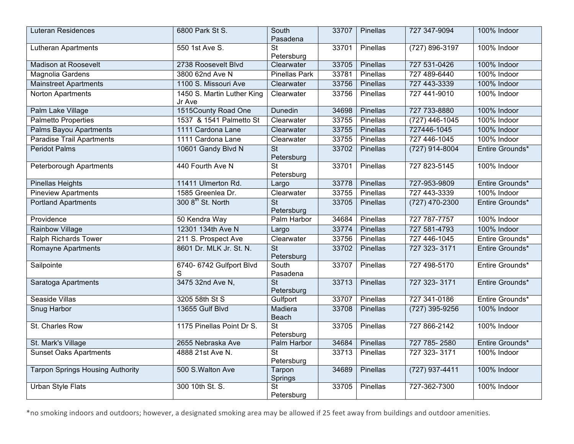| <b>Luteran Residences</b>               | 6800 Park St S.                      | South<br>Pasadena                      | 33707 | Pinellas | 727 347-9094       | 100% Indoor     |
|-----------------------------------------|--------------------------------------|----------------------------------------|-------|----------|--------------------|-----------------|
| <b>Lutheran Apartments</b>              | 550 1st Ave S.                       | $\overline{\mathsf{St}}$<br>Petersburg | 33701 | Pinellas | $(727) 896 - 3197$ | 100% Indoor     |
| <b>Madison at Roosevelt</b>             | 2738 Roosevelt Blvd                  | Clearwater                             | 33705 | Pinellas | 727 531-0426       | 100% Indoor     |
| Magnolia Gardens                        | 3800 62nd Ave N                      | <b>Pinellas Park</b>                   | 33781 | Pinellas | 727 489-6440       | 100% Indoor     |
| <b>Mainstreet Apartments</b>            | 1100 S. Missouri Ave                 | Clearwater                             | 33756 | Pinellas | 727 443-3339       | 100% Indoor     |
| Norton Apartments                       | 1450 S. Martin Luther King<br>Jr Ave | Clearwater                             | 33756 | Pinellas | 727 441-9010       | 100% Indoor     |
| Palm Lake Village                       | 1515County Road One                  | Dunedin                                | 34698 | Pinellas | 727 733-8880       | 100% Indoor     |
| <b>Palmetto Properties</b>              | 1537 & 1541 Palmetto St              | Clearwater                             | 33755 | Pinellas | $(727)$ 446-1045   | 100% Indoor     |
| <b>Palms Bayou Apartments</b>           | 1111 Cardona Lane                    | Clearwater                             | 33755 | Pinellas | 727446-1045        | 100% Indoor     |
| <b>Paradise Trail Apartments</b>        | 1111 Cardona Lane                    | Clearwater                             | 33755 | Pinellas | 727 446-1045       | 100% Indoor     |
| <b>Peridot Palms</b>                    | 10601 Gandy Blvd N                   | $\overline{\mathsf{St}}$<br>Petersburg | 33702 | Pinellas | $(727)$ 914-8004   | Entire Grounds* |
| Peterborough Apartments                 | 440 Fourth Ave N                     | $\overline{\mathsf{St}}$<br>Petersburg | 33701 | Pinellas | 727 823-5145       | 100% Indoor     |
| <b>Pinellas Heights</b>                 | 11411 Ulmerton Rd.                   | Largo                                  | 33778 | Pinellas | 727-953-9809       | Entire Grounds* |
| <b>Pineview Apartments</b>              | 1585 Greenlea Dr.                    | Clearwater                             | 33755 | Pinellas | 727 443-3339       | 100% Indoor     |
| <b>Portland Apartments</b>              | 300 8 <sup>th</sup> St. North        | <b>St</b><br>Petersburg                | 33705 | Pinellas | (727) 470-2300     | Entire Grounds* |
| Providence                              | 50 Kendra Way                        | Palm Harbor                            | 34684 | Pinellas | 727 787-7757       | 100% Indoor     |
| <b>Rainbow Village</b>                  | 12301 134th Ave N                    | Largo                                  | 33774 | Pinellas | 727 581-4793       | 100% Indoor     |
| <b>Ralph Richards Tower</b>             | 211 S. Prospect Ave                  | Clearwater                             | 33756 | Pinellas | 727 446-1045       | Entire Grounds* |
| Romayne Apartments                      | 8601 Dr. MLK Jr. St. N.              | $\overline{\mathsf{St}}$<br>Petersburg | 33702 | Pinellas | 727 323-3171       | Entire Grounds* |
| Sailpointe                              | 6740- 6742 Gulfport Blvd<br>S        | South<br>Pasadena                      | 33707 | Pinellas | 727 498-5170       | Entire Grounds* |
| Saratoga Apartments                     | 3475 32nd Ave N,                     | $\overline{St}$<br>Petersburg          | 33713 | Pinellas | 727 323-3171       | Entire Grounds* |
| Seaside Villas                          | 3205 58th St S                       | Gulfport                               | 33707 | Pinellas | 727 341-0186       | Entire Grounds* |
| Snug Harbor                             | 13655 Gulf Blvd                      | Madiera<br>Beach                       | 33708 | Pinellas | $(727)$ 395-9256   | 100% Indoor     |
| St. Charles Row                         | 1175 Pinellas Point Dr S.            | <b>St</b><br>Petersburg                | 33705 | Pinellas | 727 866-2142       | 100% Indoor     |
| St. Mark's Village                      | 2655 Nebraska Ave                    | Palm Harbor                            | 34684 | Pinellas | 727 785-2580       | Entire Grounds* |
| <b>Sunset Oaks Apartments</b>           | 4888 21st Ave N.                     | $\overline{\mathsf{St}}$<br>Petersburg | 33713 | Pinellas | 727 323-3171       | 100% Indoor     |
| <b>Tarpon Springs Housing Authority</b> | 500 S. Walton Ave                    | Tarpon<br>Springs                      | 34689 | Pinellas | $(727)$ 937-4411   | 100% Indoor     |
| <b>Urban Style Flats</b>                | 300 10th St. S.                      | $\overline{\mathsf{St}}$<br>Petersburg | 33705 | Pinellas | 727-362-7300       | 100% Indoor     |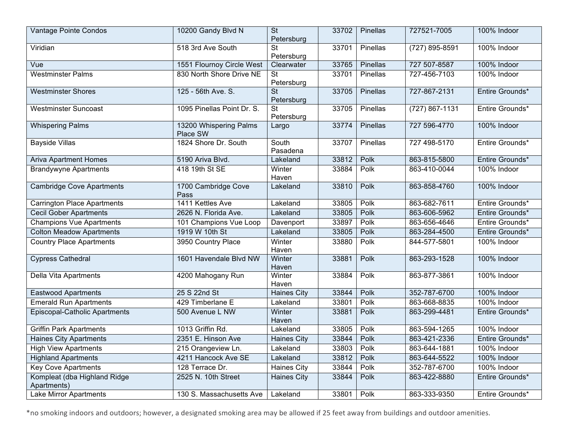| Vantage Pointe Condos                       | 10200 Gandy Blvd N                 | $\overline{\mathsf{St}}$<br>Petersburg | 33702 | Pinellas        | 727521-7005        | 100% Indoor     |
|---------------------------------------------|------------------------------------|----------------------------------------|-------|-----------------|--------------------|-----------------|
| Viridian                                    | 518 3rd Ave South                  | $\overline{\mathsf{St}}$<br>Petersburg | 33701 | Pinellas        | (727) 895-8591     | 100% Indoor     |
| Vue                                         | 1551 Flournoy Circle West          | Clearwater                             | 33765 | Pinellas        | 727 507-8587       | 100% Indoor     |
| <b>Westminster Palms</b>                    | 830 North Shore Drive NE           | <b>St</b><br>Petersburg                | 33701 | Pinellas        | 727-456-7103       | 100% Indoor     |
| <b>Westminster Shores</b>                   | 125 - 56th Ave. S.                 | <b>St</b><br>Petersburg                | 33705 | Pinellas        | 727-867-2131       | Entire Grounds* |
| <b>Westminster Suncoast</b>                 | 1095 Pinellas Point Dr. S.         | $\overline{\mathsf{St}}$<br>Petersburg | 33705 | Pinellas        | $(727) 867 - 1131$ | Entire Grounds* |
| <b>Whispering Palms</b>                     | 13200 Whispering Palms<br>Place SW | Largo                                  | 33774 | <b>Pinellas</b> | 727 596-4770       | 100% Indoor     |
| <b>Bayside Villas</b>                       | 1824 Shore Dr. South               | South<br>Pasadena                      | 33707 | Pinellas        | 727 498-5170       | Entire Grounds* |
| <b>Ariva Apartment Homes</b>                | 5190 Ariva Blvd.                   | Lakeland                               | 33812 | Polk            | 863-815-5800       | Entire Grounds* |
| <b>Brandywyne Apartments</b>                | 418 19th St SE                     | Winter<br>Haven                        | 33884 | Polk            | 863-410-0044       | 100% Indoor     |
| <b>Cambridge Cove Apartments</b>            | 1700 Cambridge Cove<br>Pass        | Lakeland                               | 33810 | Polk            | 863-858-4760       | 100% Indoor     |
| <b>Carrington Place Apartments</b>          | 1411 Kettles Ave                   | Lakeland                               | 33805 | Polk            | 863-682-7611       | Entire Grounds* |
| <b>Cecil Gober Apartments</b>               | 2626 N. Florida Ave.               | Lakeland                               | 33805 | Polk            | 863-606-5962       | Entire Grounds* |
| <b>Champions Vue Apartments</b>             | 101 Champions Vue Loop             | Davenport                              | 33897 | Polk            | 863-656-4646       | Entire Grounds* |
| <b>Colton Meadow Apartments</b>             | 1919 W 10th St                     | Lakeland                               | 33805 | Polk            | 863-284-4500       | Entire Grounds* |
| <b>Country Place Apartments</b>             | 3950 Country Place                 | Winter<br>Haven                        | 33880 | Polk            | 844-577-5801       | 100% Indoor     |
| <b>Cypress Cathedral</b>                    | 1601 Havendale Blvd NW             | Winter<br>Haven                        | 33881 | Polk            | 863-293-1528       | 100% Indoor     |
| <b>Della Vita Apartments</b>                | 4200 Mahogany Run                  | Winter<br>Haven                        | 33884 | Polk            | 863-877-3861       | 100% Indoor     |
| <b>Eastwood Apartments</b>                  | 25 S 22nd St                       | <b>Haines City</b>                     | 33844 | Polk            | 352-787-6700       | 100% Indoor     |
| <b>Emerald Run Apartments</b>               | 429 Timberlane E                   | Lakeland                               | 33801 | Polk            | 863-668-8835       | 100% Indoor     |
| <b>Episcopal-Catholic Apartments</b>        | 500 Avenue L NW                    | Winter<br>Haven                        | 33881 | Polk            | 863-299-4481       | Entire Grounds* |
| <b>Griffin Park Apartments</b>              | 1013 Griffin Rd.                   | Lakeland                               | 33805 | Polk            | 863-594-1265       | 100% Indoor     |
| <b>Haines City Apartments</b>               | 2351 E. Hinson Ave                 | <b>Haines City</b>                     | 33844 | Polk            | 863-421-2336       | Entire Grounds* |
| <b>High View Apartments</b>                 | 215 Orangeview Ln.                 | Lakeland                               | 33803 | Polk            | 863-644-1881       | 100% Indoor     |
| <b>Highland Apartments</b>                  | 4211 Hancock Ave SE                | Lakeland                               | 33812 | Polk            | 863-644-5522       | 100% Indoor     |
| <b>Key Cove Apartments</b>                  | 128 Terrace Dr.                    | Haines City                            | 33844 | Polk            | 352-787-6700       | 100% Indoor     |
| Kompleat (dba Highland Ridge<br>Apartments) | 2525 N. 10th Street                | <b>Haines City</b>                     | 33844 | Polk            | 863-422-8880       | Entire Grounds* |
| <b>Lake Mirror Apartments</b>               | 130 S. Massachusetts Ave           | Lakeland                               | 33801 | Polk            | 863-333-9350       | Entire Grounds* |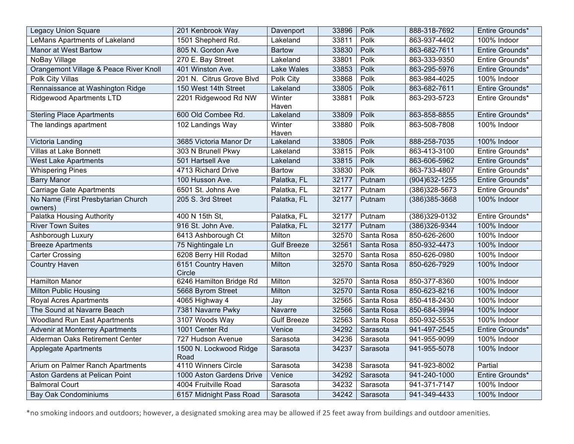| <b>Legacy Union Square</b>                    | 201 Kenbrook Way               | Davenport          | 33896 | Polk       | 888-318-7692      | Entire Grounds* |
|-----------------------------------------------|--------------------------------|--------------------|-------|------------|-------------------|-----------------|
| LeMans Apartments of Lakeland                 | 1501 Shepherd Rd.              | Lakeland           | 33811 | Polk       | 863-937-4402      | 100% Indoor     |
| <b>Manor at West Bartow</b>                   | 805 N. Gordon Ave              | <b>Bartow</b>      | 33830 | Polk       | 863-682-7611      | Entire Grounds* |
| NoBay Village                                 | 270 E. Bay Street              | Lakeland           | 33801 | Polk       | 863-333-9350      | Entire Grounds* |
| Orangemont Village & Peace River Knoll        | 401 Winston Ave.               | Lake Wales         | 33853 | Polk       | 863-295-5976      | Entire Grounds* |
| Polk City Villas                              | 201 N. Citrus Grove Blvd       | Polk City          | 33868 | Polk       | 863-984-4025      | 100% Indoor     |
| Rennaissance at Washington Ridge              | 150 West 14th Street           | Lakeland           | 33805 | Polk       | 863-682-7611      | Entire Grounds* |
| <b>Ridgewood Apartments LTD</b>               | 2201 Ridgewood Rd NW           | Winter<br>Haven    | 33881 | Polk       | 863-293-5723      | Entire Grounds* |
| <b>Sterling Place Apartments</b>              | 600 Old Combee Rd.             | Lakeland           | 33809 | Polk       | 863-858-8855      | Entire Grounds* |
| The landings apartment                        | 102 Landings Way               | Winter<br>Haven    | 33880 | Polk       | 863-508-7808      | 100% Indoor     |
| Victoria Landing                              | 3685 Victoria Manor Dr         | Lakeland           | 33805 | Polk       | 888-258-7035      | 100% Indoor     |
| <b>Villas at Lake Bonnett</b>                 | 303 N Brunell Pkwy             | Lakeland           | 33815 | Polk       | 863-413-3100      | Entire Grounds* |
| <b>West Lake Apartments</b>                   | 501 Hartsell Ave               | Lakeland           | 33815 | Polk       | 863-606-5962      | Entire Grounds* |
| <b>Whispering Pines</b>                       | 4713 Richard Drive             | <b>Bartow</b>      | 33830 | Polk       | 863-733-4807      | Entire Grounds* |
| <b>Barry Manor</b>                            | 100 Husson Ave.                | Palatka, FL        | 32177 | Putnam     | $(904)632 - 1255$ | Entire Grounds* |
| <b>Carriage Gate Apartments</b>               | 6501 St. Johns Ave             | Palatka, FL        | 32177 | Putnam     | (386) 328-5673    | Entire Grounds* |
| No Name (First Presbytarian Church<br>owners) | 205 S. 3rd Street              | Palatka, FL        | 32177 | Putnam     | (386) 385-3668    | 100% Indoor     |
| Palatka Housing Authority                     | 400 N 15th St,                 | Palatka, FL        | 32177 | Putnam     | $(386)329-0132$   | Entire Grounds* |
| <b>River Town Suites</b>                      | 916 St. John Ave.              | Palatka, FL        | 32177 | Putnam     | (386) 326-9344    | 100% Indoor     |
| Ashborough Luxury                             | 6413 Ashborough Ct             | Milton             | 32570 | Santa Rosa | 850-626-2600      | 100% Indoor     |
| <b>Breeze Apartments</b>                      | 75 Nightingale Ln              | <b>Gulf Breeze</b> | 32561 | Santa Rosa | 850-932-4473      | 100% Indoor     |
| <b>Carter Crossing</b>                        | 6208 Berry Hill Rodad          | Milton             | 32570 | Santa Rosa | 850-626-0980      | 100% Indoor     |
| <b>Country Haven</b>                          | 6151 Country Haven<br>Circle   | Milton             | 32570 | Santa Rosa | 850-626-7929      | 100% Indoor     |
| <b>Hamilton Manor</b>                         | 6246 Hamilton Bridge Rd        | Milton             | 32570 | Santa Rosa | 850-377-8360      | 100% Indoor     |
| Milton Public Housing                         | 5668 Byrom Street              | Milton             | 32570 | Santa Rosa | 850-623-8216      | 100% Indoor     |
| <b>Royal Acres Apartments</b>                 | 4065 Highway 4                 | Jay                | 32565 | Santa Rosa | 850-418-2430      | 100% Indoor     |
| The Sound at Navarre Beach                    | 7381 Navarre Pwky              | Navarre            | 32566 | Santa Rosa | 850-684-3994      | 100% Indoor     |
| <b>Woodland Run East Apartments</b>           | 3107 Woods Way                 | <b>Gulf Breeze</b> | 32563 | Santa Rosa | 850-932-5535      | 100% Indoor     |
| Advenir at Monterrey Apartments               | 1001 Center Rd                 | Venice             | 34292 | Sarasota   | 941-497-2545      | Entire Grounds* |
| Alderman Oaks Retirement Center               | 727 Hudson Avenue              | Sarasota           | 34236 | Sarasota   | 941-955-9099      | 100% Indoor     |
| <b>Applegate Apartments</b>                   | 1500 N. Lockwood Ridge<br>Road | Sarasota           | 34237 | Sarasota   | 941-955-5078      | 100% Indoor     |
| Arium on Palmer Ranch Apartments              | 4110 Winners Circle            | Sarasota           | 34238 | Sarasota   | 941-923-8002      | Partial         |
| Aston Gardens at Pelican Point                | 1000 Aston Gardens Drive       | Venice             | 34292 | Sarasota   | 941-240-1000      | Entire Grounds* |
| <b>Balmoral Court</b>                         | 4004 Fruitville Road           | Sarasota           | 34232 | Sarasota   | 941-371-7147      | 100% Indoor     |
| <b>Bay Oak Condominiums</b>                   | 6157 Midnight Pass Road        | Sarasota           | 34242 | Sarasota   | 941-349-4433      | 100% Indoor     |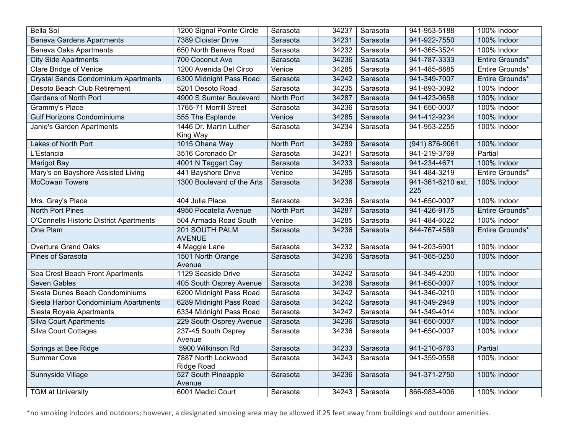| <b>Bella Sol</b>                            | 1200 Signal Pointe Circle                | Sarasota             | 34237 | Sarasota         | 941-953-5188             | 100% Indoor     |
|---------------------------------------------|------------------------------------------|----------------------|-------|------------------|--------------------------|-----------------|
| <b>Beneva Gardens Apartments</b>            | 7389 Cloister Drive                      | Sarasota             | 34231 | Sarasota         | 941-922-7550             | 100% Indoor     |
| <b>Beneva Oaks Apartments</b>               | 650 North Beneva Road                    | Sarasota             | 34232 | Sarasota         | 941-365-3524             | 100% Indoor     |
| <b>City Side Apartments</b>                 | 700 Coconut Ave                          | Sarasota             | 34236 | Sarasota         | 941-787-3333             | Entire Grounds* |
| <b>Clare Bridge of Venice</b>               | 1200 Avenida Del Circo                   | Venice               | 34285 | Sarasota         | 941-485-8885             | Entire Grounds* |
| <b>Crystal Sands Condominium Apartments</b> | 6300 Midnight Pass Road                  | Sarasota             | 34242 | Sarasota         | 941-349-7007             | Entire Grounds* |
| Desoto Beach Club Retirement                | 5201 Desoto Road                         | Sarasota             | 34235 | Sarasota         | 941-893-3092             | 100% Indoor     |
| <b>Gardens of North Port</b>                | 4900 S Sumter Boulevard                  | North Port           | 34287 | Sarasota         | 941-423-0658             | 100% Indoor     |
| Grammy's Place                              | 1765-71 Morrill Street                   | Sarasota             | 34236 | Sarasota         | 941-650-0007             | 100% Indoor     |
| <b>Gulf Horizons Condominiums</b>           | 555 The Esplande                         | $\overline{V}$ enice | 34285 | Sarasota         | 941-412-9234             | 100% Indoor     |
| Janie's Garden Apartments                   | 1446 Dr. Martin Luther<br>King Way       | Sarasota             | 34234 | Sarasota         | 941-953-2255             | 100% Indoor     |
| Lakes of North Port                         | 1015 Ohana Way                           | North Port           | 34289 | Sarasota         | $(941) 876 - 9061$       | 100% Indoor     |
| L'Estancia                                  | 3516 Coronado Dr                         | Sarasota             | 34231 | Sarasota         | 941-219-3769             | Partial         |
| <b>Marigot Bay</b>                          | 4001 N Taggart Cay                       | Sarasota             | 34233 | Sarasota         | 941-234-4671             | 100% Indoor     |
| Mary's on Bayshore Assisted Living          | 441 Bayshore Drive                       | Venice               | 34285 | Sarasota         | 941-484-3219             | Entire Grounds* |
| <b>McCowan Towers</b>                       | 1300 Boulevard of the Arts               | Sarasota             | 34236 | Sarasota         | 941-361-6210 ext.<br>225 | 100% Indoor     |
| Mrs. Gray's Place                           | 404 Julia Place                          | Sarasota             | 34236 | Sarasota         | 941-650-0007             | 100% Indoor     |
| <b>North Port Pines</b>                     | 4950 Pocatella Avenue                    | North Port           | 34287 | Sarasota         | 941-426-9175             | Entire Grounds* |
| O'Connells Historic District Apartments     | 504 Armada Road South                    | Venice               | 34285 | Sarasota         | 941-484-6022             | 100% Indoor     |
| One Plam                                    | 201 SOUTH PALM<br><b>AVENUE</b>          | Sarasota             | 34236 | Sarasota         | 844-767-4569             | Entire Grounds* |
| <b>Overture Grand Oaks</b>                  | 4 Maggie Lane                            | Sarasota             | 34232 | Sarasota         | 941-203-6901             | 100% Indoor     |
| <b>Pines of Sarasota</b>                    | 1501 North Orange<br>Avenue              | Sarasota             | 34236 | Sarasota         | 941-365-0250             | 100% Indoor     |
| Sea Crest Beach Front Apartments            | 1129 Seaside Drive                       | Sarasota             | 34242 | Sarasota         | 941-349-4200             | 100% Indoor     |
| Seven Gables                                | 405 South Osprey Avenue                  | Sarasota             | 34236 | Sarasota         | 941-650-0007             | 100% Indoor     |
| Siesta Dunes Beach Condominiums             | 6200 Midnight Pass Road                  | Sarasota             | 34242 | Sarasota         | 941-346-0210             | 100% Indoor     |
| Siesta Harbor Condominium Apartments        | 6289 Midnight Pass Road                  | Sarasota             | 34242 | Sarasota         | 941-349-2949             | 100% Indoor     |
| Siesta Royale Apartments                    | 6334 Midnight Pass Road                  | Sarasota             | 34242 | Sarasota         | 941-349-4014             | 100% Indoor     |
| <b>Silva Court Apartments</b>               | 229 South Osprey Avenue                  | Sarasota             | 34236 | Sarasota         | 941-650-0007             | 100% Indoor     |
| <b>Silva Court Cottages</b>                 | 237-45 South Osprey<br>Avenue            | Sarasota             | 34236 | Sarasota         | 941-650-0007             | 100% Indoor     |
| Springs at Bee Ridge                        | 5900 Wilkinson Rd                        | Sarasota             | 34233 | Sarasota         | 941-210-6763             | Partial         |
| <b>Summer Cove</b>                          | 7887 North Lockwood<br><b>Ridge Road</b> | Sarasota             | 34243 | Sarasota         | 941-359-0558             | 100% Indoor     |
| Sunnyside Village                           | 527 South Pineapple<br>Avenue            | Sarasota             | 34236 | Sarasota         | 941-371-2750             | 100% Indoor     |
| <b>TGM at University</b>                    | 6001 Medici Court                        | Sarasota             |       | 34243   Sarasota | 866-983-4006             | 100% Indoor     |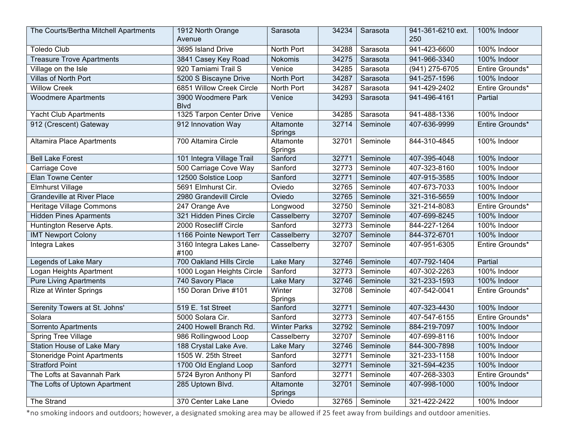| The Courts/Bertha Mitchell Apartments | 1912 North Orange<br>Avenue        | Sarasota             | 34234 | Sarasota | 941-361-6210 ext.<br>250 | 100% Indoor     |
|---------------------------------------|------------------------------------|----------------------|-------|----------|--------------------------|-----------------|
| <b>Toledo Club</b>                    | 3695 Island Drive                  | North Port           | 34288 | Sarasota | 941-423-6600             | 100% Indoor     |
| <b>Treasure Trove Apartments</b>      | 3841 Casey Key Road                | Nokomis              | 34275 | Sarasota | 941-966-3340             | 100% Indoor     |
| Village on the Isle                   | 920 Tamiami Trail S                | Venice               | 34285 | Sarasota | (941) 275-6705           | Entire Grounds* |
| Villas of North Port                  | 5200 S Biscayne Drive              | North Port           | 34287 | Sarasota | 941-257-1596             | 100% Indoor     |
| <b>Willow Creek</b>                   | 6851 Willow Creek Circle           | North Port           | 34287 | Sarasota | 941-429-2402             | Entire Grounds* |
| <b>Woodmere Apartments</b>            | 3900 Woodmere Park<br><b>B</b> lvd | Venice               | 34293 | Sarasota | 941-496-4161             | Partial         |
| <b>Yacht Club Apartments</b>          | 1325 Tarpon Center Drive           | Venice               | 34285 | Sarasota | 941-488-1336             | 100% Indoor     |
| 912 (Crescent) Gateway                | 912 Innovation Way                 | Altamonte<br>Springs | 32714 | Seminole | 407-636-9999             | Entire Grounds* |
| <b>Altamira Place Apartments</b>      | 700 Altamira Circle                | Altamonte<br>Springs | 32701 | Seminole | 844-310-4845             | 100% Indoor     |
| <b>Bell Lake Forest</b>               | 101 Integra Village Trail          | Sanford              | 32771 | Seminole | 407-395-4048             | 100% Indoor     |
| Carriage Cove                         | 500 Carriage Cove Way              | Sanford              | 32773 | Seminole | 407-323-8160             | 100% Indoor     |
| Elan Towne Center                     | 12500 Solstice Loop                | Sanford              | 32771 | Seminole | 407-915-3585             | 100% Indoor     |
| <b>Elmhurst Village</b>               | 5691 Elmhurst Cir.                 | Oviedo               | 32765 | Seminole | 407-673-7033             | 100% Indoor     |
| <b>Grandeville at River Place</b>     | 2980 Grandevill Circle             | Oviedo               | 32765 | Seminole | 321-316-5659             | 100% Indoor     |
| Heritage Village Commons              | 247 Orange Ave                     | Longwood             | 32750 | Seminole | 321-214-8083             | Entire Grounds* |
| <b>Hidden Pines Aparments</b>         | 321 Hidden Pines Circle            | Casselberry          | 32707 | Seminole | 407-699-8245             | 100% Indoor     |
| Huntington Reserve Apts.              | 2000 Rosecliff Circle              | Sanford              | 32773 | Seminole | 844-227-1264             | 100% Indoor     |
| <b>IMT Newport Colony</b>             | 1166 Pointe Newport Terr           | Casselberry          | 32707 | Seminole | 844-372-6701             | 100% Indoor     |
| Integra Lakes                         | 3160 Integra Lakes Lane-<br>#100   | Casselberry          | 32707 | Seminole | 407-951-6305             | Entire Grounds* |
| Legends of Lake Mary                  | 700 Oakland Hills Circle           | Lake Mary            | 32746 | Seminole | 407-792-1404             | Partial         |
| Logan Heights Apartment               | 1000 Logan Heights Circle          | Sanford              | 32773 | Seminole | 407-302-2263             | 100% Indoor     |
| <b>Pure Living Apartments</b>         | 740 Savory Place                   | Lake Mary            | 32746 | Seminole | 321-233-1593             | 100% Indoor     |
| Rize at Winter Springs                | 150 Doran Drive #101               | Winter<br>Springs    | 32708 | Seminole | 407-542-0041             | Entire Grounds* |
| Serenity Towers at St. Johns'         | 519 E. 1st Street                  | Sanford              | 32771 | Seminole | 407-323-4430             | 100% Indoor     |
| Solara                                | 5000 Solara Cir.                   | Sanford              | 32773 | Seminole | 407-547-6155             | Entire Grounds* |
| Sorrento Apartments                   | 2400 Howell Branch Rd.             | <b>Winter Parks</b>  | 32792 | Seminole | 884-219-7097             | 100% Indoor     |
| Spring Tree Village                   | 986 Rollingwood Loop               | Casselberry          | 32707 | Seminole | 407-699-8116             | 100% Indoor     |
| <b>Station House of Lake Mary</b>     | 188 Crystal Lake Ave.              | Lake Mary            | 32746 | Seminole | 844-300-7898             | 100% Indoor     |
| <b>Stoneridge Point Apartments</b>    | 1505 W. 25th Street                | Sanford              | 32771 | Seminole | 321-233-1158             | 100% Indoor     |
| <b>Stratford Point</b>                | 1700 Old England Loop              | Sanford              | 32771 | Seminole | 321-594-4235             | 100% Indoor     |
| The Lofts at Savannah Park            | 5724 Byron Anthony Pl              | Sanford              | 32771 | Seminole | 407-268-3303             | Entire Grounds* |
| The Lofts of Uptown Apartment         | 285 Uptown Blvd.                   | Altamonte<br>Springs | 32701 | Seminole | 407-998-1000             | 100% Indoor     |
| The Strand                            | 370 Center Lake Lane               | Oviedo               | 32765 | Seminole | 321-422-2422             | 100% Indoor     |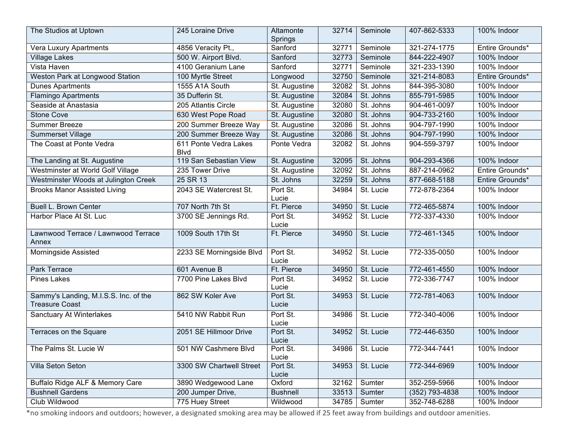| The Studios at Uptown                                          | 245 Loraine Drive                     | Altamonte<br>Springs | 32714 | Seminole          | 407-862-5333   | 100% Indoor     |
|----------------------------------------------------------------|---------------------------------------|----------------------|-------|-------------------|----------------|-----------------|
| Vera Luxury Apartments                                         | 4856 Veracity Pt.,                    | Sanford              | 32771 | Seminole          | 321-274-1775   | Entire Grounds* |
| <b>Village Lakes</b>                                           | 500 W. Airport Blvd.                  | Sanford              | 32773 | Seminole          | 844-222-4907   | 100% Indoor     |
| Vista Haven                                                    | 4100 Geranium Lane                    | Sanford              | 32771 | Seminole          | 321-233-1390   | 100% Indoor     |
| Weston Park at Longwood Station                                | 100 Myrtle Street                     | Longwood             | 32750 | Seminole          | 321-214-8083   | Entire Grounds* |
| <b>Dunes Apartments</b>                                        | 1555 A1A South                        | St. Augustine        | 32082 | St. Johns         | 844-395-3080   | 100% Indoor     |
| <b>Flamingo Apartments</b>                                     | 35 Dufferin St.                       | St. Augustine        | 32084 | St. Johns         | 855-791-5985   | 100% Indoor     |
| Seaside at Anastasia                                           | 205 Atlantis Circle                   | St. Augustine        | 32080 | St. Johns         | 904-461-0097   | 100% Indoor     |
| <b>Stone Cove</b>                                              | 630 West Pope Road                    | St. Augustine        | 32080 | St. Johns         | 904-733-2160   | 100% Indoor     |
| <b>Summer Breeze</b>                                           | 200 Summer Breeze Way                 | St. Augustine        | 32086 | St. Johns         | 904-797-1990   | 100% Indoor     |
| <b>Summerset Village</b>                                       | 200 Summer Breeze Way                 | St. Augustine        | 32086 | St. Johns         | 904-797-1990   | 100% Indoor     |
| The Coast at Ponte Vedra                                       | 611 Ponte Vedra Lakes<br><b>B</b> lvd | Ponte Vedra          | 32082 | St. Johns         | 904-559-3797   | 100% Indoor     |
| The Landing at St. Augustine                                   | 119 San Sebastian View                | St. Augustine        | 32095 | St. Johns         | 904-293-4366   | 100% Indoor     |
| Westminster at World Golf Village                              | 235 Tower Drive                       | St. Augustine        | 32092 | St. Johns         | 887-214-0962   | Entire Grounds* |
| Westminster Woods at Julington Creek                           | 25 SR 13                              | St. Johns            | 32259 | St. Johns         | 877-668-5188   | Entire Grounds* |
| <b>Brooks Manor Assisted Living</b>                            | 2043 SE Watercrest St.                | Port St.<br>Lucie    | 34984 | St. Lucie         | 772-878-2364   | 100% Indoor     |
| <b>Buell L. Brown Center</b>                                   | 707 North 7th St                      | Ft. Pierce           | 34950 | St. Lucie         | 772-465-5874   | 100% Indoor     |
| Harbor Place At St. Luc                                        | 3700 SE Jennings Rd.                  | Port St.<br>Lucie    | 34952 | St. Lucie         | 772-337-4330   | 100% Indoor     |
| Lawnwood Terrace / Lawnwood Terrace<br>Annex                   | 1009 South 17th St                    | Ft. Pierce           | 34950 | St. Lucie         | 772-461-1345   | 100% Indoor     |
| Morningside Assisted                                           | 2233 SE Morningside Blvd              | Port St.<br>Lucie    | 34952 | St. Lucie         | 772-335-0050   | 100% Indoor     |
| Park Terrace                                                   | 601 Avenue B                          | Ft. Pierce           | 34950 | St. Lucie         | 772-461-4550   | 100% Indoor     |
| <b>Pines Lakes</b>                                             | 7700 Pine Lakes Blvd                  | Port St.<br>Lucie    | 34952 | St. Lucie         | 772-336-7747   | 100% Indoor     |
| Sammy's Landing, M.I.S.S. Inc. of the<br><b>Treasure Coast</b> | 862 SW Koler Ave                      | Port St.<br>Lucie    | 34953 | St. Lucie         | 772-781-4063   | 100% Indoor     |
| Sanctuary At Winterlakes                                       | 5410 NW Rabbit Run                    | Port St.<br>Lucie    | 34986 | St. Lucie         | 772-340-4006   | 100% Indoor     |
| Terraces on the Square                                         | 2051 SE Hillmoor Drive                | Port St.<br>Lucie    | 34952 | St. Lucie         | 772-446-6350   | 100% Indoor     |
| The Palms St. Lucie W                                          | 501 NW Cashmere Blvd                  | Port St.<br>Lucie    |       | 34986   St. Lucie | 772-344-7441   | 100% Indoor     |
| Villa Seton Seton                                              | 3300 SW Chartwell Street              | Port St.<br>Lucie    | 34953 | St. Lucie         | 772-344-6969   | 100% Indoor     |
| Buffalo Ridge ALF & Memory Care                                | 3890 Wedgewood Lane                   | Oxford               | 32162 | Sumter            | 352-259-5966   | 100% Indoor     |
| <b>Bushnell Gardens</b>                                        | 200 Jumper Drive,                     | <b>Bushnell</b>      | 33513 | Sumter            | (352) 793-4838 | 100% Indoor     |
| Club Wildwood                                                  | 775 Huey Street                       | Wildwood             | 34785 | Sumter            | 352-748-6288   | 100% Indoor     |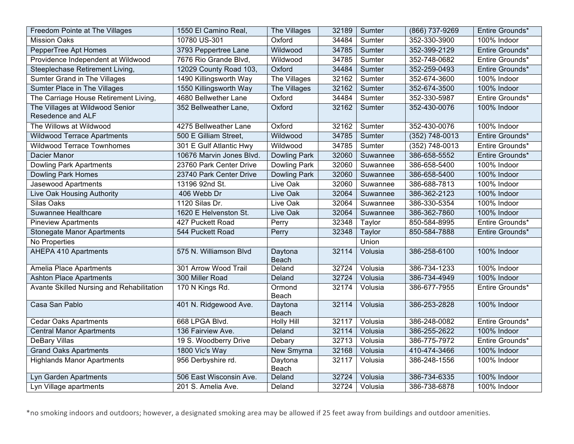| Freedom Pointe at The Villages                       | 1550 El Camino Real,     | The Villages            | 32189 | Sumter       | (866) 737-9269   | Entire Grounds* |
|------------------------------------------------------|--------------------------|-------------------------|-------|--------------|------------------|-----------------|
| <b>Mission Oaks</b>                                  | 10780 US-301             | Oxford                  | 34484 | Sumter       | 352-330-3900     | 100% Indoor     |
| PepperTree Apt Homes                                 | 3793 Peppertree Lane     | Wildwood                | 34785 | Sumter       | 352-399-2129     | Entire Grounds* |
| Providence Independent at Wildwood                   | 7676 Rio Grande Blvd,    | Wildwood                | 34785 | Sumter       | 352-748-0682     | Entire Grounds* |
| Steeplechase Retirement Living,                      | 12029 County Road 103,   | Oxford                  | 34484 | Sumter       | 352-259-0493     | Entire Grounds* |
| <b>Sumter Grand in The Villages</b>                  | 1490 Killingsworth Way   | The Villages            | 32162 | Sumter       | 352-674-3600     | 100% Indoor     |
| Sumter Place in The Villages                         | 1550 Killingsworth Way   | The Villages            | 32162 | Sumter       | 352-674-3500     | 100% Indoor     |
| The Carriage House Retirement Living,                | 4680 Bellwether Lane     | Oxford                  | 34484 | Sumter       | 352-330-5987     | Entire Grounds* |
| The Villages at Wildwood Senior<br>Resedence and ALF | 352 Bellweather Lane,    | Oxford                  | 32162 | Sumter       | 352-430-0076     | 100% Indoor     |
| The Willows at Wildwood                              | 4275 Bellweather Lane    | Oxford                  | 32162 | Sumter       | 352-430-0076     | 100% Indoor     |
| <b>Wildwood Terrace Apartments</b>                   | 500 E Gilliam Street,    | Wildwood                | 34785 | Sumter       | $(352)$ 748-0013 | Entire Grounds* |
| <b>Wildwood Terrace Townhomes</b>                    | 301 E Gulf Atlantic Hwy  | Wildwood                | 34785 | Sumter       | $(352)$ 748-0013 | Entire Grounds* |
| <b>Dacier Manor</b>                                  | 10676 Marvin Jones Blvd. | Dowling Park            | 32060 | Suwannee     | 386-658-5552     | Entire Grounds* |
| <b>Dowling Park Apartments</b>                       | 23760 Park Center Drive  | <b>Dowling Park</b>     | 32060 | Suwannee     | 386-658-5400     | 100% Indoor     |
| <b>Dowling Park Homes</b>                            | 23740 Park Center Drive  | Dowling Park            | 32060 | Suwannee     | 386-658-5400     | 100% Indoor     |
| Jasewood Apartments                                  | 13196 92nd St.           | Live Oak                | 32060 | Suwannee     | 386-688-7813     | 100% Indoor     |
| Live Oak Housing Authority                           | 406 Webb Dr              | Live Oak                | 32064 | Suwannee     | 386-362-2123     | 100% Indoor     |
| Silas Oaks                                           | 1120 Silas Dr.           | Live Oak                | 32064 | Suwannee     | 386-330-5354     | 100% Indoor     |
| Suwannee Healthcare                                  | 1620 E Helvenston St.    | Live Oak                | 32064 | Suwannee     | 386-362-7860     | 100% Indoor     |
| <b>Pineview Apartments</b>                           | 427 Puckett Road         | Perry                   | 32348 | Taylor       | 850-584-8995     | Entire Grounds* |
| <b>Stonegate Manor Apartments</b>                    | 544 Puckett Road         | Perry                   | 32348 | Taylor       | 850-584-7888     | Entire Grounds* |
| No Properties                                        |                          |                         |       | <b>Union</b> |                  |                 |
| <b>AHEPA 410 Apartments</b>                          | 575 N. Williamson Blvd   | Daytona<br><b>Beach</b> | 32114 | Volusia      | 386-258-6100     | 100% Indoor     |
| <b>Amelia Place Apartments</b>                       | 301 Arrow Wood Trail     | Deland                  | 32724 | Volusia      | 386-734-1233     | 100% Indoor     |
| <b>Ashton Place Apartments</b>                       | 300 Miller Road          | Deland                  | 32724 | Volusia      | 386-734-4949     | 100% Indoor     |
| Avante Skilled Nursing and Rehabilitation            | 170 N Kings Rd.          | Ormond<br>Beach         | 32174 | Volusia      | 386-677-7955     | Entire Grounds* |
| Casa San Pablo                                       | 401 N. Ridgewood Ave.    | Daytona<br>Beach        | 32114 | Volusia      | 386-253-2828     | 100% Indoor     |
| <b>Cedar Oaks Apartments</b>                         | 668 LPGA Blvd.           | <b>Holly Hill</b>       | 32117 | Volusia      | 386-248-0082     | Entire Grounds* |
| <b>Central Manor Apartments</b>                      | 136 Fairview Ave.        | Deland                  | 32114 | Volusia      | 386-255-2622     | 100% Indoor     |
| DeBary Villas                                        | 19 S. Woodberry Drive    | Debary                  | 32713 | Volusia      | 386-775-7972     | Entire Grounds* |
| <b>Grand Oaks Apartments</b>                         | 1800 Vic's Way           | New Smyrna              | 32168 | Volusia      | 410-474-3466     | 100% Indoor     |
| <b>Highlands Manor Apartments</b>                    | 956 Derbyshire rd.       | Daytona<br>Beach        | 32117 | Volusia      | 386-248-1556     | 100% Indoor     |
| Lyn Garden Apartments                                | 506 East Wisconsin Ave.  | Deland                  | 32724 | Volusia      | 386-734-6335     | 100% Indoor     |
| Lyn Village apartments                               | 201 S. Amelia Ave.       | Deland                  | 32724 | Volusia      | 386-738-6878     | 100% Indoor     |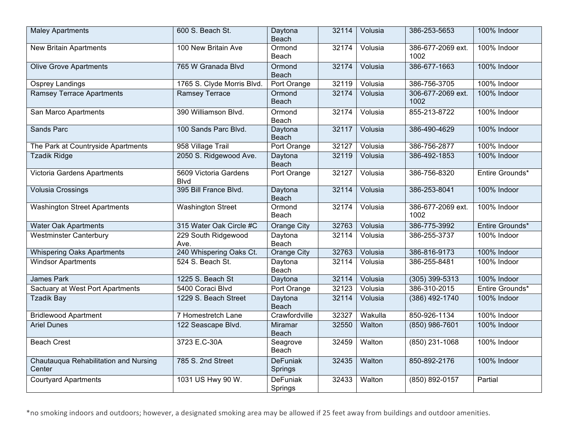| <b>Maley Apartments</b>                         | 600 S. Beach St.                     | Daytona<br>Beach           | 32114 | Volusia | 386-253-5653              | 100% Indoor     |
|-------------------------------------------------|--------------------------------------|----------------------------|-------|---------|---------------------------|-----------------|
| <b>New Britain Apartments</b>                   | 100 New Britain Ave                  | Ormond<br>Beach            | 32174 | Volusia | 386-677-2069 ext.<br>1002 | 100% Indoor     |
| <b>Olive Grove Apartments</b>                   | 765 W Granada Blvd                   | Ormond<br>Beach            | 32174 | Volusia | 386-677-1663              | 100% Indoor     |
| <b>Osprey Landings</b>                          | 1765 S. Clyde Morris Blvd.           | Port Orange                | 32119 | Volusia | 386-756-3705              | 100% Indoor     |
| <b>Ramsey Terrace Apartments</b>                | <b>Ramsey Terrace</b>                | Ormond<br><b>Beach</b>     | 32174 | Volusia | 306-677-2069 ext.<br>1002 | 100% Indoor     |
| San Marco Apartments                            | 390 Williamson Blvd.                 | Ormond<br>Beach            | 32174 | Volusia | 855-213-8722              | 100% Indoor     |
| <b>Sands Parc</b>                               | 100 Sands Parc Blvd.                 | Daytona<br>Beach           | 32117 | Volusia | 386-490-4629              | 100% Indoor     |
| The Park at Countryside Apartments              | 958 Village Trail                    | Port Orange                | 32127 | Volusia | 386-756-2877              | 100% Indoor     |
| <b>Tzadik Ridge</b>                             | 2050 S. Ridgewood Ave.               | Daytona<br>Beach           | 32119 | Volusia | 386-492-1853              | 100% Indoor     |
| Victoria Gardens Apartments                     | 5609 Victoria Gardens<br><b>Blvd</b> | Port Orange                | 32127 | Volusia | 386-756-8320              | Entire Grounds* |
| <b>Volusia Crossings</b>                        | 395 Bill France Blvd.                | Daytona<br>Beach           | 32114 | Volusia | 386-253-8041              | 100% Indoor     |
| <b>Washington Street Apartments</b>             | <b>Washington Street</b>             | Ormond<br>Beach            | 32174 | Volusia | 386-677-2069 ext.<br>1002 | 100% Indoor     |
| <b>Water Oak Apartments</b>                     | 315 Water Oak Circle #C              | <b>Orange City</b>         | 32763 | Volusia | 386-775-3992              | Entire Grounds* |
| <b>Westminster Canterbury</b>                   | 229 South Ridgewood<br>Ave.          | Daytona<br>Beach           | 32114 | Volusia | 386-255-3737              | 100% Indoor     |
| <b>Whispering Oaks Apartments</b>               | 240 Whispering Oaks Ct.              | <b>Orange City</b>         | 32763 | Volusia | 386-816-9173              | 100% Indoor     |
| <b>Windsor Apartments</b>                       | 524 S. Beach St.                     | Daytona<br>Beach           | 32114 | Volusia | 386-255-8481              | 100% Indoor     |
| <b>James Park</b>                               | 1225 S. Beach St                     | Daytona                    | 32114 | Volusia | $(305)$ 399-5313          | 100% Indoor     |
| Sactuary at West Port Apartments                | 5400 Coraci Blvd                     | Port Orange                | 32123 | Volusia | 386-310-2015              | Entire Grounds* |
| <b>Tzadik Bay</b>                               | 1229 S. Beach Street                 | Daytona<br>Beach           | 32114 | Volusia | (386) 492-1740            | 100% Indoor     |
| <b>Bridlewood Apartment</b>                     | 7 Homestretch Lane                   | Crawfordville              | 32327 | Wakulla | 850-926-1134              | 100% Indoor     |
| <b>Ariel Dunes</b>                              | 122 Seascape Blvd.                   | Miramar<br>Beach           | 32550 | Walton  | $(850)$ 986-7601          | 100% Indoor     |
| <b>Beach Crest</b>                              | 3723 E.C-30A                         | Seagrove<br>Beach          | 32459 | Walton  | $(850)$ 231-1068          | 100% Indoor     |
| Chautauqua Rehabilitation and Nursing<br>Center | 785 S. 2nd Street                    | <b>DeFuniak</b><br>Springs | 32435 | Walton  | 850-892-2176              | 100% Indoor     |
| <b>Courtyard Apartments</b>                     | 1031 US Hwy 90 W.                    | <b>DeFuniak</b><br>Springs | 32433 | Walton  | (850) 892-0157            | Partial         |